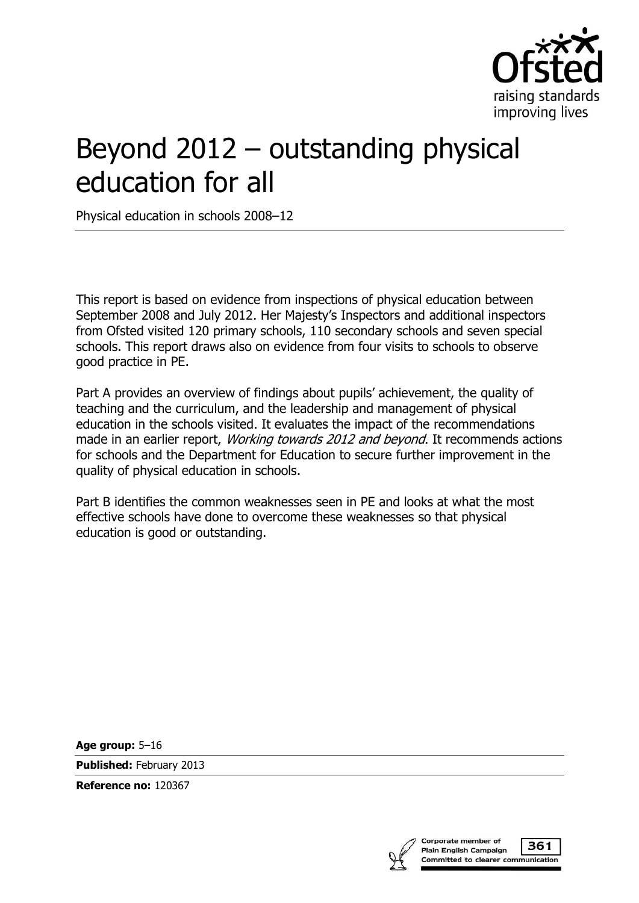

# Beyond 2012 – outstanding physical education for all

Physical education in schools 2008–12

This report is based on evidence from inspections of physical education between September 2008 and July 2012. Her Majesty's Inspectors and additional inspectors from Ofsted visited 120 primary schools, 110 secondary schools and seven special schools. This report draws also on evidence from four visits to schools to observe good practice in PE.

Part A provides an overview of findings about pupils' achievement, the quality of teaching and the curriculum, and the leadership and management of physical education in the schools visited. It evaluates the impact of the recommendations made in an earlier report, *Working towards 2012 and beyond*. It recommends actions for schools and the Department for Education to secure further improvement in the quality of physical education in schools.

Part B identifies the common weaknesses seen in PE and looks at what the most effective schools have done to overcome these weaknesses so that physical education is good or outstanding.

**Age group:** 5–16

**Published:** February 2013

**Reference no:** 120367

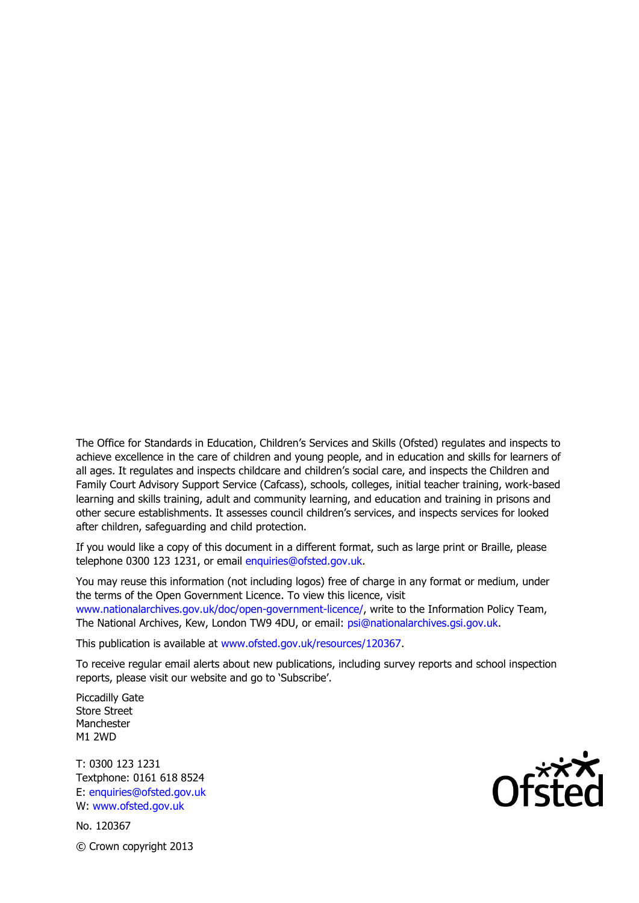The Office for Standards in Education, Children's Services and Skills (Ofsted) regulates and inspects to achieve excellence in the care of children and young people, and in education and skills for learners of all ages. It regulates and inspects childcare and children's social care, and inspects the Children and Family Court Advisory Support Service (Cafcass), schools, colleges, initial teacher training, work-based learning and skills training, adult and community learning, and education and training in prisons and other secure establishments. It assesses council children's services, and inspects services for looked after children, safeguarding and child protection.

If you would like a copy of this document in a different format, such as large print or Braille, please telephone 0300 123 1231, or email enquiries@ofsted.gov.uk.

You may reuse this information (not including logos) free of charge in any format or medium, under the terms of the Open Government Licence. To view this licence, visit www.nationalarchives.gov.uk/doc/open-government-licence/, write to the Information Policy Team, The National Archives, Kew, London TW9 4DU, or email: psi@nationalarchives.gsi.gov.uk.

This publication is available at www.ofsted.gov.uk/resources/120367.

To receive regular email alerts about new publications, including survey reports and school inspection reports, please visit our website and go to 'Subscribe'.

Piccadilly Gate Store Street Manchester M1 2WD

T: 0300 123 1231 Textphone: 0161 618 8524 E: enquiries@ofsted.gov.uk W: www.ofsted.gov.uk

No. 120367 © Crown copyright 2013

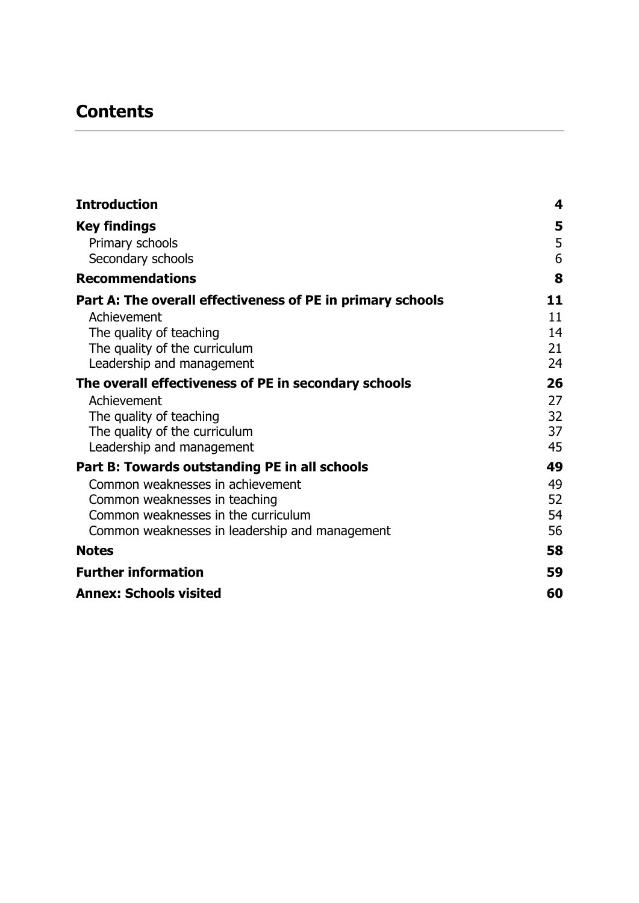## **Contents**

| <b>Introduction</b>                                        | 4  |
|------------------------------------------------------------|----|
| Key findings                                               | 5  |
| Primary schools                                            | 5  |
| Secondary schools                                          | 6  |
| <b>Recommendations</b>                                     | 8  |
| Part A: The overall effectiveness of PE in primary schools | 11 |
| Achievement                                                | 11 |
| The quality of teaching                                    | 14 |
| The quality of the curriculum                              | 21 |
| Leadership and management                                  | 24 |
| The overall effectiveness of PE in secondary schools       | 26 |
| Achievement                                                | 27 |
| The quality of teaching                                    | 32 |
| The quality of the curriculum                              | 37 |
| Leadership and management                                  | 45 |
| Part B: Towards outstanding PE in all schools              | 49 |
| Common weaknesses in achievement                           | 49 |
| Common weaknesses in teaching                              | 52 |
| Common weaknesses in the curriculum                        | 54 |
| Common weaknesses in leadership and management             | 56 |
| <b>Notes</b>                                               | 58 |
| <b>Further information</b>                                 | 59 |
| <b>Annex: Schools visited</b>                              | 60 |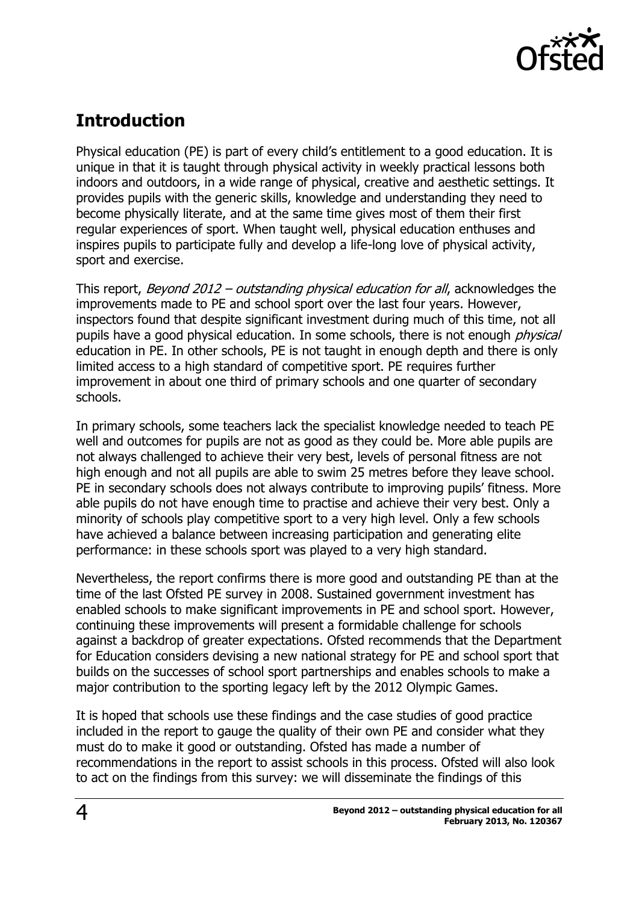

## <span id="page-3-0"></span>**Introduction**

Physical education (PE) is part of every child's entitlement to a good education. It is unique in that it is taught through physical activity in weekly practical lessons both indoors and outdoors, in a wide range of physical, creative and aesthetic settings. It provides pupils with the generic skills, knowledge and understanding they need to become physically literate, and at the same time gives most of them their first regular experiences of sport. When taught well, physical education enthuses and inspires pupils to participate fully and develop a life-long love of physical activity, sport and exercise.

This report, *Beyond 2012 – outstanding physical education for all*, acknowledges the improvements made to PE and school sport over the last four years. However, inspectors found that despite significant investment during much of this time, not all pupils have a good physical education. In some schools, there is not enough *physical* education in PE. In other schools, PE is not taught in enough depth and there is only limited access to a high standard of competitive sport. PE requires further improvement in about one third of primary schools and one quarter of secondary schools.

In primary schools, some teachers lack the specialist knowledge needed to teach PE well and outcomes for pupils are not as good as they could be. More able pupils are not always challenged to achieve their very best, levels of personal fitness are not high enough and not all pupils are able to swim 25 metres before they leave school. PE in secondary schools does not always contribute to improving pupils' fitness. More able pupils do not have enough time to practise and achieve their very best. Only a minority of schools play competitive sport to a very high level. Only a few schools have achieved a balance between increasing participation and generating elite performance: in these schools sport was played to a very high standard.

Nevertheless, the report confirms there is more good and outstanding PE than at the time of the last Ofsted PE survey in 2008. Sustained government investment has enabled schools to make significant improvements in PE and school sport. However, continuing these improvements will present a formidable challenge for schools against a backdrop of greater expectations. Ofsted recommends that the Department for Education considers devising a new national strategy for PE and school sport that builds on the successes of school sport partnerships and enables schools to make a major contribution to the sporting legacy left by the 2012 Olympic Games.

It is hoped that schools use these findings and the case studies of good practice included in the report to gauge the quality of their own PE and consider what they must do to make it good or outstanding. Ofsted has made a number of recommendations in the report to assist schools in this process. Ofsted will also look to act on the findings from this survey: we will disseminate the findings of this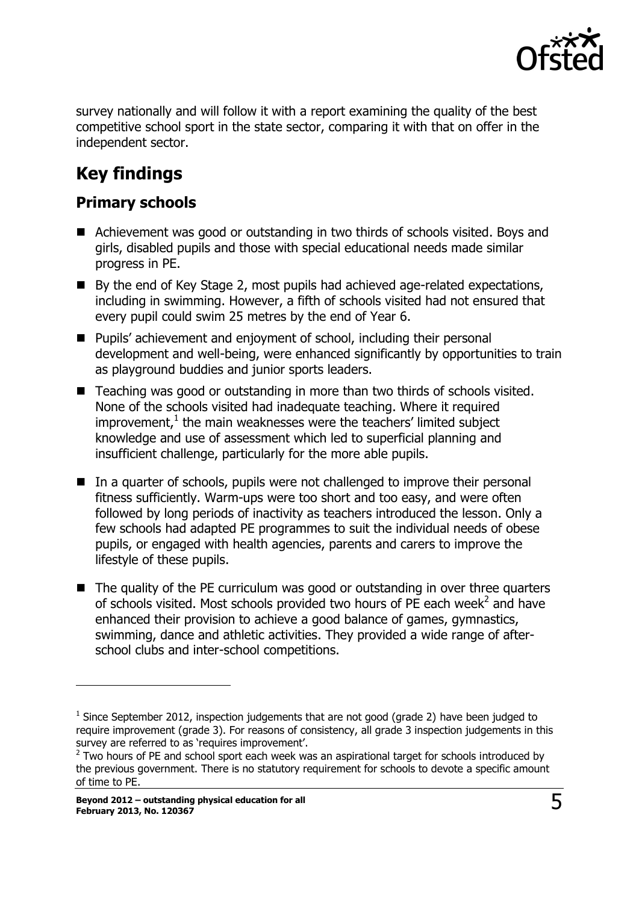

survey nationally and will follow it with a report examining the quality of the best competitive school sport in the state sector, comparing it with that on offer in the independent sector.

## <span id="page-4-0"></span>**Key findings**

#### <span id="page-4-1"></span>**Primary schools**

- Achievement was good or outstanding in two thirds of schools visited. Boys and girls, disabled pupils and those with special educational needs made similar progress in PE.
- By the end of Key Stage 2, most pupils had achieved age-related expectations, including in swimming. However, a fifth of schools visited had not ensured that every pupil could swim 25 metres by the end of Year 6.
- Pupils' achievement and enjoyment of school, including their personal development and well-being, were enhanced significantly by opportunities to train as playground buddies and junior sports leaders.
- Teaching was good or outstanding in more than two thirds of schools visited. None of the schools visited had inadequate teaching. Where it required improvement, $1$  the main weaknesses were the teachers' limited subject knowledge and use of assessment which led to superficial planning and insufficient challenge, particularly for the more able pupils.
- In a quarter of schools, pupils were not challenged to improve their personal fitness sufficiently. Warm-ups were too short and too easy, and were often followed by long periods of inactivity as teachers introduced the lesson. Only a few schools had adapted PE programmes to suit the individual needs of obese pupils, or engaged with health agencies, parents and carers to improve the lifestyle of these pupils.
- The quality of the PE curriculum was good or outstanding in over three quarters of schools visited. Most schools provided two hours of PE each week $^2$  and have enhanced their provision to achieve a good balance of games, gymnastics, swimming, dance and athletic activities. They provided a wide range of afterschool clubs and inter-school competitions.

j

 $<sup>1</sup>$  Since September 2012, inspection judgements that are not good (grade 2) have been judged to</sup> require improvement (grade 3). For reasons of consistency, all grade 3 inspection judgements in this survey are referred to as 'requires improvement'.

 $2$  Two hours of PE and school sport each week was an aspirational target for schools introduced by the previous government. There is no statutory requirement for schools to devote a specific amount of time to PE.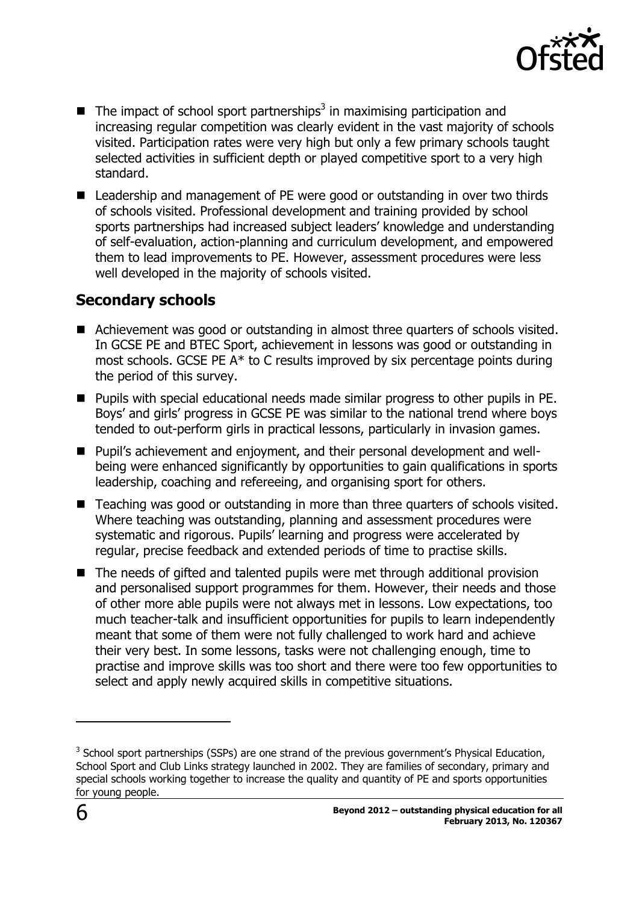

- $\blacksquare$  The impact of school sport partnerships<sup>3</sup> in maximising participation and increasing regular competition was clearly evident in the vast majority of schools visited. Participation rates were very high but only a few primary schools taught selected activities in sufficient depth or played competitive sport to a very high standard.
- Leadership and management of PE were good or outstanding in over two thirds of schools visited. Professional development and training provided by school sports partnerships had increased subject leaders' knowledge and understanding of self-evaluation, action-planning and curriculum development, and empowered them to lead improvements to PE. However, assessment procedures were less well developed in the majority of schools visited.

### <span id="page-5-0"></span>**Secondary schools**

- Achievement was good or outstanding in almost three quarters of schools visited. In GCSE PE and BTEC Sport, achievement in lessons was good or outstanding in most schools. GCSE PE A\* to C results improved by six percentage points during the period of this survey.
- Pupils with special educational needs made similar progress to other pupils in PE. Boys' and girls' progress in GCSE PE was similar to the national trend where boys tended to out-perform girls in practical lessons, particularly in invasion games.
- Pupil's achievement and enjoyment, and their personal development and wellbeing were enhanced significantly by opportunities to gain qualifications in sports leadership, coaching and refereeing, and organising sport for others.
- Teaching was good or outstanding in more than three quarters of schools visited. Where teaching was outstanding, planning and assessment procedures were systematic and rigorous. Pupils' learning and progress were accelerated by regular, precise feedback and extended periods of time to practise skills.
- The needs of gifted and talented pupils were met through additional provision and personalised support programmes for them. However, their needs and those of other more able pupils were not always met in lessons. Low expectations, too much teacher-talk and insufficient opportunities for pupils to learn independently meant that some of them were not fully challenged to work hard and achieve their very best. In some lessons, tasks were not challenging enough, time to practise and improve skills was too short and there were too few opportunities to select and apply newly acquired skills in competitive situations.

 $\overline{a}$ 

 $3$  School sport partnerships (SSPs) are one strand of the previous government's Physical Education, School Sport and Club Links strategy launched in 2002. They are families of secondary, primary and special schools working together to increase the quality and quantity of PE and sports opportunities for young people.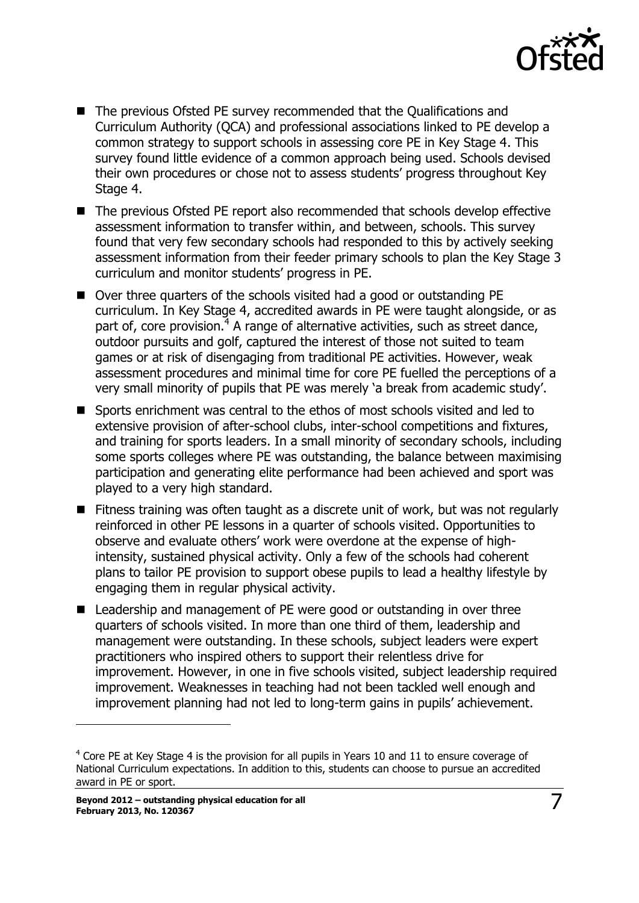

- The previous Ofsted PE survey recommended that the Qualifications and Curriculum Authority (QCA) and professional associations linked to PE develop a common strategy to support schools in assessing core PE in Key Stage 4. This survey found little evidence of a common approach being used. Schools devised their own procedures or chose not to assess students' progress throughout Key Stage 4.
- The previous Ofsted PE report also recommended that schools develop effective assessment information to transfer within, and between, schools. This survey found that very few secondary schools had responded to this by actively seeking assessment information from their feeder primary schools to plan the Key Stage 3 curriculum and monitor students' progress in PE.
- Over three quarters of the schools visited had a good or outstanding PE curriculum. In Key Stage 4, accredited awards in PE were taught alongside, or as part of, core provision.<sup>4</sup> A range of alternative activities, such as street dance, outdoor pursuits and golf, captured the interest of those not suited to team games or at risk of disengaging from traditional PE activities. However, weak assessment procedures and minimal time for core PE fuelled the perceptions of a very small minority of pupils that PE was merely 'a break from academic study'.
- **Sports enrichment was central to the ethos of most schools visited and led to** extensive provision of after-school clubs, inter-school competitions and fixtures, and training for sports leaders. In a small minority of secondary schools, including some sports colleges where PE was outstanding, the balance between maximising participation and generating elite performance had been achieved and sport was played to a very high standard.
- Fitness training was often taught as a discrete unit of work, but was not regularly reinforced in other PE lessons in a quarter of schools visited. Opportunities to observe and evaluate others' work were overdone at the expense of highintensity, sustained physical activity. Only a few of the schools had coherent plans to tailor PE provision to support obese pupils to lead a healthy lifestyle by engaging them in regular physical activity.
- Leadership and management of PE were good or outstanding in over three quarters of schools visited. In more than one third of them, leadership and management were outstanding. In these schools, subject leaders were expert practitioners who inspired others to support their relentless drive for improvement. However, in one in five schools visited, subject leadership required improvement. Weaknesses in teaching had not been tackled well enough and improvement planning had not led to long-term gains in pupils' achievement.

j

 $4$  Core PE at Key Stage 4 is the provision for all pupils in Years 10 and 11 to ensure coverage of National Curriculum expectations. In addition to this, students can choose to pursue an accredited award in PE or sport.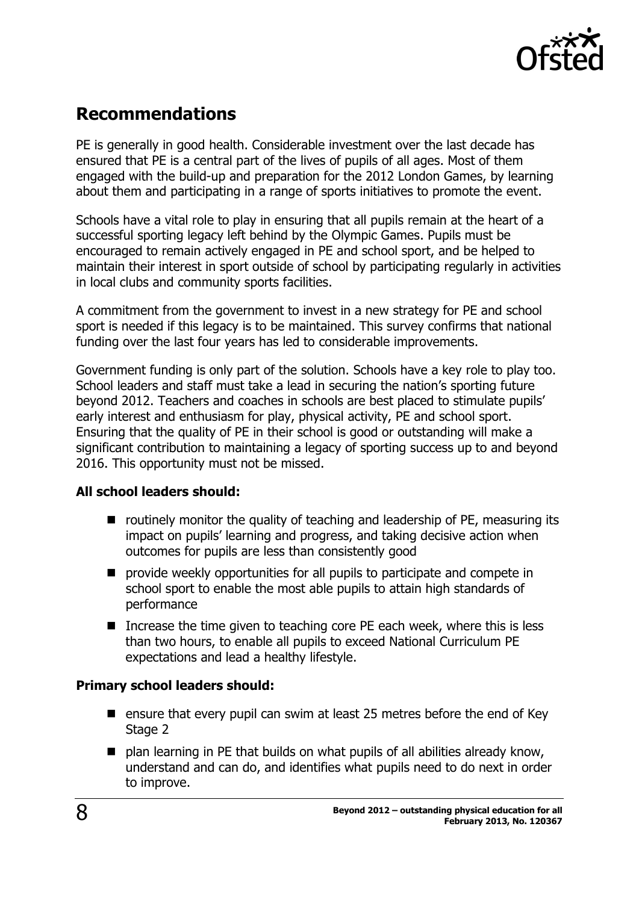

## <span id="page-7-0"></span>**Recommendations**

PE is generally in good health. Considerable investment over the last decade has ensured that PE is a central part of the lives of pupils of all ages. Most of them engaged with the build-up and preparation for the 2012 London Games, by learning about them and participating in a range of sports initiatives to promote the event.

Schools have a vital role to play in ensuring that all pupils remain at the heart of a successful sporting legacy left behind by the Olympic Games. Pupils must be encouraged to remain actively engaged in PE and school sport, and be helped to maintain their interest in sport outside of school by participating regularly in activities in local clubs and community sports facilities.

A commitment from the government to invest in a new strategy for PE and school sport is needed if this legacy is to be maintained. This survey confirms that national funding over the last four years has led to considerable improvements.

Government funding is only part of the solution. Schools have a key role to play too. School leaders and staff must take a lead in securing the nation's sporting future beyond 2012. Teachers and coaches in schools are best placed to stimulate pupils' early interest and enthusiasm for play, physical activity, PE and school sport. Ensuring that the quality of PE in their school is good or outstanding will make a significant contribution to maintaining a legacy of sporting success up to and beyond 2016. This opportunity must not be missed.

#### **All school leaders should:**

- $\blacksquare$  routinely monitor the quality of teaching and leadership of PE, measuring its impact on pupils' learning and progress, and taking decisive action when outcomes for pupils are less than consistently good
- **P** provide weekly opportunities for all pupils to participate and compete in school sport to enable the most able pupils to attain high standards of performance
- Increase the time given to teaching core PE each week, where this is less than two hours, to enable all pupils to exceed National Curriculum PE expectations and lead a healthy lifestyle.

#### **Primary school leaders should:**

- **E** ensure that every pupil can swim at least 25 metres before the end of Key Stage 2
- plan learning in PE that builds on what pupils of all abilities already know, understand and can do, and identifies what pupils need to do next in order to improve.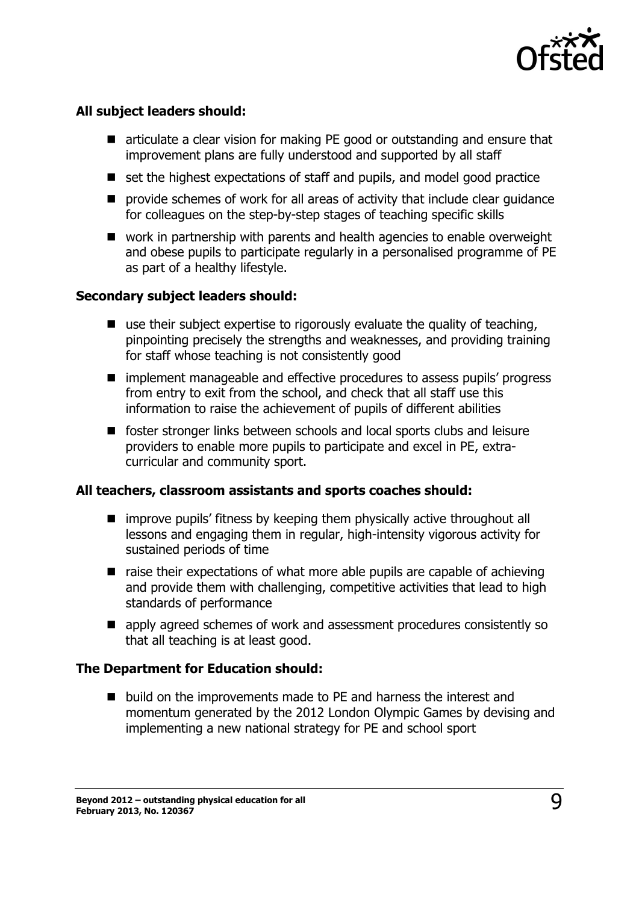

#### **All subject leaders should:**

- articulate a clear vision for making PE good or outstanding and ensure that improvement plans are fully understood and supported by all staff
- set the highest expectations of staff and pupils, and model good practice
- **P** provide schemes of work for all areas of activity that include clear quidance for colleagues on the step-by-step stages of teaching specific skills
- work in partnership with parents and health agencies to enable overweight and obese pupils to participate regularly in a personalised programme of PE as part of a healthy lifestyle.

#### **Secondary subject leaders should:**

- $\blacksquare$  use their subject expertise to rigorously evaluate the quality of teaching, pinpointing precisely the strengths and weaknesses, and providing training for staff whose teaching is not consistently good
- implement manageable and effective procedures to assess pupils' progress from entry to exit from the school, and check that all staff use this information to raise the achievement of pupils of different abilities
- foster stronger links between schools and local sports clubs and leisure providers to enable more pupils to participate and excel in PE, extracurricular and community sport.

#### **All teachers, classroom assistants and sports coaches should:**

- $\blacksquare$  improve pupils' fitness by keeping them physically active throughout all lessons and engaging them in regular, high-intensity vigorous activity for sustained periods of time
- raise their expectations of what more able pupils are capable of achieving and provide them with challenging, competitive activities that lead to high standards of performance
- **E** apply agreed schemes of work and assessment procedures consistently so that all teaching is at least good.

#### **The Department for Education should:**

■ build on the improvements made to PE and harness the interest and momentum generated by the 2012 London Olympic Games by devising and implementing a new national strategy for PE and school sport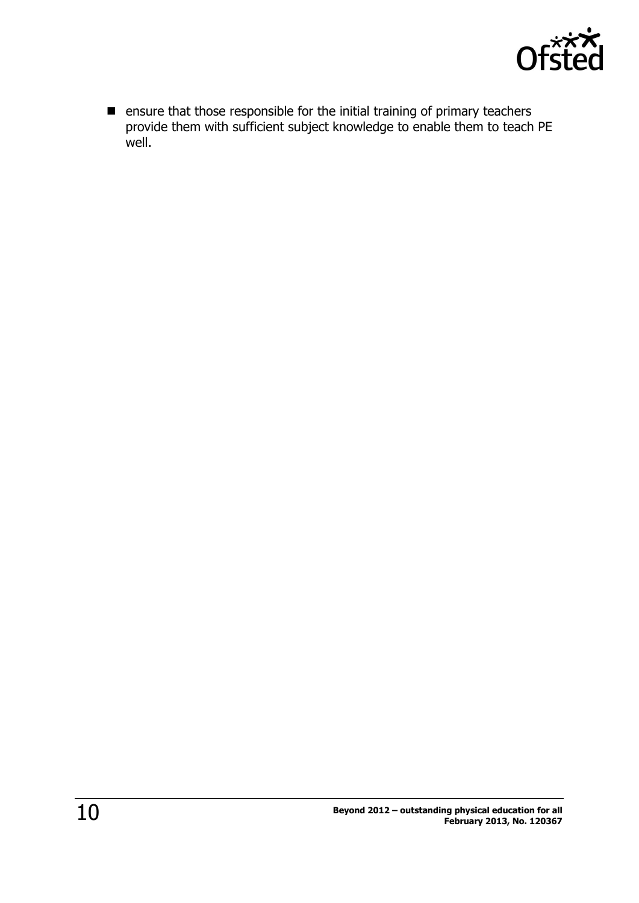

 $\blacksquare$  ensure that those responsible for the initial training of primary teachers provide them with sufficient subject knowledge to enable them to teach PE well.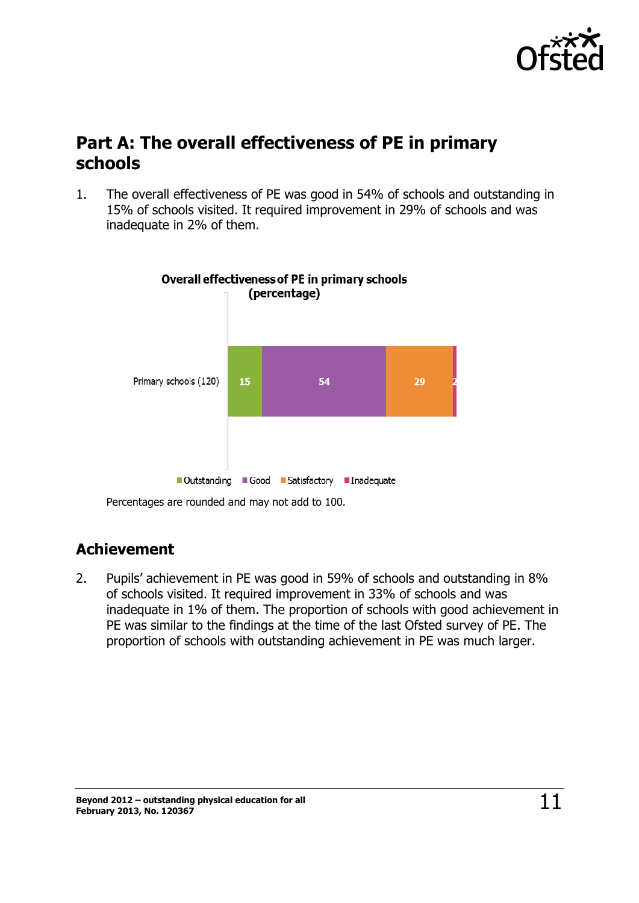

## <span id="page-10-0"></span>**Part A: The overall effectiveness of PE in primary schools**

1. The overall effectiveness of PE was good in 54% of schools and outstanding in 15% of schools visited. It required improvement in 29% of schools and was inadequate in 2% of them.



Percentages are rounded and may not add to 100.

### <span id="page-10-1"></span>**Achievement**

2. Pupils' achievement in PE was good in 59% of schools and outstanding in 8% of schools visited. It required improvement in 33% of schools and was inadequate in 1% of them. The proportion of schools with good achievement in PE was similar to the findings at the time of the last Ofsted survey of PE. The proportion of schools with outstanding achievement in PE was much larger.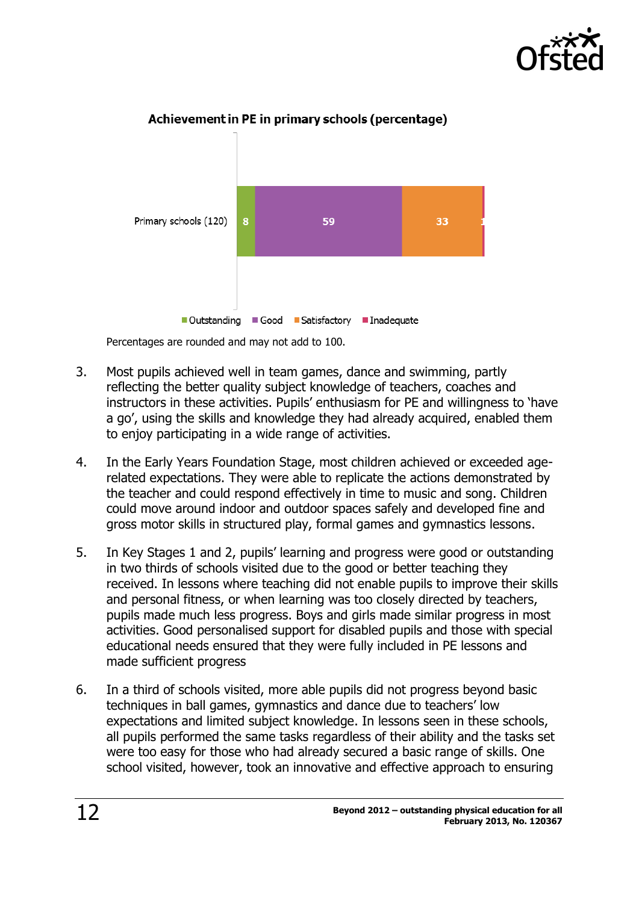



#### Achievement in PE in primary schools (percentage)

Percentages are rounded and may not add to 100.

- 3. Most pupils achieved well in team games, dance and swimming, partly reflecting the better quality subject knowledge of teachers, coaches and instructors in these activities. Pupils' enthusiasm for PE and willingness to 'have a go', using the skills and knowledge they had already acquired, enabled them to enjoy participating in a wide range of activities.
- 4. In the Early Years Foundation Stage, most children achieved or exceeded agerelated expectations. They were able to replicate the actions demonstrated by the teacher and could respond effectively in time to music and song. Children could move around indoor and outdoor spaces safely and developed fine and gross motor skills in structured play, formal games and gymnastics lessons.
- 5. In Key Stages 1 and 2, pupils' learning and progress were good or outstanding in two thirds of schools visited due to the good or better teaching they received. In lessons where teaching did not enable pupils to improve their skills and personal fitness, or when learning was too closely directed by teachers, pupils made much less progress. Boys and girls made similar progress in most activities. Good personalised support for disabled pupils and those with special educational needs ensured that they were fully included in PE lessons and made sufficient progress
- 6. In a third of schools visited, more able pupils did not progress beyond basic techniques in ball games, gymnastics and dance due to teachers' low expectations and limited subject knowledge. In lessons seen in these schools, all pupils performed the same tasks regardless of their ability and the tasks set were too easy for those who had already secured a basic range of skills. One school visited, however, took an innovative and effective approach to ensuring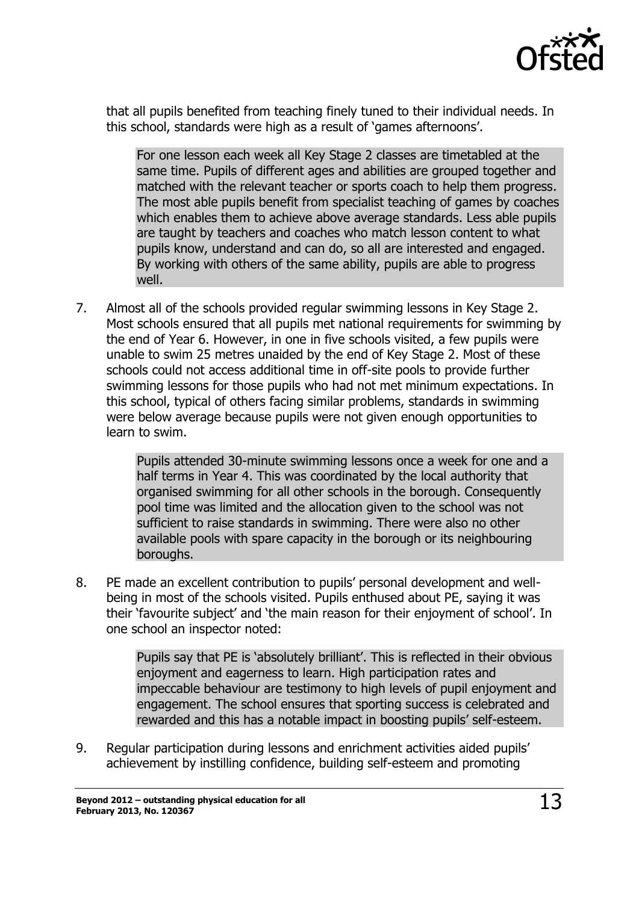

that all pupils benefited from teaching finely tuned to their individual needs. In this school, standards were high as a result of 'games afternoons'.

For one lesson each week all Key Stage 2 classes are timetabled at the same time. Pupils of different ages and abilities are grouped together and matched with the relevant teacher or sports coach to help them progress. The most able pupils benefit from specialist teaching of games by coaches which enables them to achieve above average standards. Less able pupils are taught by teachers and coaches who match lesson content to what pupils know, understand and can do, so all are interested and engaged. By working with others of the same ability, pupils are able to progress well.

7. Almost all of the schools provided regular swimming lessons in Key Stage 2. Most schools ensured that all pupils met national requirements for swimming by the end of Year 6. However, in one in five schools visited, a few pupils were unable to swim 25 metres unaided by the end of Key Stage 2. Most of these schools could not access additional time in off-site pools to provide further swimming lessons for those pupils who had not met minimum expectations. In this school, typical of others facing similar problems, standards in swimming were below average because pupils were not given enough opportunities to learn to swim.

> Pupils attended 30-minute swimming lessons once a week for one and a half terms in Year 4. This was coordinated by the local authority that organised swimming for all other schools in the borough. Consequently pool time was limited and the allocation given to the school was not sufficient to raise standards in swimming. There were also no other available pools with spare capacity in the borough or its neighbouring boroughs.

8. PE made an excellent contribution to pupils' personal development and wellbeing in most of the schools visited. Pupils enthused about PE, saying it was their 'favourite subject' and 'the main reason for their enjoyment of school'. In one school an inspector noted:

> Pupils say that PE is 'absolutely brilliant'. This is reflected in their obvious enjoyment and eagerness to learn. High participation rates and impeccable behaviour are testimony to high levels of pupil enjoyment and engagement. The school ensures that sporting success is celebrated and rewarded and this has a notable impact in boosting pupils' self-esteem.

9. Regular participation during lessons and enrichment activities aided pupils' achievement by instilling confidence, building self-esteem and promoting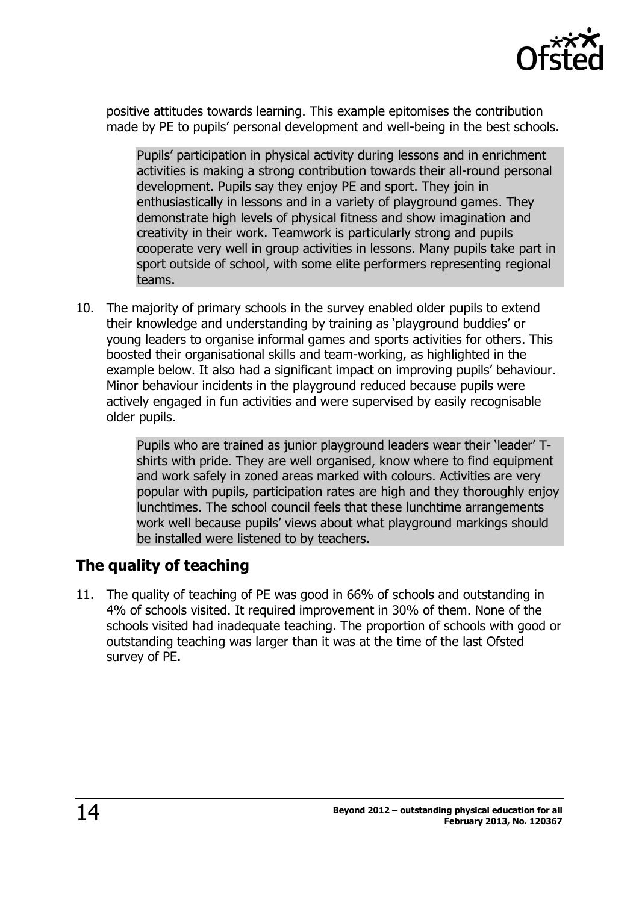

positive attitudes towards learning. This example epitomises the contribution made by PE to pupils' personal development and well-being in the best schools.

Pupils' participation in physical activity during lessons and in enrichment activities is making a strong contribution towards their all-round personal development. Pupils say they enjoy PE and sport. They join in enthusiastically in lessons and in a variety of playground games. They demonstrate high levels of physical fitness and show imagination and creativity in their work. Teamwork is particularly strong and pupils cooperate very well in group activities in lessons. Many pupils take part in sport outside of school, with some elite performers representing regional teams.

10. The majority of primary schools in the survey enabled older pupils to extend their knowledge and understanding by training as 'playground buddies' or young leaders to organise informal games and sports activities for others. This boosted their organisational skills and team-working, as highlighted in the example below. It also had a significant impact on improving pupils' behaviour. Minor behaviour incidents in the playground reduced because pupils were actively engaged in fun activities and were supervised by easily recognisable older pupils.

> Pupils who are trained as junior playground leaders wear their 'leader' Tshirts with pride. They are well organised, know where to find equipment and work safely in zoned areas marked with colours. Activities are very popular with pupils, participation rates are high and they thoroughly enjoy lunchtimes. The school council feels that these lunchtime arrangements work well because pupils' views about what playground markings should be installed were listened to by teachers.

## <span id="page-13-0"></span>**The quality of teaching**

11. The quality of teaching of PE was good in 66% of schools and outstanding in 4% of schools visited. It required improvement in 30% of them. None of the schools visited had inadequate teaching. The proportion of schools with good or outstanding teaching was larger than it was at the time of the last Ofsted survey of PE.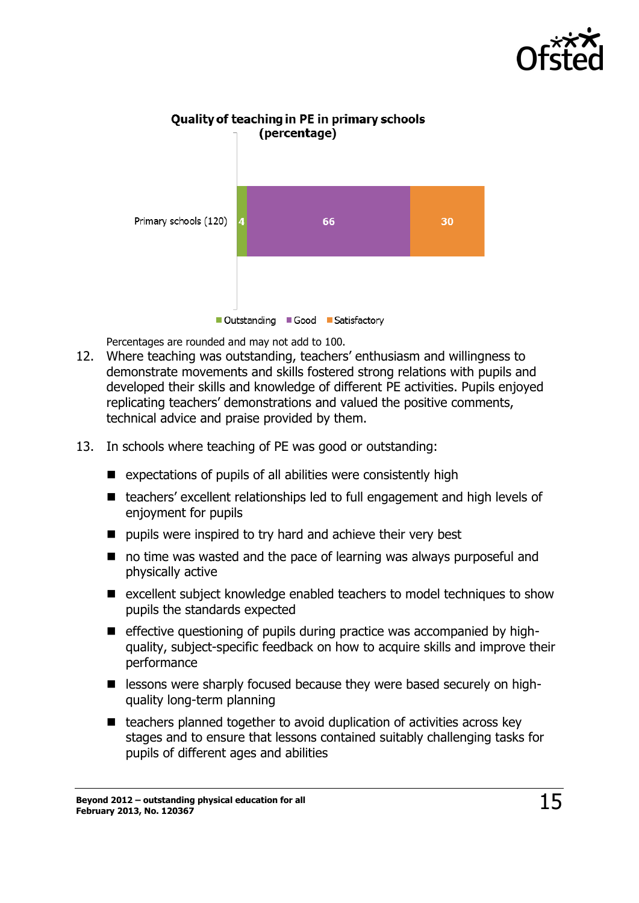



Quality of teaching in PE in primary schools

Percentages are rounded and may not add to 100.

- 12. Where teaching was outstanding, teachers' enthusiasm and willingness to demonstrate movements and skills fostered strong relations with pupils and developed their skills and knowledge of different PE activities. Pupils enjoyed replicating teachers' demonstrations and valued the positive comments, technical advice and praise provided by them.
- 13. In schools where teaching of PE was good or outstanding:
	- $\blacksquare$  expectations of pupils of all abilities were consistently high
	- teachers' excellent relationships led to full engagement and high levels of enjoyment for pupils
	- $\blacksquare$  pupils were inspired to try hard and achieve their very best
	- no time was wasted and the pace of learning was always purposeful and physically active
	- $\blacksquare$  excellent subject knowledge enabled teachers to model techniques to show pupils the standards expected
	- $\blacksquare$  effective questioning of pupils during practice was accompanied by highquality, subject-specific feedback on how to acquire skills and improve their performance
	- **E** lessons were sharply focused because they were based securely on highquality long-term planning
	- $\blacksquare$  teachers planned together to avoid duplication of activities across key stages and to ensure that lessons contained suitably challenging tasks for pupils of different ages and abilities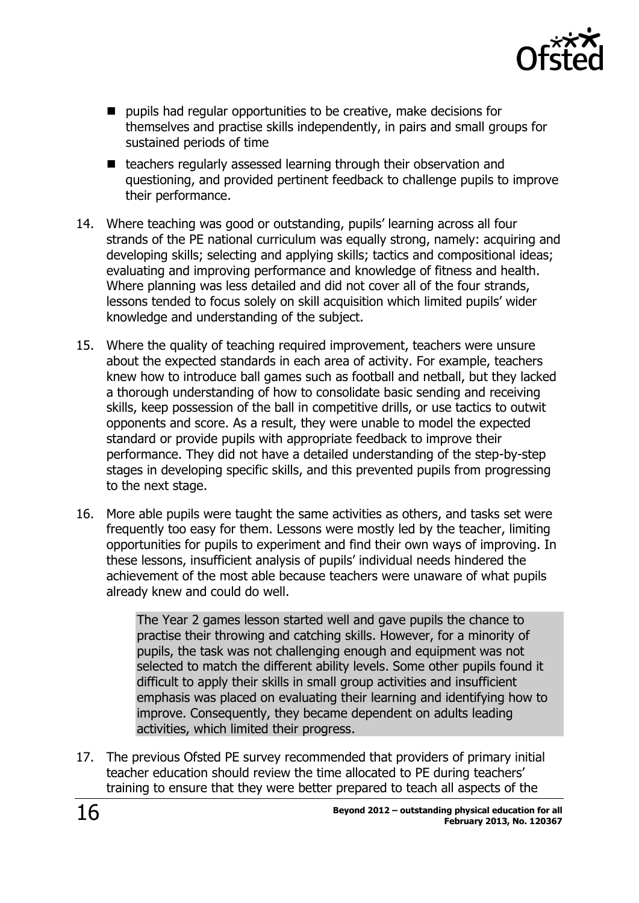

- $\blacksquare$  pupils had regular opportunities to be creative, make decisions for themselves and practise skills independently, in pairs and small groups for sustained periods of time
- teachers regularly assessed learning through their observation and questioning, and provided pertinent feedback to challenge pupils to improve their performance.
- 14. Where teaching was good or outstanding, pupils' learning across all four strands of the PE national curriculum was equally strong, namely: acquiring and developing skills; selecting and applying skills; tactics and compositional ideas; evaluating and improving performance and knowledge of fitness and health. Where planning was less detailed and did not cover all of the four strands, lessons tended to focus solely on skill acquisition which limited pupils' wider knowledge and understanding of the subject.
- 15. Where the quality of teaching required improvement, teachers were unsure about the expected standards in each area of activity. For example, teachers knew how to introduce ball games such as football and netball, but they lacked a thorough understanding of how to consolidate basic sending and receiving skills, keep possession of the ball in competitive drills, or use tactics to outwit opponents and score. As a result, they were unable to model the expected standard or provide pupils with appropriate feedback to improve their performance. They did not have a detailed understanding of the step-by-step stages in developing specific skills, and this prevented pupils from progressing to the next stage.
- 16. More able pupils were taught the same activities as others, and tasks set were frequently too easy for them. Lessons were mostly led by the teacher, limiting opportunities for pupils to experiment and find their own ways of improving. In these lessons, insufficient analysis of pupils' individual needs hindered the achievement of the most able because teachers were unaware of what pupils already knew and could do well.

The Year 2 games lesson started well and gave pupils the chance to practise their throwing and catching skills. However, for a minority of pupils, the task was not challenging enough and equipment was not selected to match the different ability levels. Some other pupils found it difficult to apply their skills in small group activities and insufficient emphasis was placed on evaluating their learning and identifying how to improve. Consequently, they became dependent on adults leading activities, which limited their progress.

17. The previous Ofsted PE survey recommended that providers of primary initial teacher education should review the time allocated to PE during teachers' training to ensure that they were better prepared to teach all aspects of the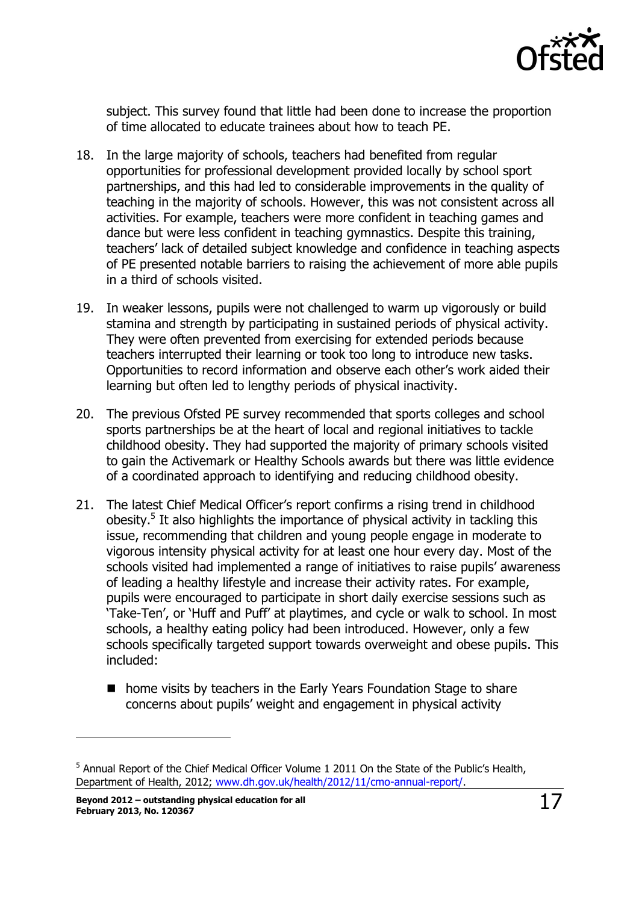

subject. This survey found that little had been done to increase the proportion of time allocated to educate trainees about how to teach PE.

- 18. In the large majority of schools, teachers had benefited from regular opportunities for professional development provided locally by school sport partnerships, and this had led to considerable improvements in the quality of teaching in the majority of schools. However, this was not consistent across all activities. For example, teachers were more confident in teaching games and dance but were less confident in teaching gymnastics. Despite this training, teachers' lack of detailed subject knowledge and confidence in teaching aspects of PE presented notable barriers to raising the achievement of more able pupils in a third of schools visited.
- 19. In weaker lessons, pupils were not challenged to warm up vigorously or build stamina and strength by participating in sustained periods of physical activity. They were often prevented from exercising for extended periods because teachers interrupted their learning or took too long to introduce new tasks. Opportunities to record information and observe each other's work aided their learning but often led to lengthy periods of physical inactivity.
- 20. The previous Ofsted PE survey recommended that sports colleges and school sports partnerships be at the heart of local and regional initiatives to tackle childhood obesity. They had supported the majority of primary schools visited to gain the Activemark or Healthy Schools awards but there was little evidence of a coordinated approach to identifying and reducing childhood obesity.
- 21. The latest Chief Medical Officer's report confirms a rising trend in childhood obesity.<sup>5</sup> It also highlights the importance of physical activity in tackling this issue, recommending that children and young people engage in moderate to vigorous intensity physical activity for at least one hour every day. Most of the schools visited had implemented a range of initiatives to raise pupils' awareness of leading a healthy lifestyle and increase their activity rates. For example, pupils were encouraged to participate in short daily exercise sessions such as 'Take-Ten', or 'Huff and Puff' at playtimes, and cycle or walk to school. In most schools, a healthy eating policy had been introduced. However, only a few schools specifically targeted support towards overweight and obese pupils. This included:
	- home visits by teachers in the Early Years Foundation Stage to share concerns about pupils' weight and engagement in physical activity

j

<sup>&</sup>lt;sup>5</sup> Annual Report of the Chief Medical Officer Volume 1 2011 On the State of the Public's Health, Department of Health, 2012; [www.dh.gov.uk/health/2012/11/cmo-annual-report/.](http://www.dh.gov.uk/health/2012/11/cmo-annual-report/)

**Beyond 2012 – outstanding physical education for all February 2013, No. 120367** 17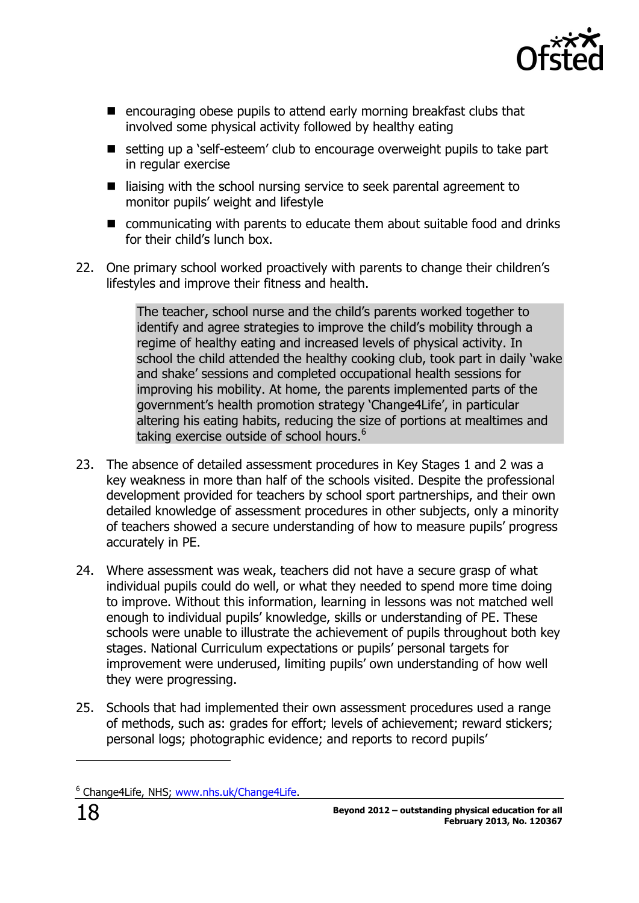

- $\blacksquare$  encouraging obese pupils to attend early morning breakfast clubs that involved some physical activity followed by healthy eating
- setting up a 'self-esteem' club to encourage overweight pupils to take part in regular exercise
- $\blacksquare$  liaising with the school nursing service to seek parental agreement to monitor pupils' weight and lifestyle
- communicating with parents to educate them about suitable food and drinks for their child's lunch box.
- 22. One primary school worked proactively with parents to change their children's lifestyles and improve their fitness and health.

The teacher, school nurse and the child's parents worked together to identify and agree strategies to improve the child's mobility through a regime of healthy eating and increased levels of physical activity. In school the child attended the healthy cooking club, took part in daily 'wake and shake' sessions and completed occupational health sessions for improving his mobility. At home, the parents implemented parts of the government's health promotion strategy 'Change4Life', in particular altering his eating habits, reducing the size of portions at mealtimes and taking exercise outside of school hours.<sup>6</sup>

- 23. The absence of detailed assessment procedures in Key Stages 1 and 2 was a key weakness in more than half of the schools visited. Despite the professional development provided for teachers by school sport partnerships, and their own detailed knowledge of assessment procedures in other subjects, only a minority of teachers showed a secure understanding of how to measure pupils' progress accurately in PE.
- 24. Where assessment was weak, teachers did not have a secure grasp of what individual pupils could do well, or what they needed to spend more time doing to improve. Without this information, learning in lessons was not matched well enough to individual pupils' knowledge, skills or understanding of PE. These schools were unable to illustrate the achievement of pupils throughout both key stages. National Curriculum expectations or pupils' personal targets for improvement were underused, limiting pupils' own understanding of how well they were progressing.
- 25. Schools that had implemented their own assessment procedures used a range of methods, such as: grades for effort; levels of achievement; reward stickers; personal logs; photographic evidence; and reports to record pupils'

j

<sup>&</sup>lt;sup>6</sup> Change4Life, NHS; [www.nhs.uk/Change4Life.](http://www.nhs.uk/Change4Life)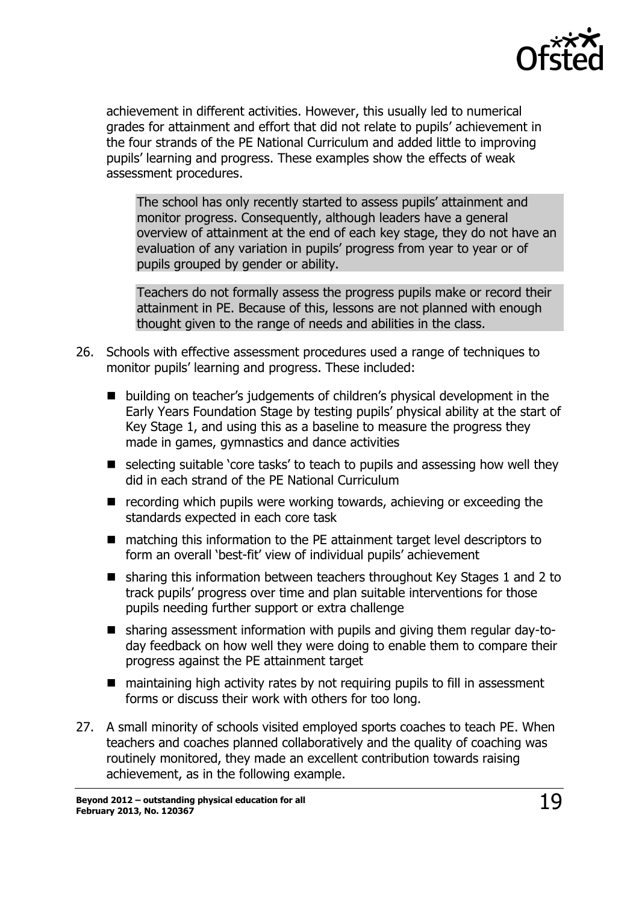

achievement in different activities. However, this usually led to numerical grades for attainment and effort that did not relate to pupils' achievement in the four strands of the PE National Curriculum and added little to improving pupils' learning and progress. These examples show the effects of weak assessment procedures.

The school has only recently started to assess pupils' attainment and monitor progress. Consequently, although leaders have a general overview of attainment at the end of each key stage, they do not have an evaluation of any variation in pupils' progress from year to year or of pupils grouped by gender or ability.

Teachers do not formally assess the progress pupils make or record their attainment in PE. Because of this, lessons are not planned with enough thought given to the range of needs and abilities in the class.

- 26. Schools with effective assessment procedures used a range of techniques to monitor pupils' learning and progress. These included:
	- building on teacher's judgements of children's physical development in the Early Years Foundation Stage by testing pupils' physical ability at the start of Key Stage 1, and using this as a baseline to measure the progress they made in games, gymnastics and dance activities
	- selecting suitable 'core tasks' to teach to pupils and assessing how well they did in each strand of the PE National Curriculum
	- $\blacksquare$  recording which pupils were working towards, achieving or exceeding the standards expected in each core task
	- matching this information to the PE attainment target level descriptors to form an overall 'best-fit' view of individual pupils' achievement
	- sharing this information between teachers throughout Key Stages 1 and 2 to track pupils' progress over time and plan suitable interventions for those pupils needing further support or extra challenge
	- sharing assessment information with pupils and giving them regular day-today feedback on how well they were doing to enable them to compare their progress against the PE attainment target
	- maintaining high activity rates by not requiring pupils to fill in assessment forms or discuss their work with others for too long.
- 27. A small minority of schools visited employed sports coaches to teach PE. When teachers and coaches planned collaboratively and the quality of coaching was routinely monitored, they made an excellent contribution towards raising achievement, as in the following example.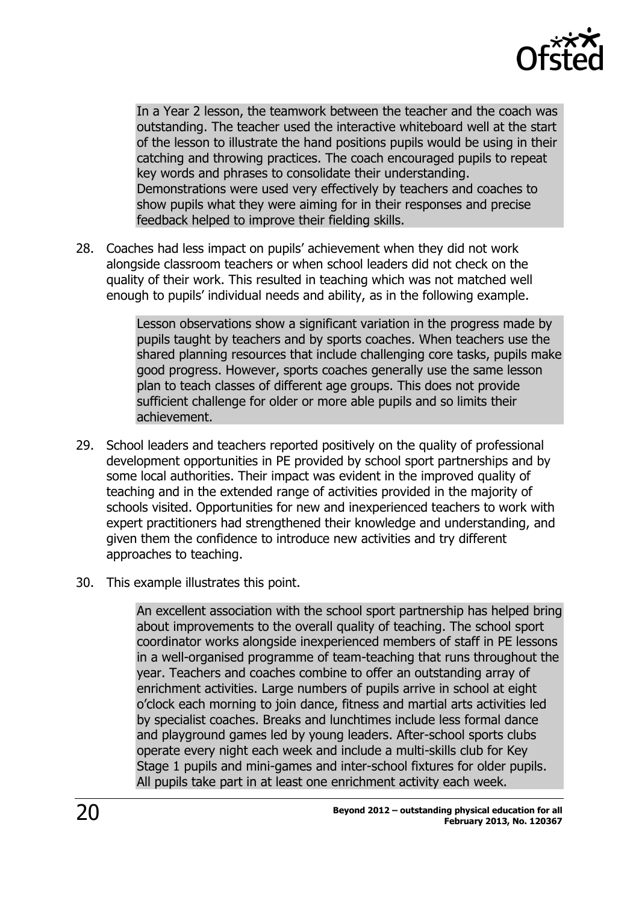

In a Year 2 lesson, the teamwork between the teacher and the coach was outstanding. The teacher used the interactive whiteboard well at the start of the lesson to illustrate the hand positions pupils would be using in their catching and throwing practices. The coach encouraged pupils to repeat key words and phrases to consolidate their understanding. Demonstrations were used very effectively by teachers and coaches to show pupils what they were aiming for in their responses and precise feedback helped to improve their fielding skills.

28. Coaches had less impact on pupils' achievement when they did not work alongside classroom teachers or when school leaders did not check on the quality of their work. This resulted in teaching which was not matched well enough to pupils' individual needs and ability, as in the following example.

> Lesson observations show a significant variation in the progress made by pupils taught by teachers and by sports coaches. When teachers use the shared planning resources that include challenging core tasks, pupils make good progress. However, sports coaches generally use the same lesson plan to teach classes of different age groups. This does not provide sufficient challenge for older or more able pupils and so limits their achievement.

- 29. School leaders and teachers reported positively on the quality of professional development opportunities in PE provided by school sport partnerships and by some local authorities. Their impact was evident in the improved quality of teaching and in the extended range of activities provided in the majority of schools visited. Opportunities for new and inexperienced teachers to work with expert practitioners had strengthened their knowledge and understanding, and given them the confidence to introduce new activities and try different approaches to teaching.
- 30. This example illustrates this point.

An excellent association with the school sport partnership has helped bring about improvements to the overall quality of teaching. The school sport coordinator works alongside inexperienced members of staff in PE lessons in a well-organised programme of team-teaching that runs throughout the year. Teachers and coaches combine to offer an outstanding array of enrichment activities. Large numbers of pupils arrive in school at eight o'clock each morning to join dance, fitness and martial arts activities led by specialist coaches. Breaks and lunchtimes include less formal dance and playground games led by young leaders. After-school sports clubs operate every night each week and include a multi-skills club for Key Stage 1 pupils and mini-games and inter-school fixtures for older pupils. All pupils take part in at least one enrichment activity each week.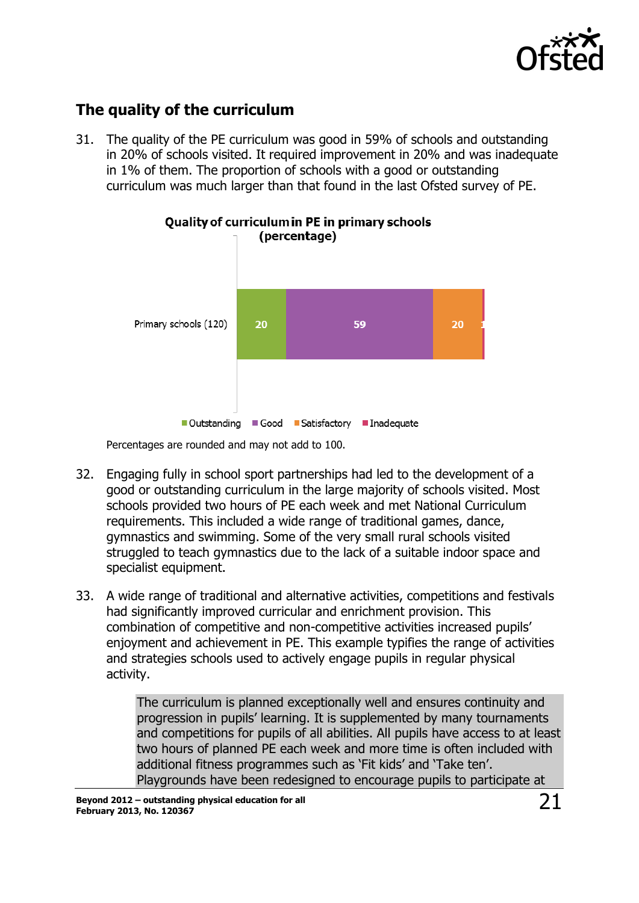

## <span id="page-20-0"></span>**The quality of the curriculum**

31. The quality of the PE curriculum was good in 59% of schools and outstanding in 20% of schools visited. It required improvement in 20% and was inadequate in 1% of them. The proportion of schools with a good or outstanding curriculum was much larger than that found in the last Ofsted survey of PE.



# **Quality of curriculum in PE in primary schools**

Percentages are rounded and may not add to 100.

- 32. Engaging fully in school sport partnerships had led to the development of a good or outstanding curriculum in the large majority of schools visited. Most schools provided two hours of PE each week and met National Curriculum requirements. This included a wide range of traditional games, dance, gymnastics and swimming. Some of the very small rural schools visited struggled to teach gymnastics due to the lack of a suitable indoor space and specialist equipment.
- 33. A wide range of traditional and alternative activities, competitions and festivals had significantly improved curricular and enrichment provision. This combination of competitive and non-competitive activities increased pupils' enjoyment and achievement in PE. This example typifies the range of activities and strategies schools used to actively engage pupils in regular physical activity.

The curriculum is planned exceptionally well and ensures continuity and progression in pupils' learning. It is supplemented by many tournaments and competitions for pupils of all abilities. All pupils have access to at least two hours of planned PE each week and more time is often included with additional fitness programmes such as 'Fit kids' and 'Take ten'. Playgrounds have been redesigned to encourage pupils to participate at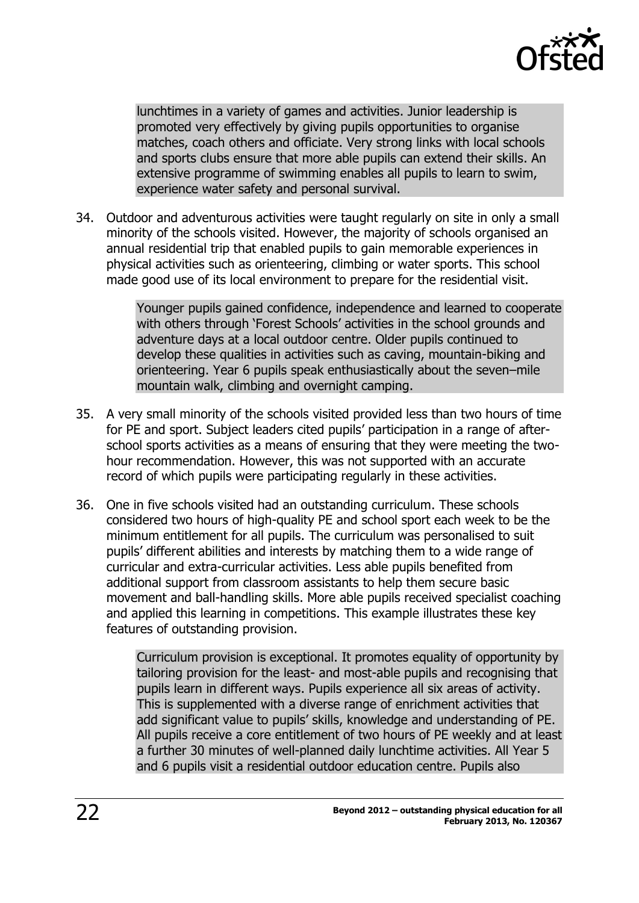

lunchtimes in a variety of games and activities. Junior leadership is promoted very effectively by giving pupils opportunities to organise matches, coach others and officiate. Very strong links with local schools and sports clubs ensure that more able pupils can extend their skills. An extensive programme of swimming enables all pupils to learn to swim, experience water safety and personal survival.

34. Outdoor and adventurous activities were taught regularly on site in only a small minority of the schools visited. However, the majority of schools organised an annual residential trip that enabled pupils to gain memorable experiences in physical activities such as orienteering, climbing or water sports. This school made good use of its local environment to prepare for the residential visit.

> Younger pupils gained confidence, independence and learned to cooperate with others through 'Forest Schools' activities in the school grounds and adventure days at a local outdoor centre. Older pupils continued to develop these qualities in activities such as caving, mountain-biking and orienteering. Year 6 pupils speak enthusiastically about the seven–mile mountain walk, climbing and overnight camping.

- 35. A very small minority of the schools visited provided less than two hours of time for PE and sport. Subject leaders cited pupils' participation in a range of afterschool sports activities as a means of ensuring that they were meeting the twohour recommendation. However, this was not supported with an accurate record of which pupils were participating regularly in these activities.
- 36. One in five schools visited had an outstanding curriculum. These schools considered two hours of high-quality PE and school sport each week to be the minimum entitlement for all pupils. The curriculum was personalised to suit pupils' different abilities and interests by matching them to a wide range of curricular and extra-curricular activities. Less able pupils benefited from additional support from classroom assistants to help them secure basic movement and ball-handling skills. More able pupils received specialist coaching and applied this learning in competitions. This example illustrates these key features of outstanding provision.

Curriculum provision is exceptional. It promotes equality of opportunity by tailoring provision for the least- and most-able pupils and recognising that pupils learn in different ways. Pupils experience all six areas of activity. This is supplemented with a diverse range of enrichment activities that add significant value to pupils' skills, knowledge and understanding of PE. All pupils receive a core entitlement of two hours of PE weekly and at least a further 30 minutes of well-planned daily lunchtime activities. All Year 5 and 6 pupils visit a residential outdoor education centre. Pupils also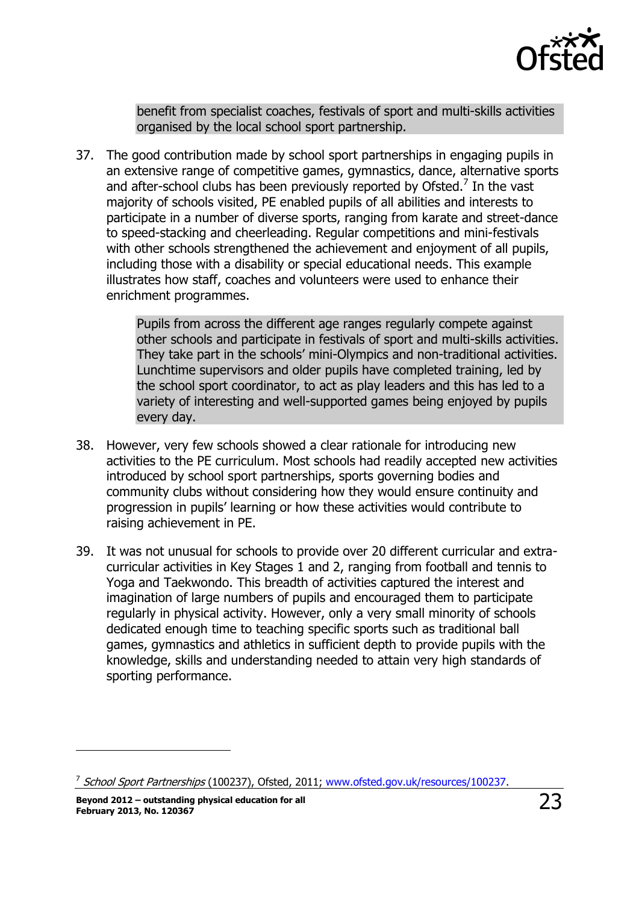

benefit from specialist coaches, festivals of sport and multi-skills activities organised by the local school sport partnership.

37. The good contribution made by school sport partnerships in engaging pupils in an extensive range of competitive games, gymnastics, dance, alternative sports and after-school clubs has been previously reported by Ofsted. $<sup>7</sup>$  In the vast</sup> majority of schools visited, PE enabled pupils of all abilities and interests to participate in a number of diverse sports, ranging from karate and street-dance to speed-stacking and cheerleading. Regular competitions and mini-festivals with other schools strengthened the achievement and enjoyment of all pupils, including those with a disability or special educational needs. This example illustrates how staff, coaches and volunteers were used to enhance their enrichment programmes.

> Pupils from across the different age ranges regularly compete against other schools and participate in festivals of sport and multi-skills activities. They take part in the schools' mini-Olympics and non-traditional activities. Lunchtime supervisors and older pupils have completed training, led by the school sport coordinator, to act as play leaders and this has led to a variety of interesting and well-supported games being enjoyed by pupils every day.

- 38. However, very few schools showed a clear rationale for introducing new activities to the PE curriculum. Most schools had readily accepted new activities introduced by school sport partnerships, sports governing bodies and community clubs without considering how they would ensure continuity and progression in pupils' learning or how these activities would contribute to raising achievement in PE.
- 39. It was not unusual for schools to provide over 20 different curricular and extracurricular activities in Key Stages 1 and 2, ranging from football and tennis to Yoga and Taekwondo. This breadth of activities captured the interest and imagination of large numbers of pupils and encouraged them to participate regularly in physical activity. However, only a very small minority of schools dedicated enough time to teaching specific sports such as traditional ball games, gymnastics and athletics in sufficient depth to provide pupils with the knowledge, skills and understanding needed to attain very high standards of sporting performance.

 $\overline{a}$ 

<sup>&</sup>lt;sup>7</sup> School Sport Partnerships (100237), Ofsted, 2011; [www.ofsted.gov.uk/resources/100237.](http://www.ofsted.gov.uk/resources/100237)

**Beyond 2012 – outstanding physical education for all February 2013, No. 120367** 23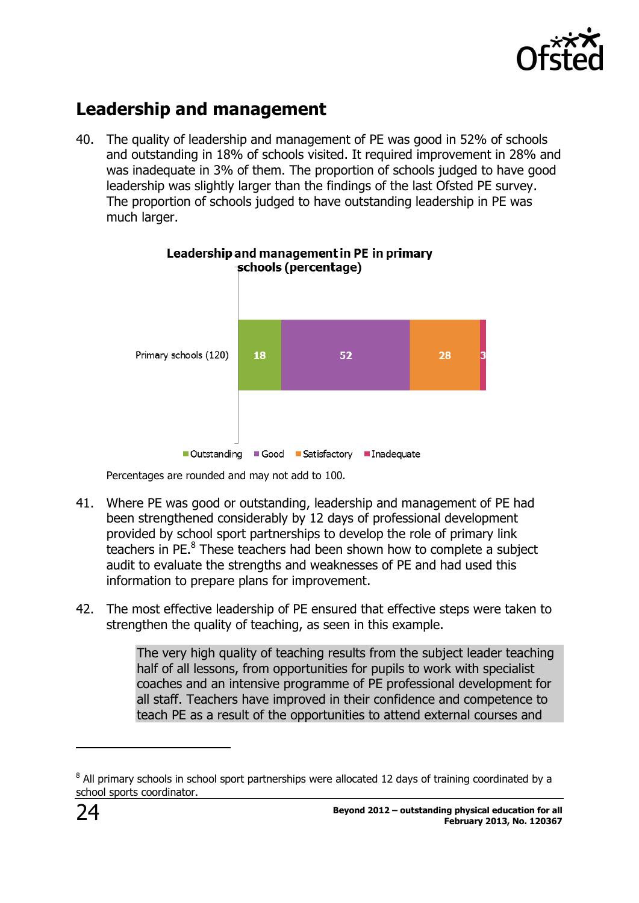

## <span id="page-23-0"></span>**Leadership and management**

40. The quality of leadership and management of PE was good in 52% of schools and outstanding in 18% of schools visited. It required improvement in 28% and was inadequate in 3% of them. The proportion of schools judged to have good leadership was slightly larger than the findings of the last Ofsted PE survey. The proportion of schools judged to have outstanding leadership in PE was much larger.



#### Leadership and management in PE in primary schools (percentage)

Percentages are rounded and may not add to 100.

- 41. Where PE was good or outstanding, leadership and management of PE had been strengthened considerably by 12 days of professional development provided by school sport partnerships to develop the role of primary link teachers in PE.<sup>8</sup> These teachers had been shown how to complete a subject audit to evaluate the strengths and weaknesses of PE and had used this information to prepare plans for improvement.
- 42. The most effective leadership of PE ensured that effective steps were taken to strengthen the quality of teaching, as seen in this example.

The very high quality of teaching results from the subject leader teaching half of all lessons, from opportunities for pupils to work with specialist coaches and an intensive programme of PE professional development for all staff. Teachers have improved in their confidence and competence to teach PE as a result of the opportunities to attend external courses and

j

 $^8$  All primary schools in school sport partnerships were allocated 12 days of training coordinated by a school sports coordinator.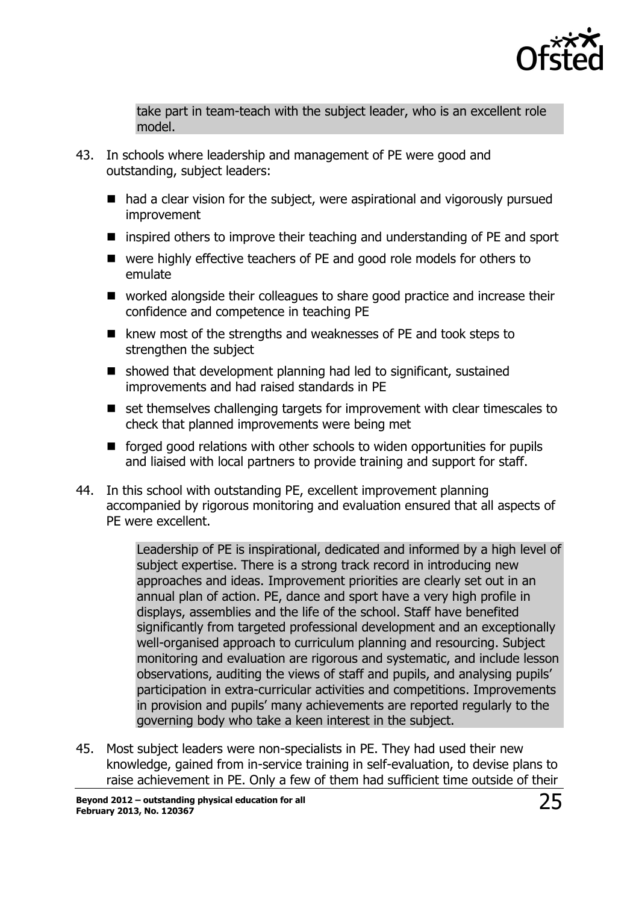

take part in team-teach with the subject leader, who is an excellent role model.

- 43. In schools where leadership and management of PE were good and outstanding, subject leaders:
	- had a clear vision for the subject, were aspirational and vigorously pursued improvement
	- inspired others to improve their teaching and understanding of PE and sport
	- were highly effective teachers of PE and good role models for others to emulate
	- worked alongside their colleagues to share good practice and increase their confidence and competence in teaching PE
	- knew most of the strengths and weaknesses of PE and took steps to strengthen the subject
	- showed that development planning had led to significant, sustained improvements and had raised standards in PE
	- set themselves challenging targets for improvement with clear timescales to check that planned improvements were being met
	- forged good relations with other schools to widen opportunities for pupils and liaised with local partners to provide training and support for staff.
- 44. In this school with outstanding PE, excellent improvement planning accompanied by rigorous monitoring and evaluation ensured that all aspects of PE were excellent.

Leadership of PE is inspirational, dedicated and informed by a high level of subject expertise. There is a strong track record in introducing new approaches and ideas. Improvement priorities are clearly set out in an annual plan of action. PE, dance and sport have a very high profile in displays, assemblies and the life of the school. Staff have benefited significantly from targeted professional development and an exceptionally well-organised approach to curriculum planning and resourcing. Subject monitoring and evaluation are rigorous and systematic, and include lesson observations, auditing the views of staff and pupils, and analysing pupils' participation in extra-curricular activities and competitions. Improvements in provision and pupils' many achievements are reported regularly to the governing body who take a keen interest in the subject.

45. Most subject leaders were non-specialists in PE. They had used their new knowledge, gained from in-service training in self-evaluation, to devise plans to raise achievement in PE. Only a few of them had sufficient time outside of their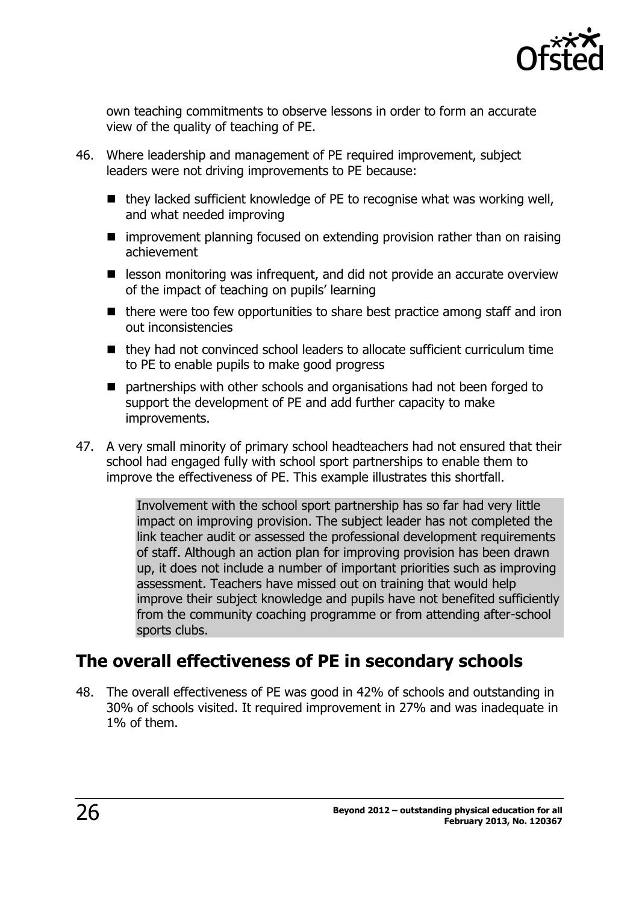

own teaching commitments to observe lessons in order to form an accurate view of the quality of teaching of PE.

- 46. Where leadership and management of PE required improvement, subject leaders were not driving improvements to PE because:
	- $\blacksquare$  they lacked sufficient knowledge of PE to recognise what was working well, and what needed improving
	- improvement planning focused on extending provision rather than on raising achievement
	- **E** lesson monitoring was infrequent, and did not provide an accurate overview of the impact of teaching on pupils' learning
	- $\blacksquare$  there were too few opportunities to share best practice among staff and iron out inconsistencies
	- they had not convinced school leaders to allocate sufficient curriculum time to PE to enable pupils to make good progress
	- partnerships with other schools and organisations had not been forged to support the development of PE and add further capacity to make improvements.
- 47. A very small minority of primary school headteachers had not ensured that their school had engaged fully with school sport partnerships to enable them to improve the effectiveness of PE. This example illustrates this shortfall.

Involvement with the school sport partnership has so far had very little impact on improving provision. The subject leader has not completed the link teacher audit or assessed the professional development requirements of staff. Although an action plan for improving provision has been drawn up, it does not include a number of important priorities such as improving assessment. Teachers have missed out on training that would help improve their subject knowledge and pupils have not benefited sufficiently from the community coaching programme or from attending after-school sports clubs.

## <span id="page-25-0"></span>**The overall effectiveness of PE in secondary schools**

48. The overall effectiveness of PE was good in 42% of schools and outstanding in 30% of schools visited. It required improvement in 27% and was inadequate in 1% of them.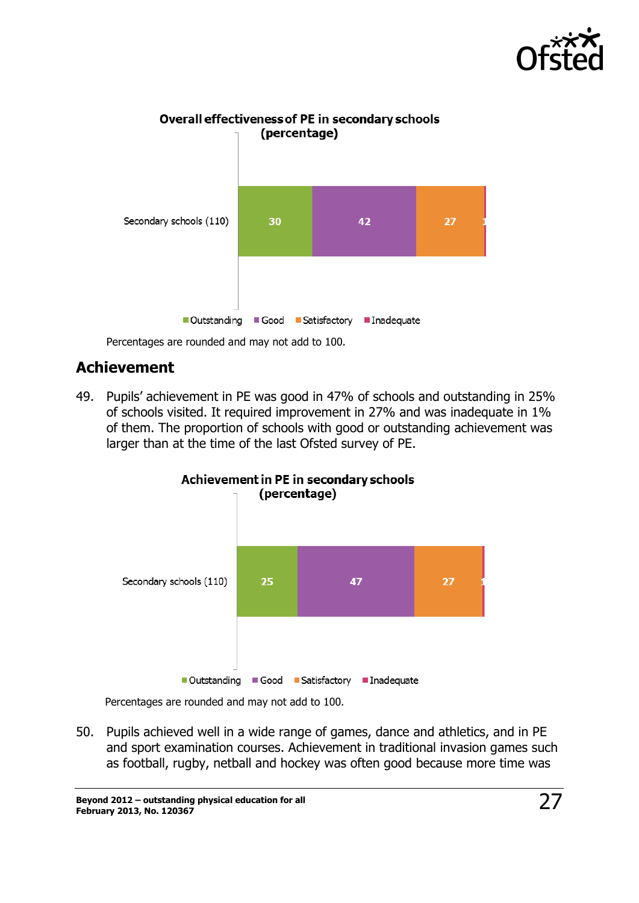



Percentages are rounded and may not add to 100.

### <span id="page-26-0"></span>**Achievement**

49. Pupils' achievement in PE was good in 47% of schools and outstanding in 25% of schools visited. It required improvement in 27% and was inadequate in 1% of them. The proportion of schools with good or outstanding achievement was larger than at the time of the last Ofsted survey of PE.



Achievement in PE in secondary schools

Percentages are rounded and may not add to 100.

50. Pupils achieved well in a wide range of games, dance and athletics, and in PE and sport examination courses. Achievement in traditional invasion games such as football, rugby, netball and hockey was often good because more time was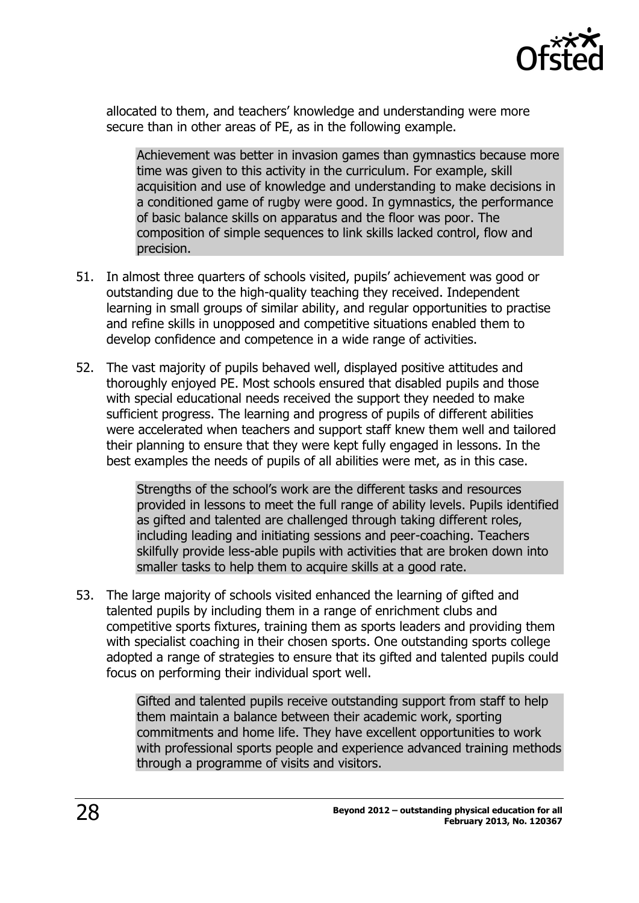

allocated to them, and teachers' knowledge and understanding were more secure than in other areas of PE, as in the following example.

Achievement was better in invasion games than gymnastics because more time was given to this activity in the curriculum. For example, skill acquisition and use of knowledge and understanding to make decisions in a conditioned game of rugby were good. In gymnastics, the performance of basic balance skills on apparatus and the floor was poor. The composition of simple sequences to link skills lacked control, flow and precision.

- 51. In almost three quarters of schools visited, pupils' achievement was good or outstanding due to the high-quality teaching they received. Independent learning in small groups of similar ability, and regular opportunities to practise and refine skills in unopposed and competitive situations enabled them to develop confidence and competence in a wide range of activities.
- 52. The vast majority of pupils behaved well, displayed positive attitudes and thoroughly enjoyed PE. Most schools ensured that disabled pupils and those with special educational needs received the support they needed to make sufficient progress. The learning and progress of pupils of different abilities were accelerated when teachers and support staff knew them well and tailored their planning to ensure that they were kept fully engaged in lessons. In the best examples the needs of pupils of all abilities were met, as in this case.

Strengths of the school's work are the different tasks and resources provided in lessons to meet the full range of ability levels. Pupils identified as gifted and talented are challenged through taking different roles, including leading and initiating sessions and peer-coaching. Teachers skilfully provide less-able pupils with activities that are broken down into smaller tasks to help them to acquire skills at a good rate.

53. The large majority of schools visited enhanced the learning of gifted and talented pupils by including them in a range of enrichment clubs and competitive sports fixtures, training them as sports leaders and providing them with specialist coaching in their chosen sports. One outstanding sports college adopted a range of strategies to ensure that its gifted and talented pupils could focus on performing their individual sport well.

> Gifted and talented pupils receive outstanding support from staff to help them maintain a balance between their academic work, sporting commitments and home life. They have excellent opportunities to work with professional sports people and experience advanced training methods through a programme of visits and visitors.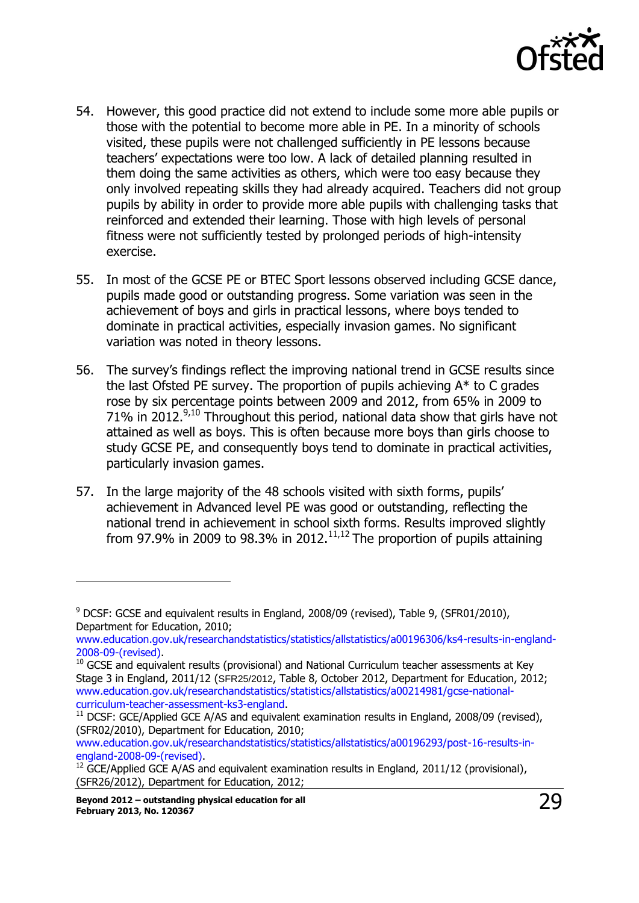

- 54. However, this good practice did not extend to include some more able pupils or those with the potential to become more able in PE. In a minority of schools visited, these pupils were not challenged sufficiently in PE lessons because teachers' expectations were too low. A lack of detailed planning resulted in them doing the same activities as others, which were too easy because they only involved repeating skills they had already acquired. Teachers did not group pupils by ability in order to provide more able pupils with challenging tasks that reinforced and extended their learning. Those with high levels of personal fitness were not sufficiently tested by prolonged periods of high-intensity exercise.
- 55. In most of the GCSE PE or BTEC Sport lessons observed including GCSE dance, pupils made good or outstanding progress. Some variation was seen in the achievement of boys and girls in practical lessons, where boys tended to dominate in practical activities, especially invasion games. No significant variation was noted in theory lessons.
- 56. The survey's findings reflect the improving national trend in GCSE results since the last Ofsted PE survey. The proportion of pupils achieving A\* to C grades rose by six percentage points between 2009 and 2012, from 65% in 2009 to 71% in 2012.<sup>9,10</sup> Throughout this period, national data show that girls have not attained as well as boys. This is often because more boys than girls choose to study GCSE PE, and consequently boys tend to dominate in practical activities, particularly invasion games.
- 57. In the large majority of the 48 schools visited with sixth forms, pupils' achievement in Advanced level PE was good or outstanding, reflecting the national trend in achievement in school sixth forms. Results improved slightly from 97.9% in 2009 to 98.3% in 2012. $11,12$  The proportion of pupils attaining

[www.education.gov.uk/researchandstatistics/statistics/allstatistics/a00196293/post-16-results-in](http://www.education.gov.uk/researchandstatistics/statistics/allstatistics/a00196293/post-16-results-in-england-2008-09-(revised))[england-2008-09-\(revised\).](http://www.education.gov.uk/researchandstatistics/statistics/allstatistics/a00196293/post-16-results-in-england-2008-09-(revised))

 $\overline{a}$ 

<sup>9</sup> DCSF: GCSE and equivalent results in England, 2008/09 (revised), Table 9, (SFR01/2010), Department for Education, 2010;

[www.education.gov.uk/researchandstatistics/statistics/allstatistics/a00196306/ks4-results-in-england-](http://www.education.gov.uk/researchandstatistics/statistics/allstatistics/a00196306/ks4-results-in-england-2008-09-(revised))[2008-09-\(revised\).](http://www.education.gov.uk/researchandstatistics/statistics/allstatistics/a00196306/ks4-results-in-england-2008-09-(revised))

 $10$  GCSE and equivalent results (provisional) and National Curriculum teacher assessments at Key Stage 3 in England, 2011/12 (SFR25/2012, Table 8, October 2012, Department for Education, 2012; [www.education.gov.uk/researchandstatistics/statistics/allstatistics/a00214981/gcse-national](http://www.education.gov.uk/researchandstatistics/statistics/allstatistics/a00214981/gcse-national-curriculum-teacher-assessment-ks3-england)[curriculum-teacher-assessment-ks3-england.](http://www.education.gov.uk/researchandstatistics/statistics/allstatistics/a00214981/gcse-national-curriculum-teacher-assessment-ks3-england)

 $11$  DCSF: GCE/Applied GCE A/AS and equivalent examination results in England, 2008/09 (revised), (SFR02/2010), Department for Education, 2010;

 $12$  GCE/Applied GCE A/AS and equivalent examination results in England, 2011/12 (provisional), (SFR26/2012), Department for Education, 2012;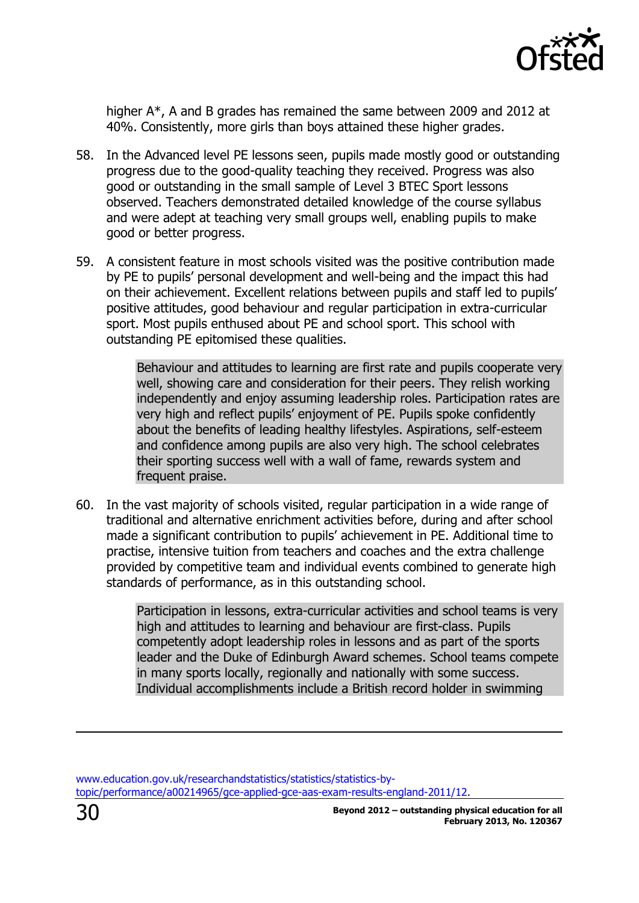

higher A\*, A and B grades has remained the same between 2009 and 2012 at 40%. Consistently, more girls than boys attained these higher grades.

- 58. In the Advanced level PE lessons seen, pupils made mostly good or outstanding progress due to the good-quality teaching they received. Progress was also good or outstanding in the small sample of Level 3 BTEC Sport lessons observed. Teachers demonstrated detailed knowledge of the course syllabus and were adept at teaching very small groups well, enabling pupils to make good or better progress.
- 59. A consistent feature in most schools visited was the positive contribution made by PE to pupils' personal development and well-being and the impact this had on their achievement. Excellent relations between pupils and staff led to pupils' positive attitudes, good behaviour and regular participation in extra-curricular sport. Most pupils enthused about PE and school sport. This school with outstanding PE epitomised these qualities.

Behaviour and attitudes to learning are first rate and pupils cooperate very well, showing care and consideration for their peers. They relish working independently and enjoy assuming leadership roles. Participation rates are very high and reflect pupils' enjoyment of PE. Pupils spoke confidently about the benefits of leading healthy lifestyles. Aspirations, self-esteem and confidence among pupils are also very high. The school celebrates their sporting success well with a wall of fame, rewards system and frequent praise.

60. In the vast majority of schools visited, regular participation in a wide range of traditional and alternative enrichment activities before, during and after school made a significant contribution to pupils' achievement in PE. Additional time to practise, intensive tuition from teachers and coaches and the extra challenge provided by competitive team and individual events combined to generate high standards of performance, as in this outstanding school.

> Participation in lessons, extra-curricular activities and school teams is very high and attitudes to learning and behaviour are first-class. Pupils competently adopt leadership roles in lessons and as part of the sports leader and the Duke of Edinburgh Award schemes. School teams compete in many sports locally, regionally and nationally with some success. Individual accomplishments include a British record holder in swimming

[www.education.gov.uk/researchandstatistics/statistics/statistics-by](http://www.education.gov.uk/researchandstatistics/statistics/statistics-by-topic/performance/a00214965/gce-applied-gce-aas-exam-results-england-2011/12)[topic/performance/a00214965/gce-applied-gce-aas-exam-results-england-2011/12.](http://www.education.gov.uk/researchandstatistics/statistics/statistics-by-topic/performance/a00214965/gce-applied-gce-aas-exam-results-england-2011/12)

j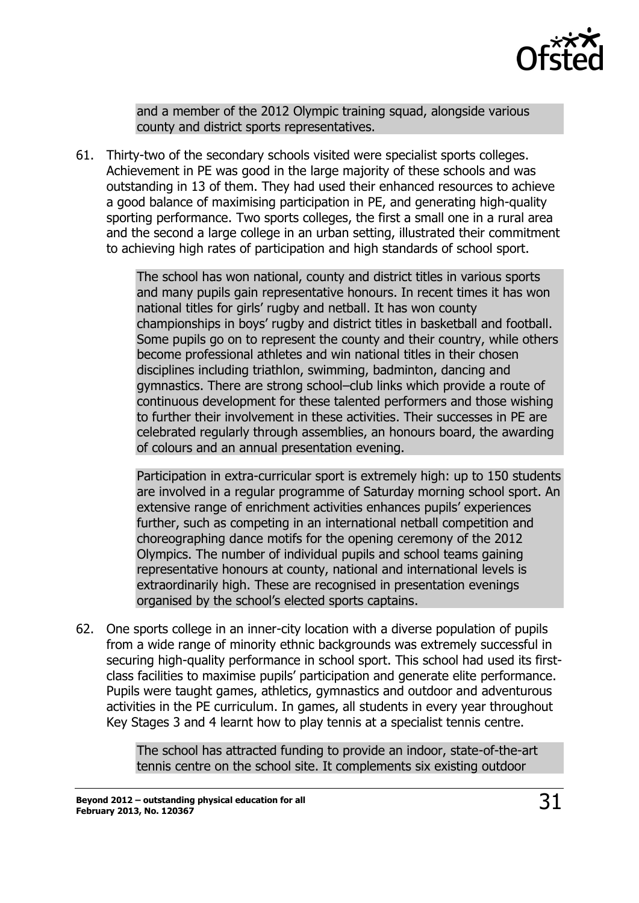

and a member of the 2012 Olympic training squad, alongside various county and district sports representatives.

61. Thirty-two of the secondary schools visited were specialist sports colleges. Achievement in PE was good in the large majority of these schools and was outstanding in 13 of them. They had used their enhanced resources to achieve a good balance of maximising participation in PE, and generating high-quality sporting performance. Two sports colleges, the first a small one in a rural area and the second a large college in an urban setting, illustrated their commitment to achieving high rates of participation and high standards of school sport.

> The school has won national, county and district titles in various sports and many pupils gain representative honours. In recent times it has won national titles for girls' rugby and netball. It has won county championships in boys' rugby and district titles in basketball and football. Some pupils go on to represent the county and their country, while others become professional athletes and win national titles in their chosen disciplines including triathlon, swimming, badminton, dancing and gymnastics. There are strong school–club links which provide a route of continuous development for these talented performers and those wishing to further their involvement in these activities. Their successes in PE are celebrated regularly through assemblies, an honours board, the awarding of colours and an annual presentation evening.

> Participation in extra-curricular sport is extremely high: up to 150 students are involved in a regular programme of Saturday morning school sport. An extensive range of enrichment activities enhances pupils' experiences further, such as competing in an international netball competition and choreographing dance motifs for the opening ceremony of the 2012 Olympics. The number of individual pupils and school teams gaining representative honours at county, national and international levels is extraordinarily high. These are recognised in presentation evenings organised by the school's elected sports captains.

62. One sports college in an inner-city location with a diverse population of pupils from a wide range of minority ethnic backgrounds was extremely successful in securing high-quality performance in school sport. This school had used its firstclass facilities to maximise pupils' participation and generate elite performance. Pupils were taught games, athletics, gymnastics and outdoor and adventurous activities in the PE curriculum. In games, all students in every year throughout Key Stages 3 and 4 learnt how to play tennis at a specialist tennis centre.

> The school has attracted funding to provide an indoor, state-of-the-art tennis centre on the school site. It complements six existing outdoor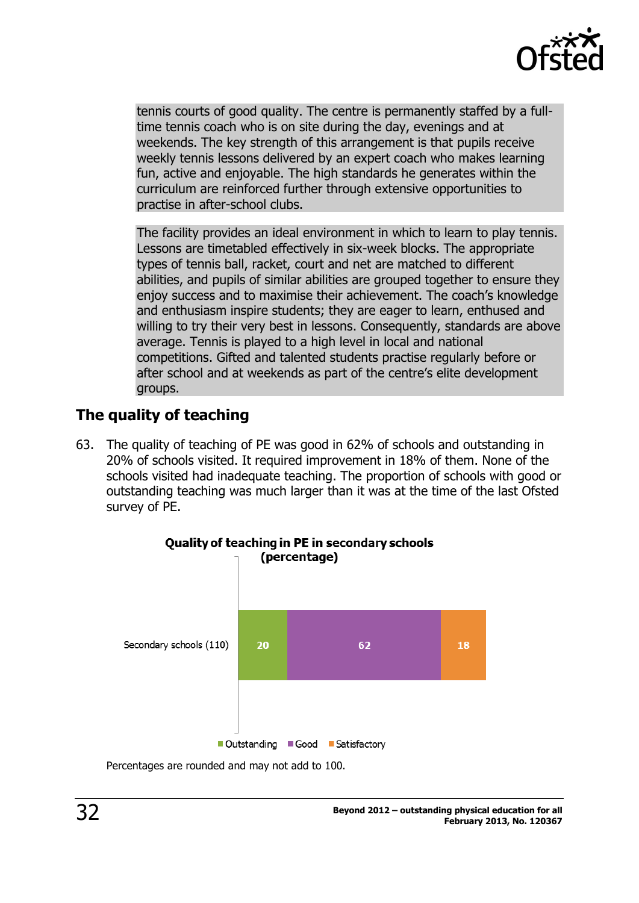

tennis courts of good quality. The centre is permanently staffed by a fulltime tennis coach who is on site during the day, evenings and at weekends. The key strength of this arrangement is that pupils receive weekly tennis lessons delivered by an expert coach who makes learning fun, active and enjoyable. The high standards he generates within the curriculum are reinforced further through extensive opportunities to practise in after-school clubs.

The facility provides an ideal environment in which to learn to play tennis. Lessons are timetabled effectively in six-week blocks. The appropriate types of tennis ball, racket, court and net are matched to different abilities, and pupils of similar abilities are grouped together to ensure they enjoy success and to maximise their achievement. The coach's knowledge and enthusiasm inspire students; they are eager to learn, enthused and willing to try their very best in lessons. Consequently, standards are above average. Tennis is played to a high level in local and national competitions. Gifted and talented students practise regularly before or after school and at weekends as part of the centre's elite development groups.

## <span id="page-31-0"></span>**The quality of teaching**

63. The quality of teaching of PE was good in 62% of schools and outstanding in 20% of schools visited. It required improvement in 18% of them. None of the schools visited had inadequate teaching. The proportion of schools with good or outstanding teaching was much larger than it was at the time of the last Ofsted survey of PE.



Percentages are rounded and may not add to 100.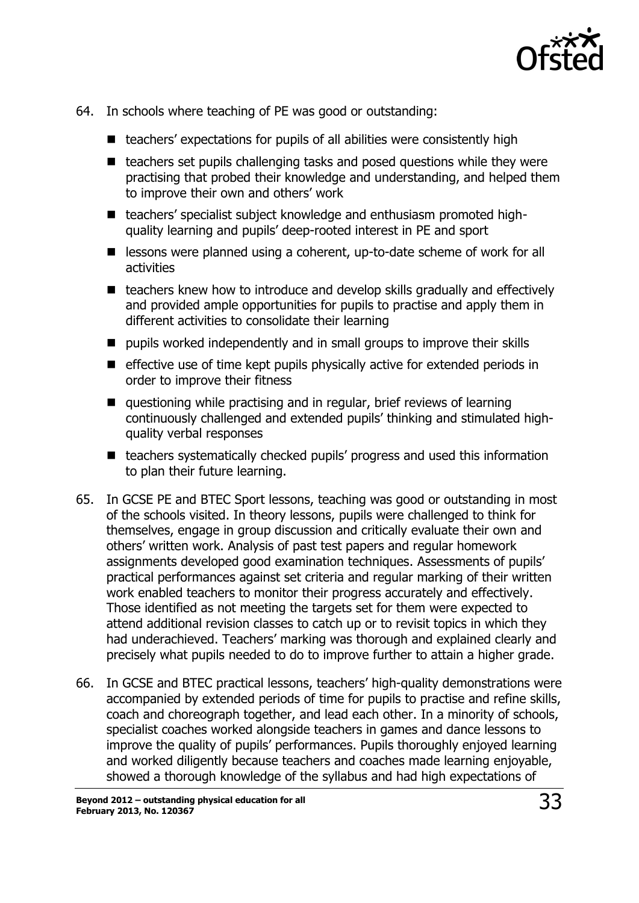

- 64. In schools where teaching of PE was good or outstanding:
	- teachers' expectations for pupils of all abilities were consistently high
	- $\blacksquare$  teachers set pupils challenging tasks and posed questions while they were practising that probed their knowledge and understanding, and helped them to improve their own and others' work
	- teachers' specialist subject knowledge and enthusiasm promoted highquality learning and pupils' deep-rooted interest in PE and sport
	- lessons were planned using a coherent, up-to-date scheme of work for all activities
	- teachers knew how to introduce and develop skills gradually and effectively and provided ample opportunities for pupils to practise and apply them in different activities to consolidate their learning
	- $\blacksquare$  pupils worked independently and in small groups to improve their skills
	- $\blacksquare$  effective use of time kept pupils physically active for extended periods in order to improve their fitness
	- questioning while practising and in regular, brief reviews of learning continuously challenged and extended pupils' thinking and stimulated highquality verbal responses
	- teachers systematically checked pupils' progress and used this information to plan their future learning.
- 65. In GCSE PE and BTEC Sport lessons, teaching was good or outstanding in most of the schools visited. In theory lessons, pupils were challenged to think for themselves, engage in group discussion and critically evaluate their own and others' written work. Analysis of past test papers and regular homework assignments developed good examination techniques. Assessments of pupils' practical performances against set criteria and regular marking of their written work enabled teachers to monitor their progress accurately and effectively. Those identified as not meeting the targets set for them were expected to attend additional revision classes to catch up or to revisit topics in which they had underachieved. Teachers' marking was thorough and explained clearly and precisely what pupils needed to do to improve further to attain a higher grade.
- 66. In GCSE and BTEC practical lessons, teachers' high-quality demonstrations were accompanied by extended periods of time for pupils to practise and refine skills, coach and choreograph together, and lead each other. In a minority of schools, specialist coaches worked alongside teachers in games and dance lessons to improve the quality of pupils' performances. Pupils thoroughly enjoyed learning and worked diligently because teachers and coaches made learning enjoyable, showed a thorough knowledge of the syllabus and had high expectations of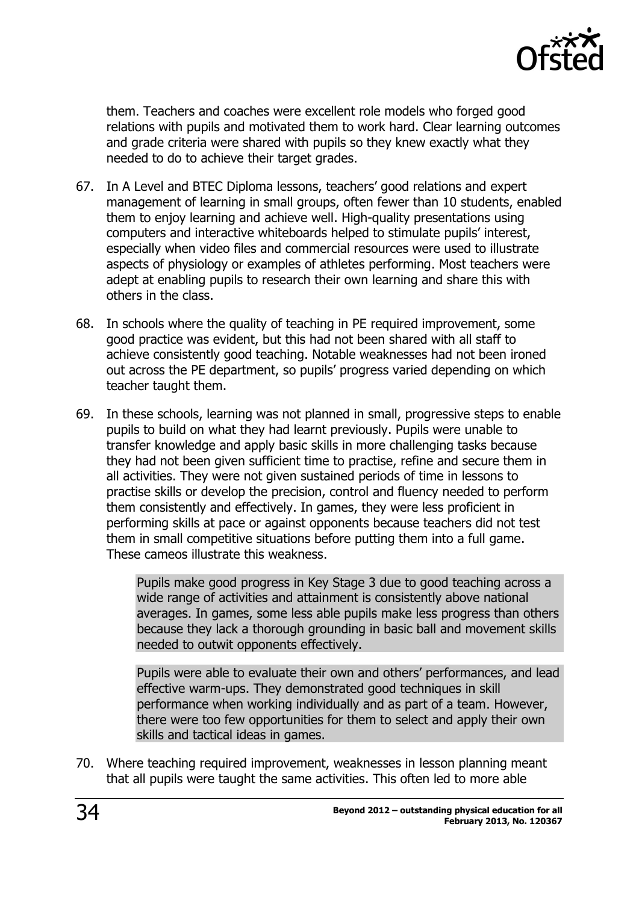

them. Teachers and coaches were excellent role models who forged good relations with pupils and motivated them to work hard. Clear learning outcomes and grade criteria were shared with pupils so they knew exactly what they needed to do to achieve their target grades.

- 67. In A Level and BTEC Diploma lessons, teachers' good relations and expert management of learning in small groups, often fewer than 10 students, enabled them to enjoy learning and achieve well. High-quality presentations using computers and interactive whiteboards helped to stimulate pupils' interest, especially when video files and commercial resources were used to illustrate aspects of physiology or examples of athletes performing. Most teachers were adept at enabling pupils to research their own learning and share this with others in the class.
- 68. In schools where the quality of teaching in PE required improvement, some good practice was evident, but this had not been shared with all staff to achieve consistently good teaching. Notable weaknesses had not been ironed out across the PE department, so pupils' progress varied depending on which teacher taught them.
- 69. In these schools, learning was not planned in small, progressive steps to enable pupils to build on what they had learnt previously. Pupils were unable to transfer knowledge and apply basic skills in more challenging tasks because they had not been given sufficient time to practise, refine and secure them in all activities. They were not given sustained periods of time in lessons to practise skills or develop the precision, control and fluency needed to perform them consistently and effectively. In games, they were less proficient in performing skills at pace or against opponents because teachers did not test them in small competitive situations before putting them into a full game. These cameos illustrate this weakness.

Pupils make good progress in Key Stage 3 due to good teaching across a wide range of activities and attainment is consistently above national averages. In games, some less able pupils make less progress than others because they lack a thorough grounding in basic ball and movement skills needed to outwit opponents effectively.

Pupils were able to evaluate their own and others' performances, and lead effective warm-ups. They demonstrated good techniques in skill performance when working individually and as part of a team. However, there were too few opportunities for them to select and apply their own skills and tactical ideas in games.

70. Where teaching required improvement, weaknesses in lesson planning meant that all pupils were taught the same activities. This often led to more able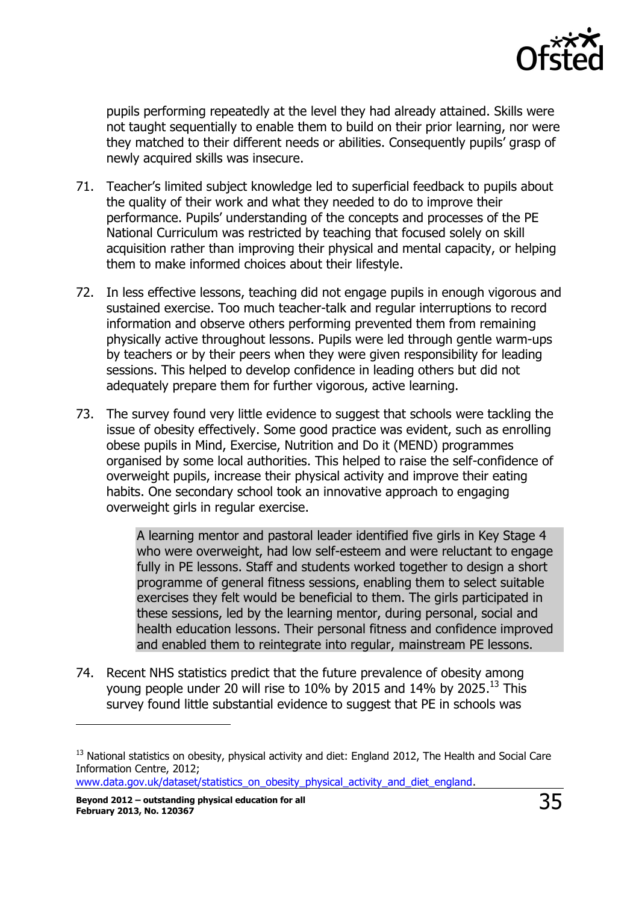

pupils performing repeatedly at the level they had already attained. Skills were not taught sequentially to enable them to build on their prior learning, nor were they matched to their different needs or abilities. Consequently pupils' grasp of newly acquired skills was insecure.

- 71. Teacher's limited subject knowledge led to superficial feedback to pupils about the quality of their work and what they needed to do to improve their performance. Pupils' understanding of the concepts and processes of the PE National Curriculum was restricted by teaching that focused solely on skill acquisition rather than improving their physical and mental capacity, or helping them to make informed choices about their lifestyle.
- 72. In less effective lessons, teaching did not engage pupils in enough vigorous and sustained exercise. Too much teacher-talk and regular interruptions to record information and observe others performing prevented them from remaining physically active throughout lessons. Pupils were led through gentle warm-ups by teachers or by their peers when they were given responsibility for leading sessions. This helped to develop confidence in leading others but did not adequately prepare them for further vigorous, active learning.
- 73. The survey found very little evidence to suggest that schools were tackling the issue of obesity effectively. Some good practice was evident, such as enrolling obese pupils in Mind, Exercise, Nutrition and Do it (MEND) programmes organised by some local authorities. This helped to raise the self-confidence of overweight pupils, increase their physical activity and improve their eating habits. One secondary school took an innovative approach to engaging overweight girls in regular exercise.

A learning mentor and pastoral leader identified five girls in Key Stage 4 who were overweight, had low self-esteem and were reluctant to engage fully in PE lessons. Staff and students worked together to design a short programme of general fitness sessions, enabling them to select suitable exercises they felt would be beneficial to them. The girls participated in these sessions, led by the learning mentor, during personal, social and health education lessons. Their personal fitness and confidence improved and enabled them to reintegrate into regular, mainstream PE lessons.

74. Recent NHS statistics predict that the future prevalence of obesity among young people under 20 will rise to 10% by 2015 and 14% by 2025.<sup>13</sup> This survey found little substantial evidence to suggest that PE in schools was

www.data.gov.uk/dataset/statistics\_on\_obesity\_physical\_activity\_and\_diet\_england

j

<sup>&</sup>lt;sup>13</sup> National statistics on obesity, physical activity and diet: England 2012, The Health and Social Care Information Centre, 2012;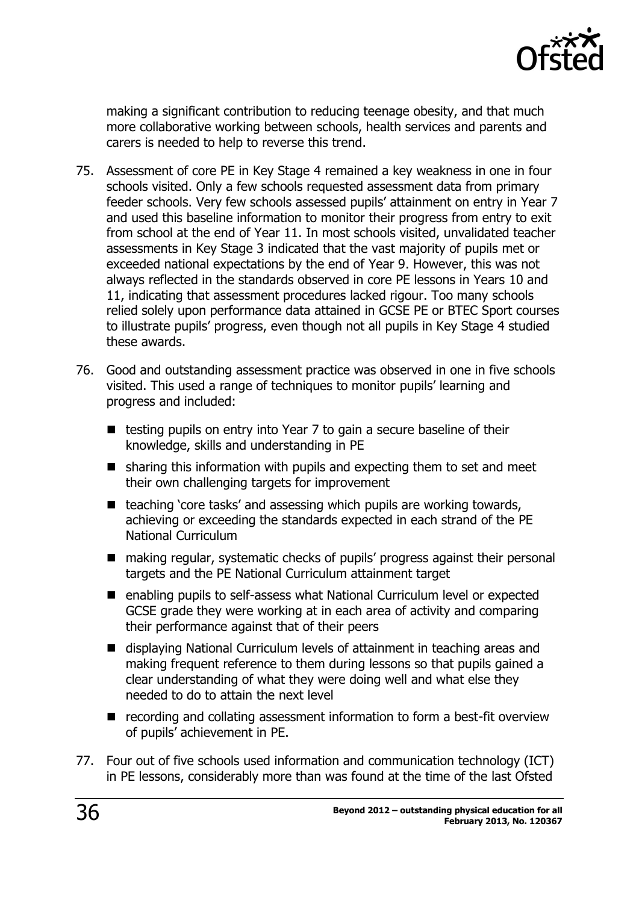

making a significant contribution to reducing teenage obesity, and that much more collaborative working between schools, health services and parents and carers is needed to help to reverse this trend.

- 75. Assessment of core PE in Key Stage 4 remained a key weakness in one in four schools visited. Only a few schools requested assessment data from primary feeder schools. Very few schools assessed pupils' attainment on entry in Year 7 and used this baseline information to monitor their progress from entry to exit from school at the end of Year 11. In most schools visited, unvalidated teacher assessments in Key Stage 3 indicated that the vast majority of pupils met or exceeded national expectations by the end of Year 9. However, this was not always reflected in the standards observed in core PE lessons in Years 10 and 11, indicating that assessment procedures lacked rigour. Too many schools relied solely upon performance data attained in GCSE PE or BTEC Sport courses to illustrate pupils' progress, even though not all pupils in Key Stage 4 studied these awards.
- 76. Good and outstanding assessment practice was observed in one in five schools visited. This used a range of techniques to monitor pupils' learning and progress and included:
	- $\blacksquare$  testing pupils on entry into Year 7 to gain a secure baseline of their knowledge, skills and understanding in PE
	- $\blacksquare$  sharing this information with pupils and expecting them to set and meet their own challenging targets for improvement
	- $\blacksquare$  teaching 'core tasks' and assessing which pupils are working towards, achieving or exceeding the standards expected in each strand of the PE National Curriculum
	- making regular, systematic checks of pupils' progress against their personal targets and the PE National Curriculum attainment target
	- enabling pupils to self-assess what National Curriculum level or expected GCSE grade they were working at in each area of activity and comparing their performance against that of their peers
	- displaying National Curriculum levels of attainment in teaching areas and making frequent reference to them during lessons so that pupils gained a clear understanding of what they were doing well and what else they needed to do to attain the next level
	- recording and collating assessment information to form a best-fit overview of pupils' achievement in PE.
- 77. Four out of five schools used information and communication technology (ICT) in PE lessons, considerably more than was found at the time of the last Ofsted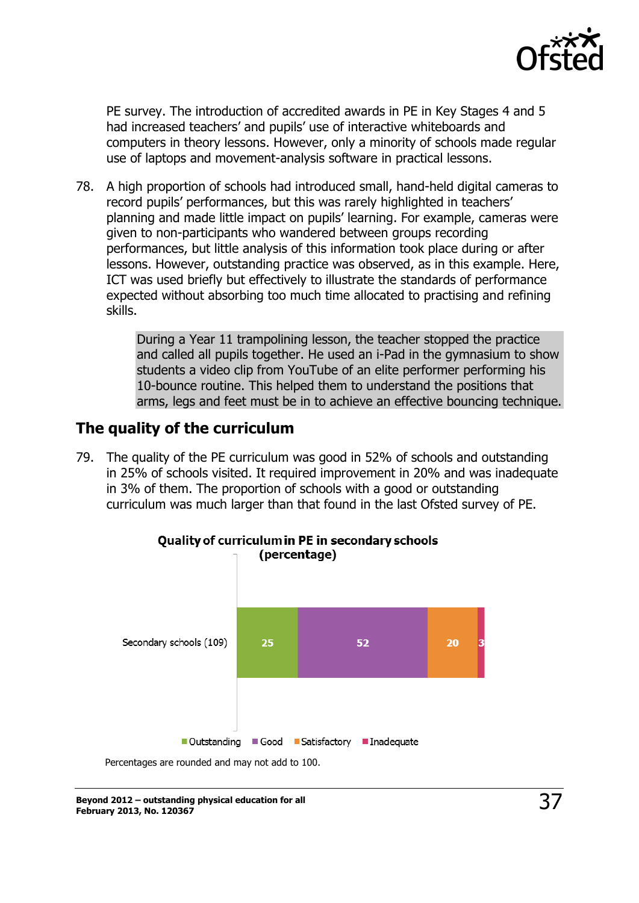

PE survey. The introduction of accredited awards in PE in Key Stages 4 and 5 had increased teachers' and pupils' use of interactive whiteboards and computers in theory lessons. However, only a minority of schools made regular use of laptops and movement-analysis software in practical lessons.

78. A high proportion of schools had introduced small, hand-held digital cameras to record pupils' performances, but this was rarely highlighted in teachers' planning and made little impact on pupils' learning. For example, cameras were given to non-participants who wandered between groups recording performances, but little analysis of this information took place during or after lessons. However, outstanding practice was observed, as in this example. Here, ICT was used briefly but effectively to illustrate the standards of performance expected without absorbing too much time allocated to practising and refining skills.

> During a Year 11 trampolining lesson, the teacher stopped the practice and called all pupils together. He used an i-Pad in the gymnasium to show students a video clip from YouTube of an elite performer performing his 10-bounce routine. This helped them to understand the positions that arms, legs and feet must be in to achieve an effective bouncing technique.

#### <span id="page-36-0"></span>**The quality of the curriculum**

79. The quality of the PE curriculum was good in 52% of schools and outstanding in 25% of schools visited. It required improvement in 20% and was inadequate in 3% of them. The proportion of schools with a good or outstanding curriculum was much larger than that found in the last Ofsted survey of PE.

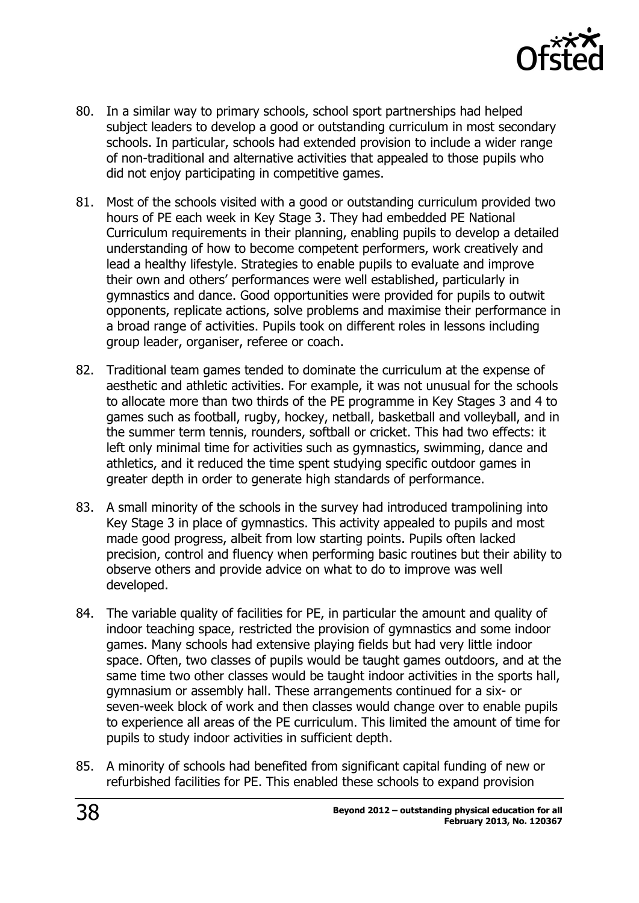

- 80. In a similar way to primary schools, school sport partnerships had helped subject leaders to develop a good or outstanding curriculum in most secondary schools. In particular, schools had extended provision to include a wider range of non-traditional and alternative activities that appealed to those pupils who did not enjoy participating in competitive games.
- 81. Most of the schools visited with a good or outstanding curriculum provided two hours of PE each week in Key Stage 3. They had embedded PE National Curriculum requirements in their planning, enabling pupils to develop a detailed understanding of how to become competent performers, work creatively and lead a healthy lifestyle. Strategies to enable pupils to evaluate and improve their own and others' performances were well established, particularly in gymnastics and dance. Good opportunities were provided for pupils to outwit opponents, replicate actions, solve problems and maximise their performance in a broad range of activities. Pupils took on different roles in lessons including group leader, organiser, referee or coach.
- 82. Traditional team games tended to dominate the curriculum at the expense of aesthetic and athletic activities. For example, it was not unusual for the schools to allocate more than two thirds of the PE programme in Key Stages 3 and 4 to games such as football, rugby, hockey, netball, basketball and volleyball, and in the summer term tennis, rounders, softball or cricket. This had two effects: it left only minimal time for activities such as gymnastics, swimming, dance and athletics, and it reduced the time spent studying specific outdoor games in greater depth in order to generate high standards of performance.
- 83. A small minority of the schools in the survey had introduced trampolining into Key Stage 3 in place of gymnastics. This activity appealed to pupils and most made good progress, albeit from low starting points. Pupils often lacked precision, control and fluency when performing basic routines but their ability to observe others and provide advice on what to do to improve was well developed.
- 84. The variable quality of facilities for PE, in particular the amount and quality of indoor teaching space, restricted the provision of gymnastics and some indoor games. Many schools had extensive playing fields but had very little indoor space. Often, two classes of pupils would be taught games outdoors, and at the same time two other classes would be taught indoor activities in the sports hall, gymnasium or assembly hall. These arrangements continued for a six- or seven-week block of work and then classes would change over to enable pupils to experience all areas of the PE curriculum. This limited the amount of time for pupils to study indoor activities in sufficient depth.
- 85. A minority of schools had benefited from significant capital funding of new or refurbished facilities for PE. This enabled these schools to expand provision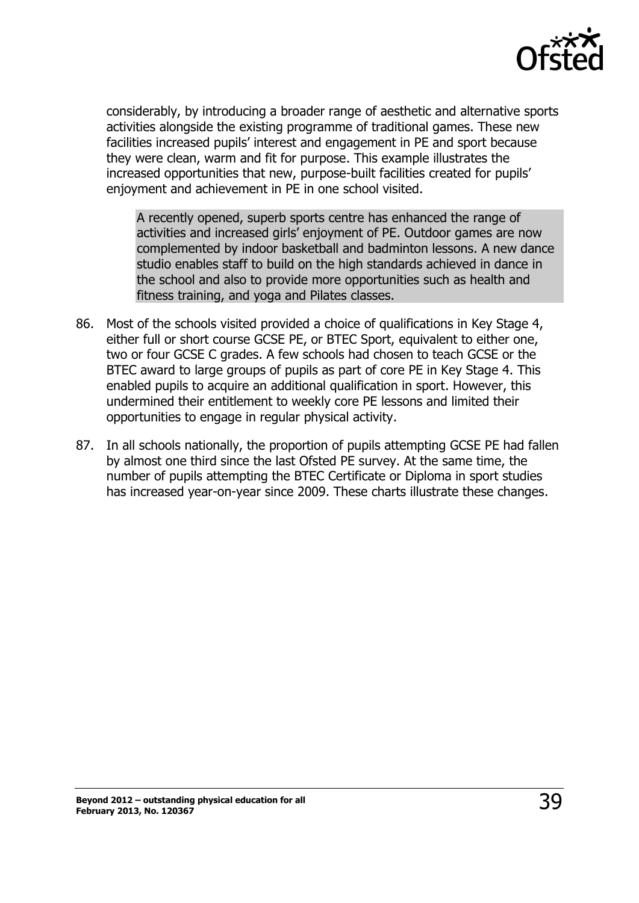

considerably, by introducing a broader range of aesthetic and alternative sports activities alongside the existing programme of traditional games. These new facilities increased pupils' interest and engagement in PE and sport because they were clean, warm and fit for purpose. This example illustrates the increased opportunities that new, purpose-built facilities created for pupils' enjoyment and achievement in PE in one school visited.

A recently opened, superb sports centre has enhanced the range of activities and increased girls' enjoyment of PE. Outdoor games are now complemented by indoor basketball and badminton lessons. A new dance studio enables staff to build on the high standards achieved in dance in the school and also to provide more opportunities such as health and fitness training, and yoga and Pilates classes.

- 86. Most of the schools visited provided a choice of qualifications in Key Stage 4, either full or short course GCSE PE, or BTEC Sport, equivalent to either one, two or four GCSE C grades. A few schools had chosen to teach GCSE or the BTEC award to large groups of pupils as part of core PE in Key Stage 4. This enabled pupils to acquire an additional qualification in sport. However, this undermined their entitlement to weekly core PE lessons and limited their opportunities to engage in regular physical activity.
- 87. In all schools nationally, the proportion of pupils attempting GCSE PE had fallen by almost one third since the last Ofsted PE survey. At the same time, the number of pupils attempting the BTEC Certificate or Diploma in sport studies has increased year-on-year since 2009. These charts illustrate these changes.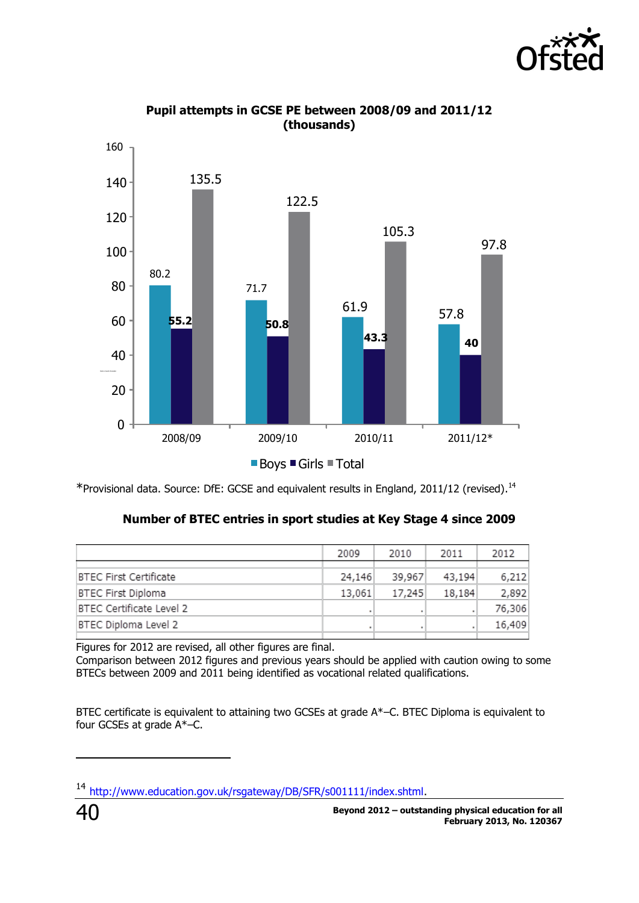



**Pupil attempts in GCSE PE between 2008/09 and 2011/12 (thousands)**

\*Provisional data. Source: DfE: GCSE and equivalent results in England, 2011/12 (revised).<sup>14</sup>

| Number of BTEC entries in sport studies at Key Stage 4 since 2009 |  |
|-------------------------------------------------------------------|--|
|                                                                   |  |

|                               | 2009   | 2010   | 2011   | 2012   |
|-------------------------------|--------|--------|--------|--------|
| <b>BTEC First Certificate</b> | 24,146 | 39,967 | 43,194 | 6,212  |
| <b>BTEC First Diploma</b>     | 13,061 | 17,245 | 18,184 | 2,892  |
| BTEC Certificate Level 2      |        |        |        | 76,306 |
| BTEC Diploma Level 2          |        |        |        | 16,409 |

Figures for 2012 are revised, all other figures are final.

Comparison between 2012 figures and previous years should be applied with caution owing to some BTECs between 2009 and 2011 being identified as vocational related qualifications.

BTEC certificate is equivalent to attaining two GCSEs at grade A\*–C. BTEC Diploma is equivalent to four GCSEs at grade  $A^*$ –C.

 $\overline{a}$ 

<sup>14</sup> [http://www.education.gov.uk/rsgateway/DB/SFR/s001111/index.shtml.](http://www.education.gov.uk/rsgateway/DB/SFR/s001111/index.shtml)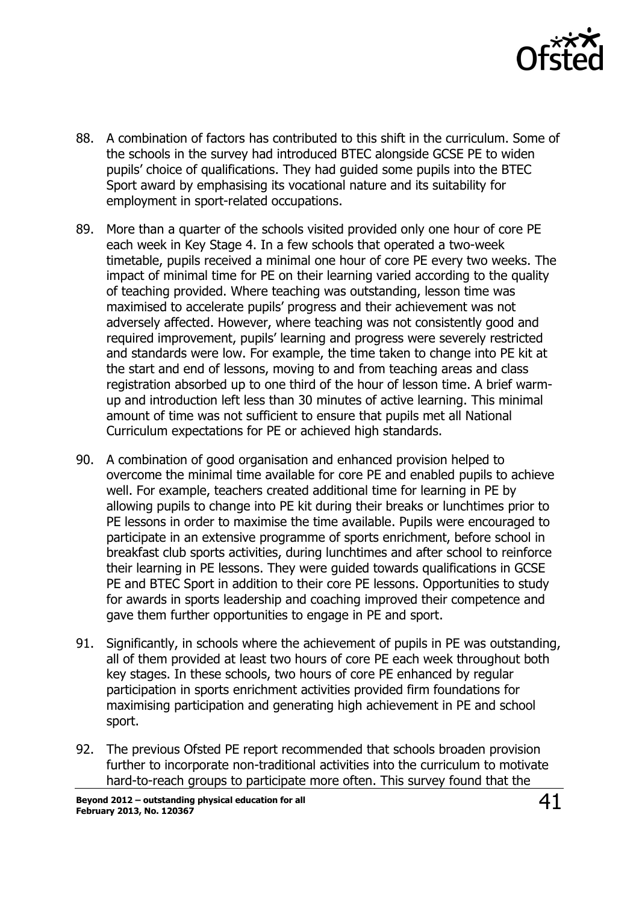

- 88. A combination of factors has contributed to this shift in the curriculum. Some of the schools in the survey had introduced BTEC alongside GCSE PE to widen pupils' choice of qualifications. They had guided some pupils into the BTEC Sport award by emphasising its vocational nature and its suitability for employment in sport-related occupations.
- 89. More than a quarter of the schools visited provided only one hour of core PE each week in Key Stage 4. In a few schools that operated a two-week timetable, pupils received a minimal one hour of core PE every two weeks. The impact of minimal time for PE on their learning varied according to the quality of teaching provided. Where teaching was outstanding, lesson time was maximised to accelerate pupils' progress and their achievement was not adversely affected. However, where teaching was not consistently good and required improvement, pupils' learning and progress were severely restricted and standards were low. For example, the time taken to change into PE kit at the start and end of lessons, moving to and from teaching areas and class registration absorbed up to one third of the hour of lesson time. A brief warmup and introduction left less than 30 minutes of active learning. This minimal amount of time was not sufficient to ensure that pupils met all National Curriculum expectations for PE or achieved high standards.
- 90. A combination of good organisation and enhanced provision helped to overcome the minimal time available for core PE and enabled pupils to achieve well. For example, teachers created additional time for learning in PE by allowing pupils to change into PE kit during their breaks or lunchtimes prior to PE lessons in order to maximise the time available. Pupils were encouraged to participate in an extensive programme of sports enrichment, before school in breakfast club sports activities, during lunchtimes and after school to reinforce their learning in PE lessons. They were guided towards qualifications in GCSE PE and BTEC Sport in addition to their core PE lessons. Opportunities to study for awards in sports leadership and coaching improved their competence and gave them further opportunities to engage in PE and sport.
- 91. Significantly, in schools where the achievement of pupils in PE was outstanding, all of them provided at least two hours of core PE each week throughout both key stages. In these schools, two hours of core PE enhanced by regular participation in sports enrichment activities provided firm foundations for maximising participation and generating high achievement in PE and school sport.
- 92. The previous Ofsted PE report recommended that schools broaden provision further to incorporate non-traditional activities into the curriculum to motivate hard-to-reach groups to participate more often. This survey found that the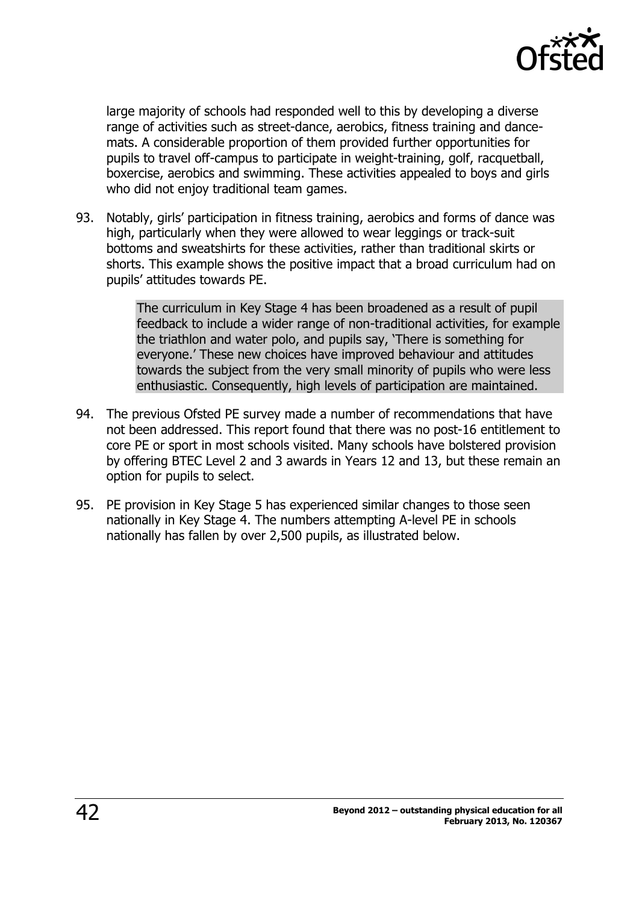

large majority of schools had responded well to this by developing a diverse range of activities such as street-dance, aerobics, fitness training and dancemats. A considerable proportion of them provided further opportunities for pupils to travel off-campus to participate in weight-training, golf, racquetball, boxercise, aerobics and swimming. These activities appealed to boys and girls who did not enjoy traditional team games.

93. Notably, girls' participation in fitness training, aerobics and forms of dance was high, particularly when they were allowed to wear leggings or track-suit bottoms and sweatshirts for these activities, rather than traditional skirts or shorts. This example shows the positive impact that a broad curriculum had on pupils' attitudes towards PE.

> The curriculum in Key Stage 4 has been broadened as a result of pupil feedback to include a wider range of non-traditional activities, for example the triathlon and water polo, and pupils say, 'There is something for everyone.' These new choices have improved behaviour and attitudes towards the subject from the very small minority of pupils who were less enthusiastic. Consequently, high levels of participation are maintained.

- 94. The previous Ofsted PE survey made a number of recommendations that have not been addressed. This report found that there was no post-16 entitlement to core PE or sport in most schools visited. Many schools have bolstered provision by offering BTEC Level 2 and 3 awards in Years 12 and 13, but these remain an option for pupils to select.
- 95. PE provision in Key Stage 5 has experienced similar changes to those seen nationally in Key Stage 4. The numbers attempting A-level PE in schools nationally has fallen by over 2,500 pupils, as illustrated below.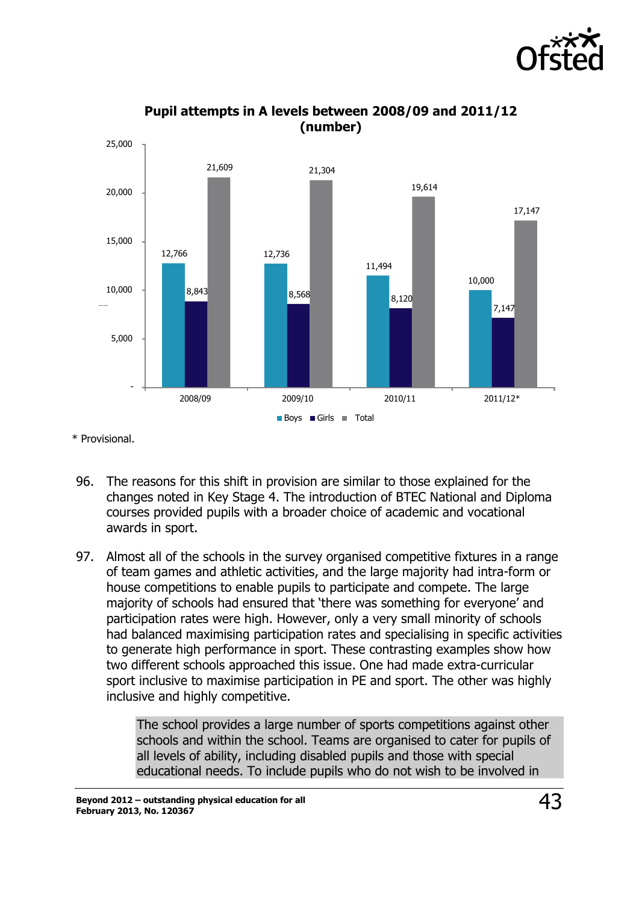



**Pupil attempts in A levels between 2008/09 and 2011/12 (number)**

\* Provisional.

- 96. The reasons for this shift in provision are similar to those explained for the changes noted in Key Stage 4. The introduction of BTEC National and Diploma courses provided pupils with a broader choice of academic and vocational awards in sport.
- 97. Almost all of the schools in the survey organised competitive fixtures in a range of team games and athletic activities, and the large majority had intra-form or house competitions to enable pupils to participate and compete. The large majority of schools had ensured that 'there was something for everyone' and participation rates were high. However, only a very small minority of schools had balanced maximising participation rates and specialising in specific activities to generate high performance in sport. These contrasting examples show how two different schools approached this issue. One had made extra-curricular sport inclusive to maximise participation in PE and sport. The other was highly inclusive and highly competitive.

The school provides a large number of sports competitions against other schools and within the school. Teams are organised to cater for pupils of all levels of ability, including disabled pupils and those with special educational needs. To include pupils who do not wish to be involved in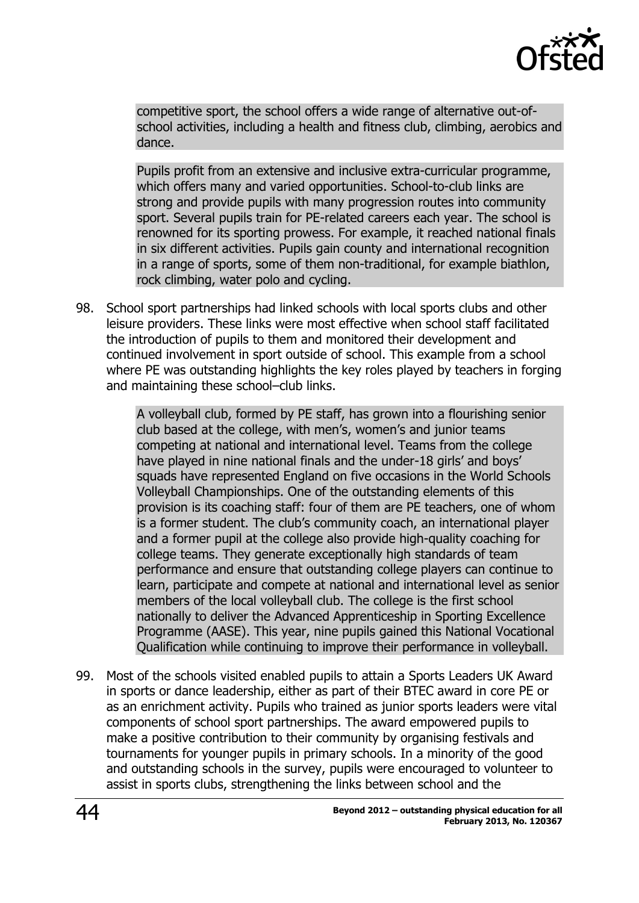

competitive sport, the school offers a wide range of alternative out-ofschool activities, including a health and fitness club, climbing, aerobics and dance.

Pupils profit from an extensive and inclusive extra-curricular programme, which offers many and varied opportunities. School-to-club links are strong and provide pupils with many progression routes into community sport. Several pupils train for PE-related careers each year. The school is renowned for its sporting prowess. For example, it reached national finals in six different activities. Pupils gain county and international recognition in a range of sports, some of them non-traditional, for example biathlon, rock climbing, water polo and cycling.

98. School sport partnerships had linked schools with local sports clubs and other leisure providers. These links were most effective when school staff facilitated the introduction of pupils to them and monitored their development and continued involvement in sport outside of school. This example from a school where PE was outstanding highlights the key roles played by teachers in forging and maintaining these school–club links.

> A volleyball club, formed by PE staff, has grown into a flourishing senior club based at the college, with men's, women's and junior teams competing at national and international level. Teams from the college have played in nine national finals and the under-18 girls' and boys' squads have represented England on five occasions in the World Schools Volleyball Championships. One of the outstanding elements of this provision is its coaching staff: four of them are PE teachers, one of whom is a former student. The club's community coach, an international player and a former pupil at the college also provide high-quality coaching for college teams. They generate exceptionally high standards of team performance and ensure that outstanding college players can continue to learn, participate and compete at national and international level as senior members of the local volleyball club. The college is the first school nationally to deliver the Advanced Apprenticeship in Sporting Excellence Programme (AASE). This year, nine pupils gained this National Vocational Qualification while continuing to improve their performance in volleyball.

99. Most of the schools visited enabled pupils to attain a Sports Leaders UK Award in sports or dance leadership, either as part of their BTEC award in core PE or as an enrichment activity. Pupils who trained as junior sports leaders were vital components of school sport partnerships. The award empowered pupils to make a positive contribution to their community by organising festivals and tournaments for younger pupils in primary schools. In a minority of the good and outstanding schools in the survey, pupils were encouraged to volunteer to assist in sports clubs, strengthening the links between school and the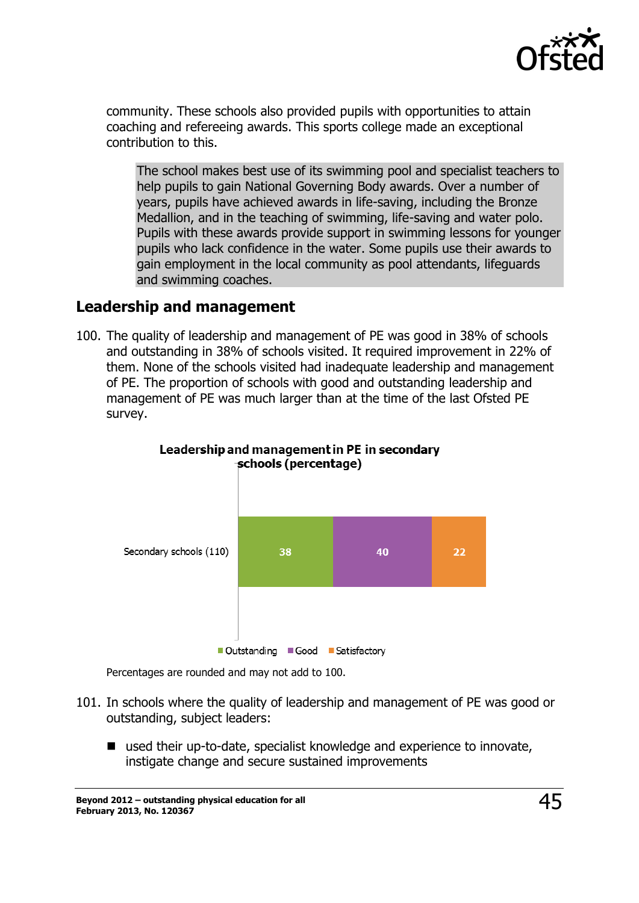

community. These schools also provided pupils with opportunities to attain coaching and refereeing awards. This sports college made an exceptional contribution to this.

The school makes best use of its swimming pool and specialist teachers to help pupils to gain National Governing Body awards. Over a number of years, pupils have achieved awards in life-saving, including the Bronze Medallion, and in the teaching of swimming, life-saving and water polo. Pupils with these awards provide support in swimming lessons for younger pupils who lack confidence in the water. Some pupils use their awards to gain employment in the local community as pool attendants, lifeguards and swimming coaches.

#### <span id="page-44-0"></span>**Leadership and management**

100. The quality of leadership and management of PE was good in 38% of schools and outstanding in 38% of schools visited. It required improvement in 22% of them. None of the schools visited had inadequate leadership and management of PE. The proportion of schools with good and outstanding leadership and management of PE was much larger than at the time of the last Ofsted PE survey.





Percentages are rounded and may not add to 100.

- 101. In schools where the quality of leadership and management of PE was good or outstanding, subject leaders:
	- used their up-to-date, specialist knowledge and experience to innovate, instigate change and secure sustained improvements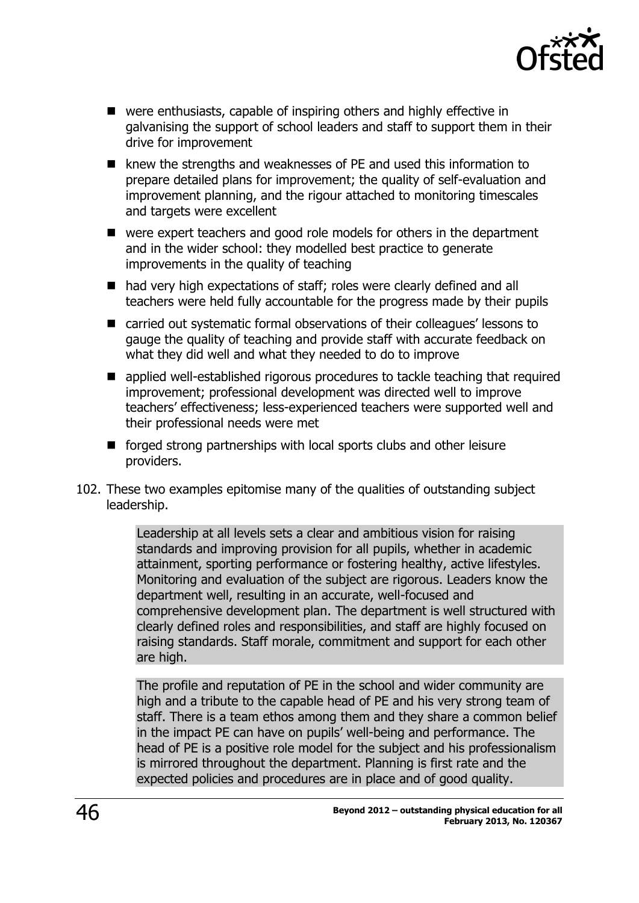

- were enthusiasts, capable of inspiring others and highly effective in galvanising the support of school leaders and staff to support them in their drive for improvement
- $\blacksquare$  knew the strengths and weaknesses of PE and used this information to prepare detailed plans for improvement; the quality of self-evaluation and improvement planning, and the rigour attached to monitoring timescales and targets were excellent
- were expert teachers and good role models for others in the department and in the wider school: they modelled best practice to generate improvements in the quality of teaching
- had very high expectations of staff; roles were clearly defined and all teachers were held fully accountable for the progress made by their pupils
- carried out systematic formal observations of their colleagues' lessons to gauge the quality of teaching and provide staff with accurate feedback on what they did well and what they needed to do to improve
- **E** applied well-established rigorous procedures to tackle teaching that required improvement; professional development was directed well to improve teachers' effectiveness; less-experienced teachers were supported well and their professional needs were met
- forged strong partnerships with local sports clubs and other leisure providers.
- 102. These two examples epitomise many of the qualities of outstanding subject leadership.

Leadership at all levels sets a clear and ambitious vision for raising standards and improving provision for all pupils, whether in academic attainment, sporting performance or fostering healthy, active lifestyles. Monitoring and evaluation of the subject are rigorous. Leaders know the department well, resulting in an accurate, well-focused and comprehensive development plan. The department is well structured with clearly defined roles and responsibilities, and staff are highly focused on raising standards. Staff morale, commitment and support for each other are high.

The profile and reputation of PE in the school and wider community are high and a tribute to the capable head of PE and his very strong team of staff. There is a team ethos among them and they share a common belief in the impact PE can have on pupils' well-being and performance. The head of PE is a positive role model for the subject and his professionalism is mirrored throughout the department. Planning is first rate and the expected policies and procedures are in place and of good quality.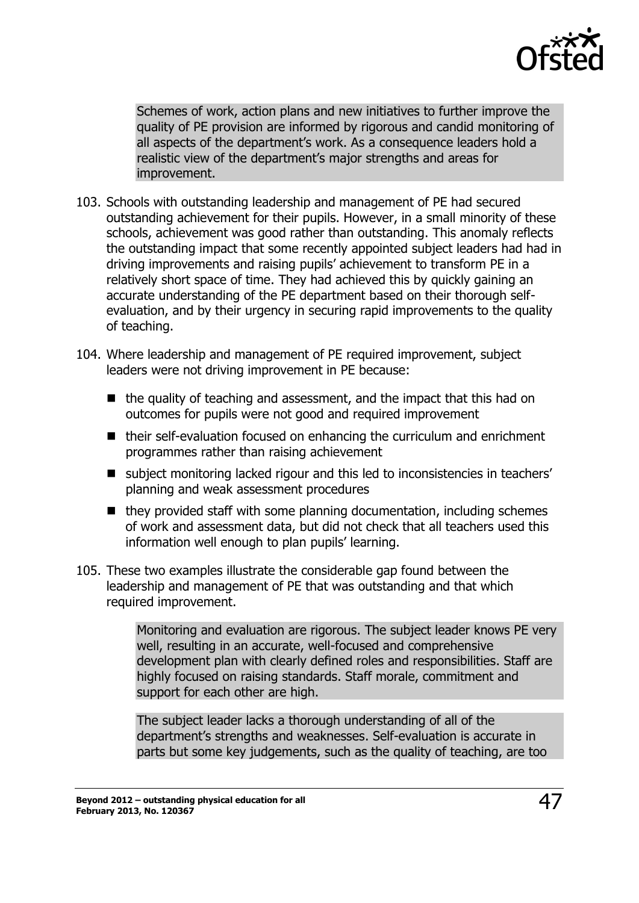

Schemes of work, action plans and new initiatives to further improve the quality of PE provision are informed by rigorous and candid monitoring of all aspects of the department's work. As a consequence leaders hold a realistic view of the department's major strengths and areas for improvement.

- 103. Schools with outstanding leadership and management of PE had secured outstanding achievement for their pupils. However, in a small minority of these schools, achievement was good rather than outstanding. This anomaly reflects the outstanding impact that some recently appointed subject leaders had had in driving improvements and raising pupils' achievement to transform PE in a relatively short space of time. They had achieved this by quickly gaining an accurate understanding of the PE department based on their thorough selfevaluation, and by their urgency in securing rapid improvements to the quality of teaching.
- 104. Where leadership and management of PE required improvement, subject leaders were not driving improvement in PE because:
	- $\blacksquare$  the quality of teaching and assessment, and the impact that this had on outcomes for pupils were not good and required improvement
	- $\blacksquare$  their self-evaluation focused on enhancing the curriculum and enrichment programmes rather than raising achievement
	- subject monitoring lacked rigour and this led to inconsistencies in teachers' planning and weak assessment procedures
	- $\blacksquare$  they provided staff with some planning documentation, including schemes of work and assessment data, but did not check that all teachers used this information well enough to plan pupils' learning.
- 105. These two examples illustrate the considerable gap found between the leadership and management of PE that was outstanding and that which required improvement.

Monitoring and evaluation are rigorous. The subject leader knows PE very well, resulting in an accurate, well-focused and comprehensive development plan with clearly defined roles and responsibilities. Staff are highly focused on raising standards. Staff morale, commitment and support for each other are high.

The subject leader lacks a thorough understanding of all of the department's strengths and weaknesses. Self-evaluation is accurate in parts but some key judgements, such as the quality of teaching, are too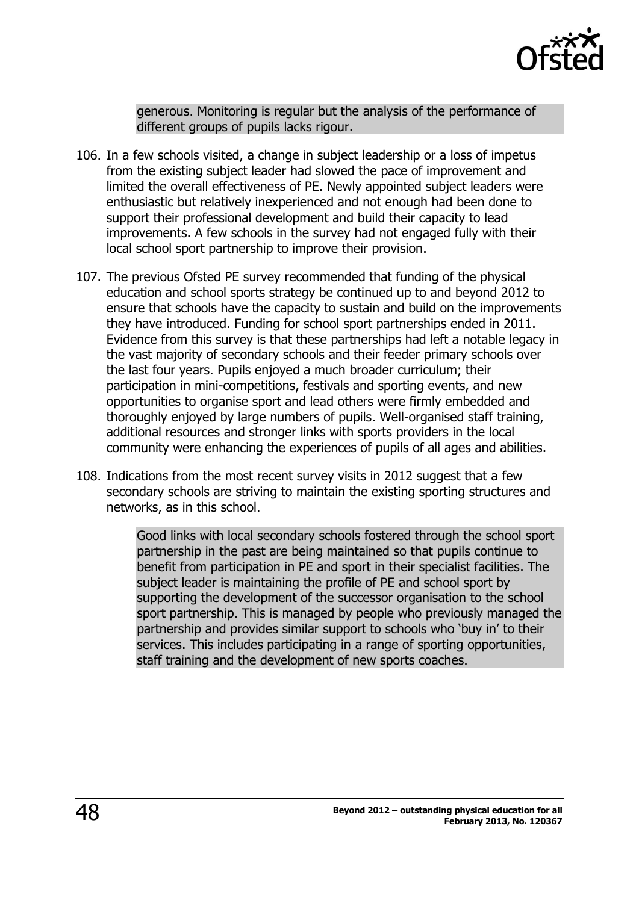

generous. Monitoring is regular but the analysis of the performance of different groups of pupils lacks rigour.

- 106. In a few schools visited, a change in subject leadership or a loss of impetus from the existing subject leader had slowed the pace of improvement and limited the overall effectiveness of PE. Newly appointed subject leaders were enthusiastic but relatively inexperienced and not enough had been done to support their professional development and build their capacity to lead improvements. A few schools in the survey had not engaged fully with their local school sport partnership to improve their provision.
- 107. The previous Ofsted PE survey recommended that funding of the physical education and school sports strategy be continued up to and beyond 2012 to ensure that schools have the capacity to sustain and build on the improvements they have introduced. Funding for school sport partnerships ended in 2011. Evidence from this survey is that these partnerships had left a notable legacy in the vast majority of secondary schools and their feeder primary schools over the last four years. Pupils enjoyed a much broader curriculum; their participation in mini-competitions, festivals and sporting events, and new opportunities to organise sport and lead others were firmly embedded and thoroughly enjoyed by large numbers of pupils. Well-organised staff training, additional resources and stronger links with sports providers in the local community were enhancing the experiences of pupils of all ages and abilities.
- 108. Indications from the most recent survey visits in 2012 suggest that a few secondary schools are striving to maintain the existing sporting structures and networks, as in this school.

Good links with local secondary schools fostered through the school sport partnership in the past are being maintained so that pupils continue to benefit from participation in PE and sport in their specialist facilities. The subject leader is maintaining the profile of PE and school sport by supporting the development of the successor organisation to the school sport partnership. This is managed by people who previously managed the partnership and provides similar support to schools who 'buy in' to their services. This includes participating in a range of sporting opportunities, staff training and the development of new sports coaches.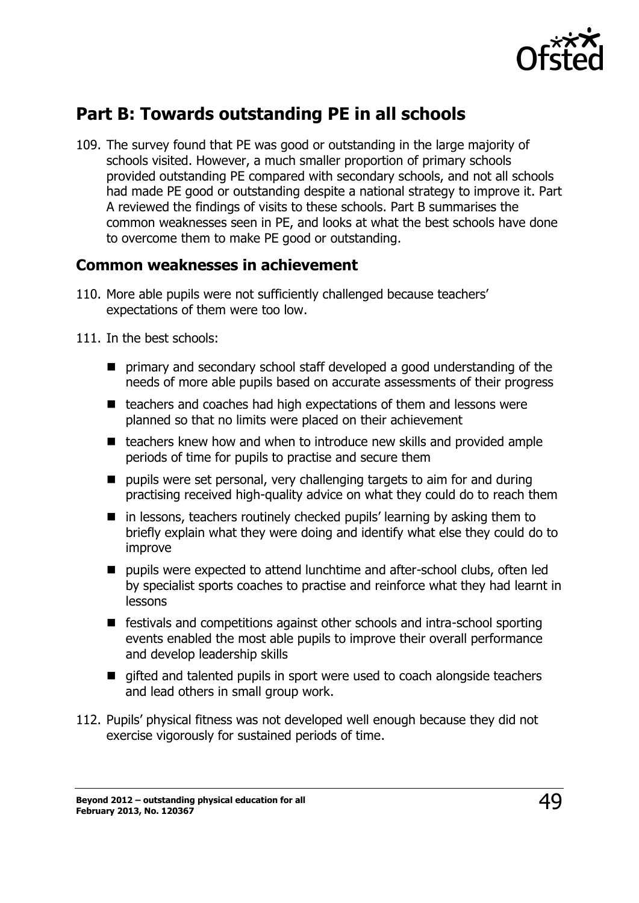

## <span id="page-48-0"></span>**Part B: Towards outstanding PE in all schools**

109. The survey found that PE was good or outstanding in the large majority of schools visited. However, a much smaller proportion of primary schools provided outstanding PE compared with secondary schools, and not all schools had made PE good or outstanding despite a national strategy to improve it. Part A reviewed the findings of visits to these schools. Part B summarises the common weaknesses seen in PE, and looks at what the best schools have done to overcome them to make PE good or outstanding.

#### <span id="page-48-1"></span>**Common weaknesses in achievement**

- 110. More able pupils were not sufficiently challenged because teachers' expectations of them were too low.
- 111. In the best schools:
	- **P** primary and secondary school staff developed a good understanding of the needs of more able pupils based on accurate assessments of their progress
	- $\blacksquare$  teachers and coaches had high expectations of them and lessons were planned so that no limits were placed on their achievement
	- $\blacksquare$  teachers knew how and when to introduce new skills and provided ample periods of time for pupils to practise and secure them
	- $\blacksquare$  pupils were set personal, very challenging targets to aim for and during practising received high-quality advice on what they could do to reach them
	- $\blacksquare$  in lessons, teachers routinely checked pupils' learning by asking them to briefly explain what they were doing and identify what else they could do to improve
	- **P** pupils were expected to attend lunchtime and after-school clubs, often led by specialist sports coaches to practise and reinforce what they had learnt in lessons
	- festivals and competitions against other schools and intra-school sporting events enabled the most able pupils to improve their overall performance and develop leadership skills
	- $\blacksquare$  gifted and talented pupils in sport were used to coach alongside teachers and lead others in small group work.
- 112. Pupils' physical fitness was not developed well enough because they did not exercise vigorously for sustained periods of time.

**Beyond 2012 – outstanding physical education for all February 2013, No. 120367** 49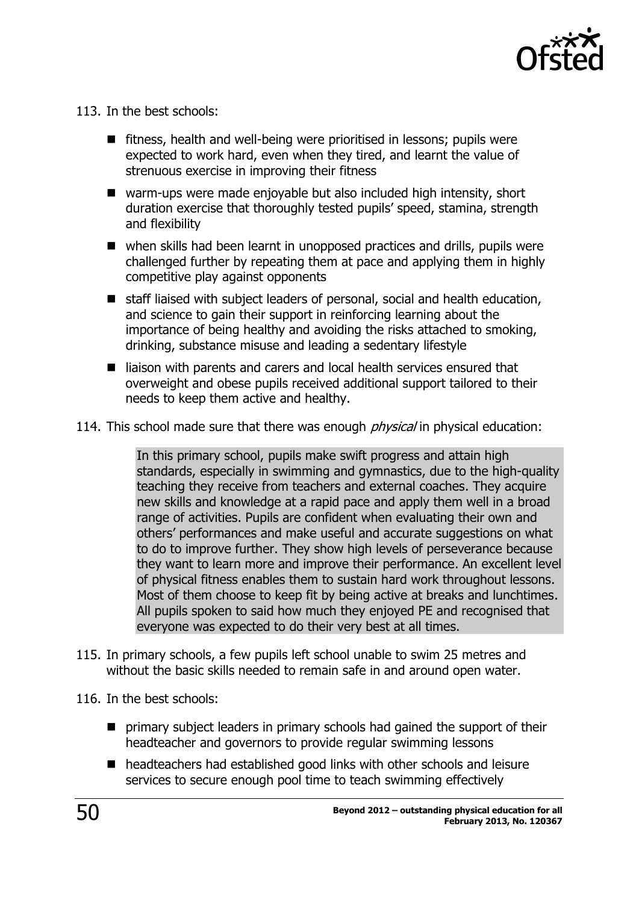

- 113. In the best schools:
	- $\blacksquare$  fitness, health and well-being were prioritised in lessons; pupils were expected to work hard, even when they tired, and learnt the value of strenuous exercise in improving their fitness
	- warm-ups were made enjoyable but also included high intensity, short duration exercise that thoroughly tested pupils' speed, stamina, strength and flexibility
	- when skills had been learnt in unopposed practices and drills, pupils were challenged further by repeating them at pace and applying them in highly competitive play against opponents
	- staff liaised with subject leaders of personal, social and health education, and science to gain their support in reinforcing learning about the importance of being healthy and avoiding the risks attached to smoking, drinking, substance misuse and leading a sedentary lifestyle
	- liaison with parents and carers and local health services ensured that overweight and obese pupils received additional support tailored to their needs to keep them active and healthy.
- 114. This school made sure that there was enough *physical* in physical education:

In this primary school, pupils make swift progress and attain high standards, especially in swimming and gymnastics, due to the high-quality teaching they receive from teachers and external coaches. They acquire new skills and knowledge at a rapid pace and apply them well in a broad range of activities. Pupils are confident when evaluating their own and others' performances and make useful and accurate suggestions on what to do to improve further. They show high levels of perseverance because they want to learn more and improve their performance. An excellent level of physical fitness enables them to sustain hard work throughout lessons. Most of them choose to keep fit by being active at breaks and lunchtimes. All pupils spoken to said how much they enjoyed PE and recognised that everyone was expected to do their very best at all times.

- 115. In primary schools, a few pupils left school unable to swim 25 metres and without the basic skills needed to remain safe in and around open water.
- 116. In the best schools:
	- **P** primary subject leaders in primary schools had gained the support of their headteacher and governors to provide regular swimming lessons
	- headteachers had established good links with other schools and leisure services to secure enough pool time to teach swimming effectively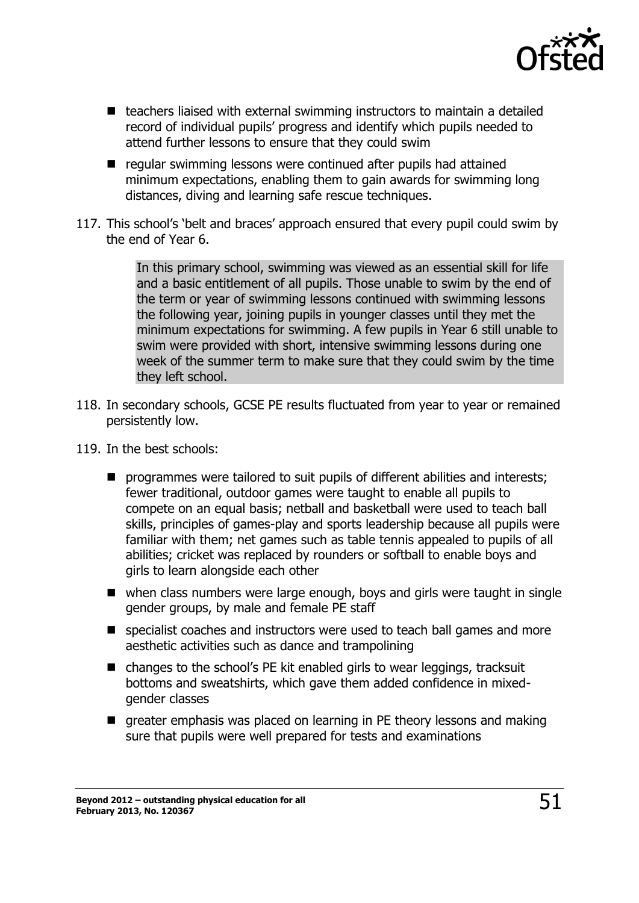

- $\blacksquare$  teachers liaised with external swimming instructors to maintain a detailed record of individual pupils' progress and identify which pupils needed to attend further lessons to ensure that they could swim
- regular swimming lessons were continued after pupils had attained minimum expectations, enabling them to gain awards for swimming long distances, diving and learning safe rescue techniques.
- 117. This school's 'belt and braces' approach ensured that every pupil could swim by the end of Year 6.

In this primary school, swimming was viewed as an essential skill for life and a basic entitlement of all pupils. Those unable to swim by the end of the term or year of swimming lessons continued with swimming lessons the following year, joining pupils in younger classes until they met the minimum expectations for swimming. A few pupils in Year 6 still unable to swim were provided with short, intensive swimming lessons during one week of the summer term to make sure that they could swim by the time they left school.

- 118. In secondary schools, GCSE PE results fluctuated from year to year or remained persistently low.
- 119. In the best schools:
	- **P** programmes were tailored to suit pupils of different abilities and interests; fewer traditional, outdoor games were taught to enable all pupils to compete on an equal basis; netball and basketball were used to teach ball skills, principles of games-play and sports leadership because all pupils were familiar with them; net games such as table tennis appealed to pupils of all abilities; cricket was replaced by rounders or softball to enable boys and girls to learn alongside each other
	- when class numbers were large enough, boys and girls were taught in single gender groups, by male and female PE staff
	- specialist coaches and instructors were used to teach ball games and more aesthetic activities such as dance and trampolining
	- $\blacksquare$  changes to the school's PE kit enabled girls to wear leggings, tracksuit bottoms and sweatshirts, which gave them added confidence in mixedgender classes
	- greater emphasis was placed on learning in PE theory lessons and making sure that pupils were well prepared for tests and examinations

**Beyond 2012 – outstanding physical education for all February 2013, No. 120367** 51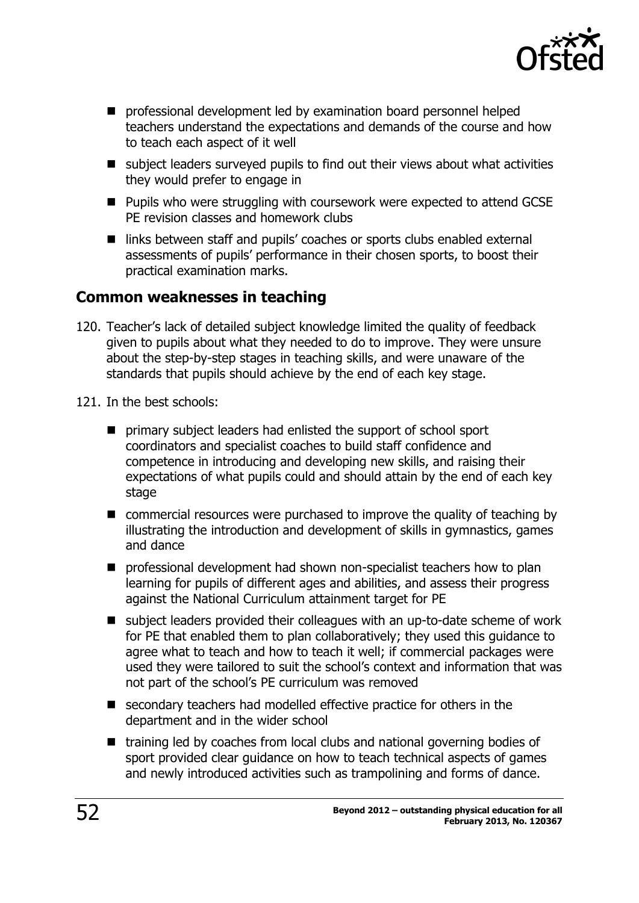

- **P** professional development led by examination board personnel helped teachers understand the expectations and demands of the course and how to teach each aspect of it well
- subject leaders surveyed pupils to find out their views about what activities they would prefer to engage in
- Pupils who were struggling with coursework were expected to attend GCSE PE revision classes and homework clubs
- links between staff and pupils' coaches or sports clubs enabled external assessments of pupils' performance in their chosen sports, to boost their practical examination marks.

#### <span id="page-51-0"></span>**Common weaknesses in teaching**

- 120. Teacher's lack of detailed subject knowledge limited the quality of feedback given to pupils about what they needed to do to improve. They were unsure about the step-by-step stages in teaching skills, and were unaware of the standards that pupils should achieve by the end of each key stage.
- 121. In the best schools:
	- **P** primary subject leaders had enlisted the support of school sport coordinators and specialist coaches to build staff confidence and competence in introducing and developing new skills, and raising their expectations of what pupils could and should attain by the end of each key stage
	- commercial resources were purchased to improve the quality of teaching by illustrating the introduction and development of skills in gymnastics, games and dance
	- **P** professional development had shown non-specialist teachers how to plan learning for pupils of different ages and abilities, and assess their progress against the National Curriculum attainment target for PE
	- subject leaders provided their colleagues with an up-to-date scheme of work for PE that enabled them to plan collaboratively; they used this guidance to agree what to teach and how to teach it well; if commercial packages were used they were tailored to suit the school's context and information that was not part of the school's PE curriculum was removed
	- secondary teachers had modelled effective practice for others in the department and in the wider school
	- $\blacksquare$  training led by coaches from local clubs and national governing bodies of sport provided clear guidance on how to teach technical aspects of games and newly introduced activities such as trampolining and forms of dance.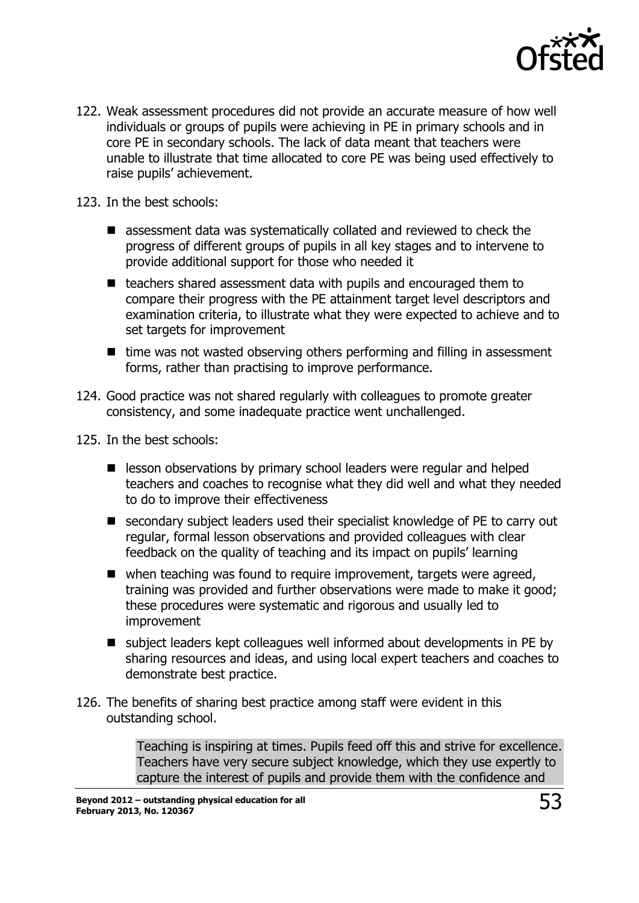

122. Weak assessment procedures did not provide an accurate measure of how well individuals or groups of pupils were achieving in PE in primary schools and in core PE in secondary schools. The lack of data meant that teachers were unable to illustrate that time allocated to core PE was being used effectively to raise pupils' achievement.

123. In the best schools:

- assessment data was systematically collated and reviewed to check the progress of different groups of pupils in all key stages and to intervene to provide additional support for those who needed it
- $\blacksquare$  teachers shared assessment data with pupils and encouraged them to compare their progress with the PE attainment target level descriptors and examination criteria, to illustrate what they were expected to achieve and to set targets for improvement
- $\blacksquare$  time was not wasted observing others performing and filling in assessment forms, rather than practising to improve performance.
- 124. Good practice was not shared regularly with colleagues to promote greater consistency, and some inadequate practice went unchallenged.
- 125. In the best schools:
	- **E** lesson observations by primary school leaders were regular and helped teachers and coaches to recognise what they did well and what they needed to do to improve their effectiveness
	- secondary subject leaders used their specialist knowledge of PE to carry out regular, formal lesson observations and provided colleagues with clear feedback on the quality of teaching and its impact on pupils' learning
	- when teaching was found to require improvement, targets were agreed, training was provided and further observations were made to make it good; these procedures were systematic and rigorous and usually led to improvement
	- subject leaders kept colleagues well informed about developments in PE by sharing resources and ideas, and using local expert teachers and coaches to demonstrate best practice.
- 126. The benefits of sharing best practice among staff were evident in this outstanding school.

Teaching is inspiring at times. Pupils feed off this and strive for excellence. Teachers have very secure subject knowledge, which they use expertly to capture the interest of pupils and provide them with the confidence and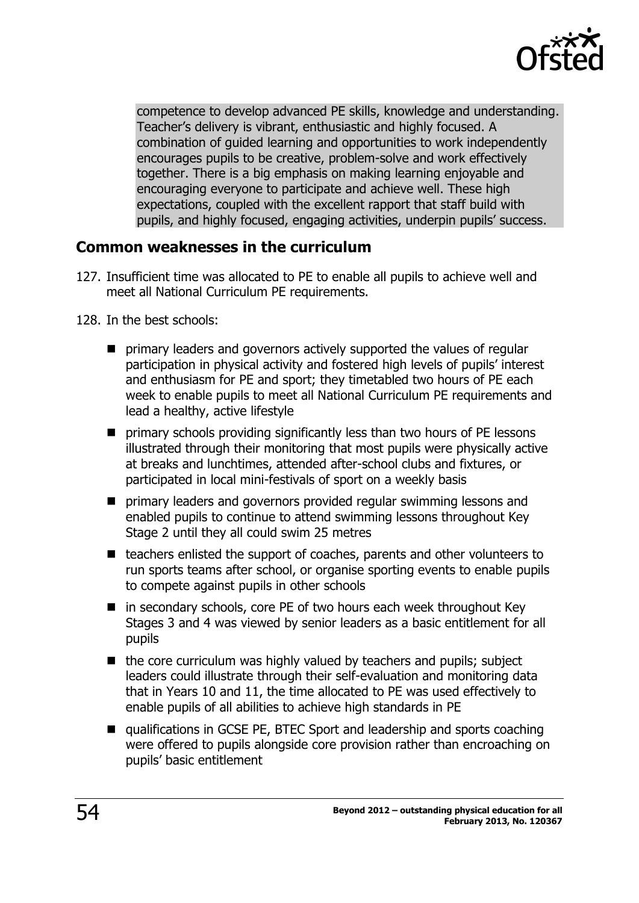

competence to develop advanced PE skills, knowledge and understanding. Teacher's delivery is vibrant, enthusiastic and highly focused. A combination of guided learning and opportunities to work independently encourages pupils to be creative, problem-solve and work effectively together. There is a big emphasis on making learning enjoyable and encouraging everyone to participate and achieve well. These high expectations, coupled with the excellent rapport that staff build with pupils, and highly focused, engaging activities, underpin pupils' success.

#### <span id="page-53-0"></span>**Common weaknesses in the curriculum**

- 127. Insufficient time was allocated to PE to enable all pupils to achieve well and meet all National Curriculum PE requirements.
- 128. In the best schools:
	- **P** primary leaders and governors actively supported the values of regular participation in physical activity and fostered high levels of pupils' interest and enthusiasm for PE and sport; they timetabled two hours of PE each week to enable pupils to meet all National Curriculum PE requirements and lead a healthy, active lifestyle
	- primary schools providing significantly less than two hours of PE lessons illustrated through their monitoring that most pupils were physically active at breaks and lunchtimes, attended after-school clubs and fixtures, or participated in local mini-festivals of sport on a weekly basis
	- **P** primary leaders and governors provided regular swimming lessons and enabled pupils to continue to attend swimming lessons throughout Key Stage 2 until they all could swim 25 metres
	- $\blacksquare$  teachers enlisted the support of coaches, parents and other volunteers to run sports teams after school, or organise sporting events to enable pupils to compete against pupils in other schools
	- $\blacksquare$  in secondary schools, core PE of two hours each week throughout Key Stages 3 and 4 was viewed by senior leaders as a basic entitlement for all pupils
	- $\blacksquare$  the core curriculum was highly valued by teachers and pupils; subject leaders could illustrate through their self-evaluation and monitoring data that in Years 10 and 11, the time allocated to PE was used effectively to enable pupils of all abilities to achieve high standards in PE
	- qualifications in GCSE PE, BTEC Sport and leadership and sports coaching were offered to pupils alongside core provision rather than encroaching on pupils' basic entitlement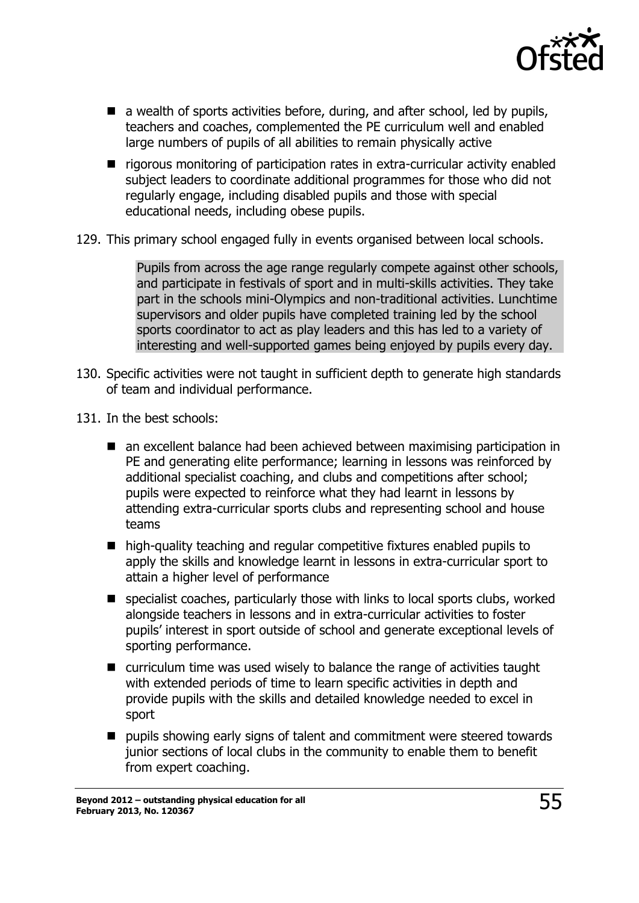

- $\blacksquare$  a wealth of sports activities before, during, and after school, led by pupils, teachers and coaches, complemented the PE curriculum well and enabled large numbers of pupils of all abilities to remain physically active
- rigorous monitoring of participation rates in extra-curricular activity enabled subject leaders to coordinate additional programmes for those who did not regularly engage, including disabled pupils and those with special educational needs, including obese pupils.
- 129. This primary school engaged fully in events organised between local schools.

Pupils from across the age range regularly compete against other schools, and participate in festivals of sport and in multi-skills activities. They take part in the schools mini-Olympics and non-traditional activities. Lunchtime supervisors and older pupils have completed training led by the school sports coordinator to act as play leaders and this has led to a variety of interesting and well-supported games being enjoyed by pupils every day.

- 130. Specific activities were not taught in sufficient depth to generate high standards of team and individual performance.
- 131. In the best schools:
	- an excellent balance had been achieved between maximising participation in PE and generating elite performance; learning in lessons was reinforced by additional specialist coaching, and clubs and competitions after school; pupils were expected to reinforce what they had learnt in lessons by attending extra-curricular sports clubs and representing school and house teams
	- high-quality teaching and regular competitive fixtures enabled pupils to apply the skills and knowledge learnt in lessons in extra-curricular sport to attain a higher level of performance
	- specialist coaches, particularly those with links to local sports clubs, worked alongside teachers in lessons and in extra-curricular activities to foster pupils' interest in sport outside of school and generate exceptional levels of sporting performance.
	- curriculum time was used wisely to balance the range of activities taught with extended periods of time to learn specific activities in depth and provide pupils with the skills and detailed knowledge needed to excel in sport
	- pupils showing early signs of talent and commitment were steered towards junior sections of local clubs in the community to enable them to benefit from expert coaching.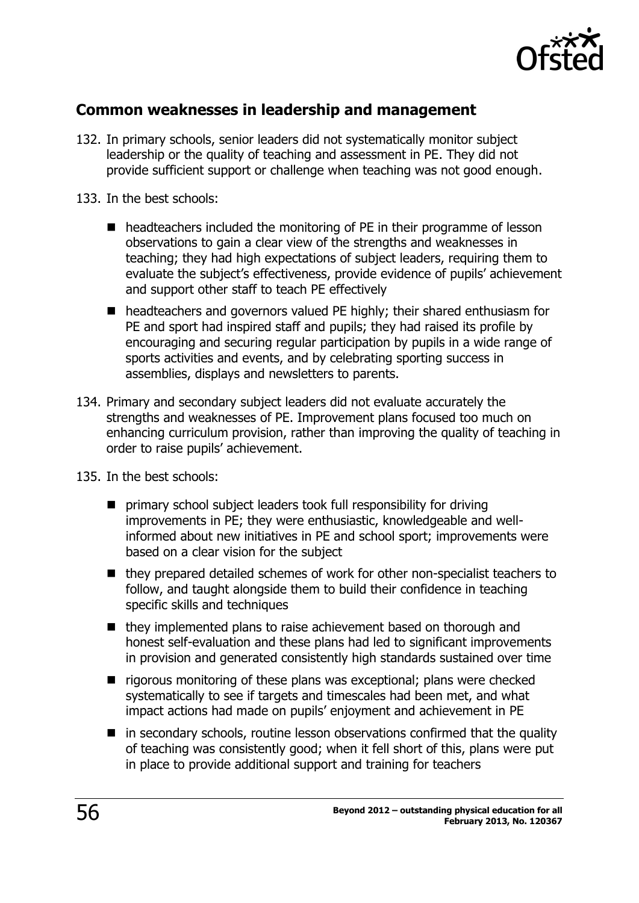

### <span id="page-55-0"></span>**Common weaknesses in leadership and management**

- 132. In primary schools, senior leaders did not systematically monitor subject leadership or the quality of teaching and assessment in PE. They did not provide sufficient support or challenge when teaching was not good enough.
- 133. In the best schools:
	- headteachers included the monitoring of PE in their programme of lesson observations to gain a clear view of the strengths and weaknesses in teaching; they had high expectations of subject leaders, requiring them to evaluate the subject's effectiveness, provide evidence of pupils' achievement and support other staff to teach PE effectively
	- headteachers and governors valued PE highly; their shared enthusiasm for PE and sport had inspired staff and pupils; they had raised its profile by encouraging and securing regular participation by pupils in a wide range of sports activities and events, and by celebrating sporting success in assemblies, displays and newsletters to parents.
- 134. Primary and secondary subject leaders did not evaluate accurately the strengths and weaknesses of PE. Improvement plans focused too much on enhancing curriculum provision, rather than improving the quality of teaching in order to raise pupils' achievement.
- 135. In the best schools:
	- primary school subject leaders took full responsibility for driving improvements in PE; they were enthusiastic, knowledgeable and wellinformed about new initiatives in PE and school sport; improvements were based on a clear vision for the subject
	- they prepared detailed schemes of work for other non-specialist teachers to follow, and taught alongside them to build their confidence in teaching specific skills and techniques
	- they implemented plans to raise achievement based on thorough and honest self-evaluation and these plans had led to significant improvements in provision and generated consistently high standards sustained over time
	- $\blacksquare$  rigorous monitoring of these plans was exceptional; plans were checked systematically to see if targets and timescales had been met, and what impact actions had made on pupils' enjoyment and achievement in PE
	- $\blacksquare$  in secondary schools, routine lesson observations confirmed that the quality of teaching was consistently good; when it fell short of this, plans were put in place to provide additional support and training for teachers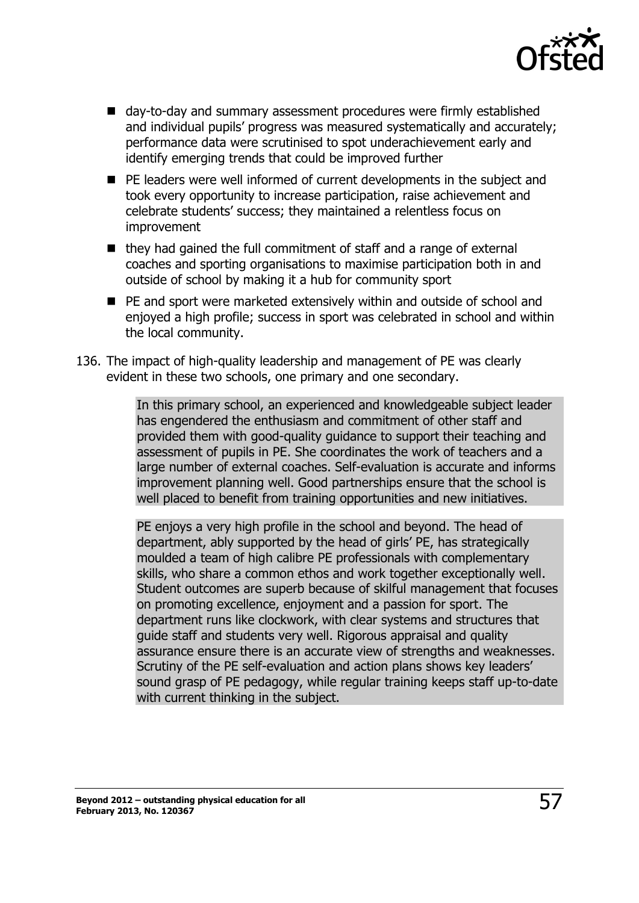

- day-to-day and summary assessment procedures were firmly established and individual pupils' progress was measured systematically and accurately; performance data were scrutinised to spot underachievement early and identify emerging trends that could be improved further
- PE leaders were well informed of current developments in the subject and took every opportunity to increase participation, raise achievement and celebrate students' success; they maintained a relentless focus on improvement
- $\blacksquare$  they had gained the full commitment of staff and a range of external coaches and sporting organisations to maximise participation both in and outside of school by making it a hub for community sport
- PE and sport were marketed extensively within and outside of school and enjoyed a high profile; success in sport was celebrated in school and within the local community.
- 136. The impact of high-quality leadership and management of PE was clearly evident in these two schools, one primary and one secondary.

In this primary school, an experienced and knowledgeable subject leader has engendered the enthusiasm and commitment of other staff and provided them with good-quality guidance to support their teaching and assessment of pupils in PE. She coordinates the work of teachers and a large number of external coaches. Self-evaluation is accurate and informs improvement planning well. Good partnerships ensure that the school is well placed to benefit from training opportunities and new initiatives.

PE enjoys a very high profile in the school and beyond. The head of department, ably supported by the head of girls' PE, has strategically moulded a team of high calibre PE professionals with complementary skills, who share a common ethos and work together exceptionally well. Student outcomes are superb because of skilful management that focuses on promoting excellence, enjoyment and a passion for sport. The department runs like clockwork, with clear systems and structures that guide staff and students very well. Rigorous appraisal and quality assurance ensure there is an accurate view of strengths and weaknesses. Scrutiny of the PE self-evaluation and action plans shows key leaders' sound grasp of PE pedagogy, while regular training keeps staff up-to-date with current thinking in the subject.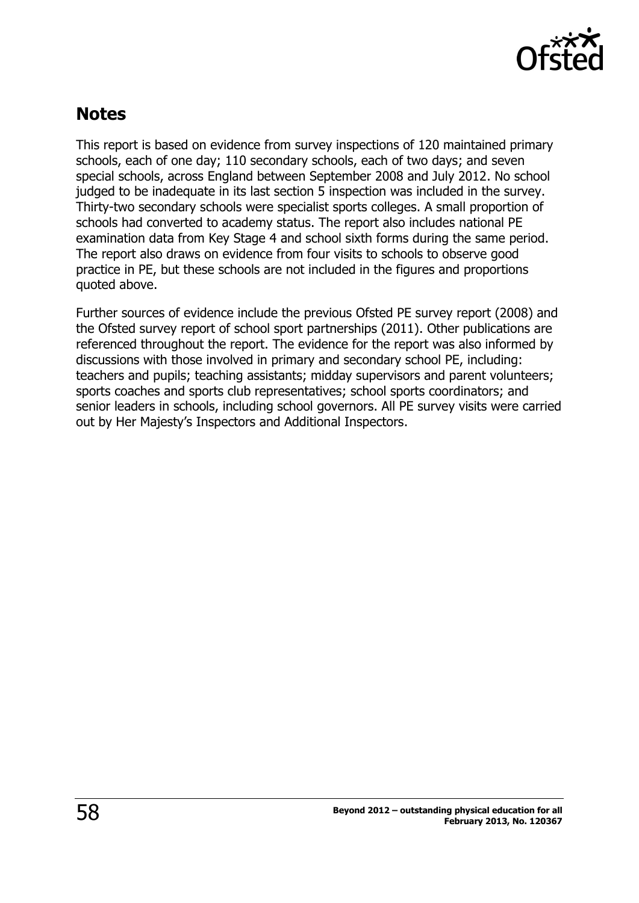

## <span id="page-57-0"></span>**Notes**

This report is based on evidence from survey inspections of 120 maintained primary schools, each of one day; 110 secondary schools, each of two days; and seven special schools, across England between September 2008 and July 2012. No school judged to be inadequate in its last section 5 inspection was included in the survey. Thirty-two secondary schools were specialist sports colleges. A small proportion of schools had converted to academy status. The report also includes national PE examination data from Key Stage 4 and school sixth forms during the same period. The report also draws on evidence from four visits to schools to observe good practice in PE, but these schools are not included in the figures and proportions quoted above.

Further sources of evidence include the previous Ofsted PE survey report (2008) and the Ofsted survey report of school sport partnerships (2011). Other publications are referenced throughout the report. The evidence for the report was also informed by discussions with those involved in primary and secondary school PE, including: teachers and pupils; teaching assistants; midday supervisors and parent volunteers; sports coaches and sports club representatives; school sports coordinators; and senior leaders in schools, including school governors. All PE survey visits were carried out by Her Majesty's Inspectors and Additional Inspectors.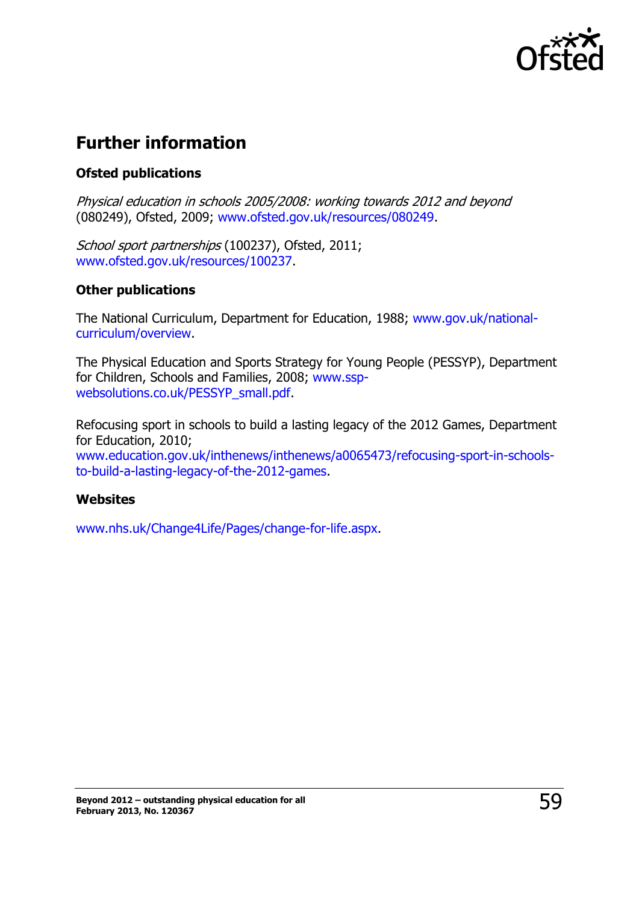

## <span id="page-58-0"></span>**Further information**

#### **Ofsted publications**

Physical education in schools 2005/2008: working towards 2012 and beyond (080249), Ofsted, 2009; [www.ofsted.gov.uk/resources/080249.](http://www.ofsted.gov.uk/resources/080249)

School sport partnerships (100237), Ofsted, 2011; [www.ofsted.gov.uk/resources/100237.](http://www.ofsted.gov.uk/resources/100237)

#### **Other publications**

The National Curriculum, Department for Education, 1988; [www.gov.uk/national](http://www.gov.uk/national-curriculum/overview)[curriculum/overview.](http://www.gov.uk/national-curriculum/overview)

The Physical Education and Sports Strategy for Young People (PESSYP), Department for Children, Schools and Families, 2008; [www.ssp](http://www.ssp-websolutions.co.uk/PESSYP_small.pdf)[websolutions.co.uk/PESSYP\\_small.pdf.](http://www.ssp-websolutions.co.uk/PESSYP_small.pdf)

Refocusing sport in schools to build a lasting legacy of the 2012 Games, Department for Education, 2010; [www.education.gov.uk/inthenews/inthenews/a0065473/refocusing-sport-in-schools](http://www.education.gov.uk/inthenews/inthenews/a0065473/refocusing-sport-in-schools-to-build-a-lasting-legacy-of-the-2012-games)[to-build-a-lasting-legacy-of-the-2012-games.](http://www.education.gov.uk/inthenews/inthenews/a0065473/refocusing-sport-in-schools-to-build-a-lasting-legacy-of-the-2012-games)

#### **Websites**

[www.nhs.uk/Change4Life/Pages/change-for-life.aspx.](http://www.nhs.uk/Change4Life/Pages/change-for-life.aspx)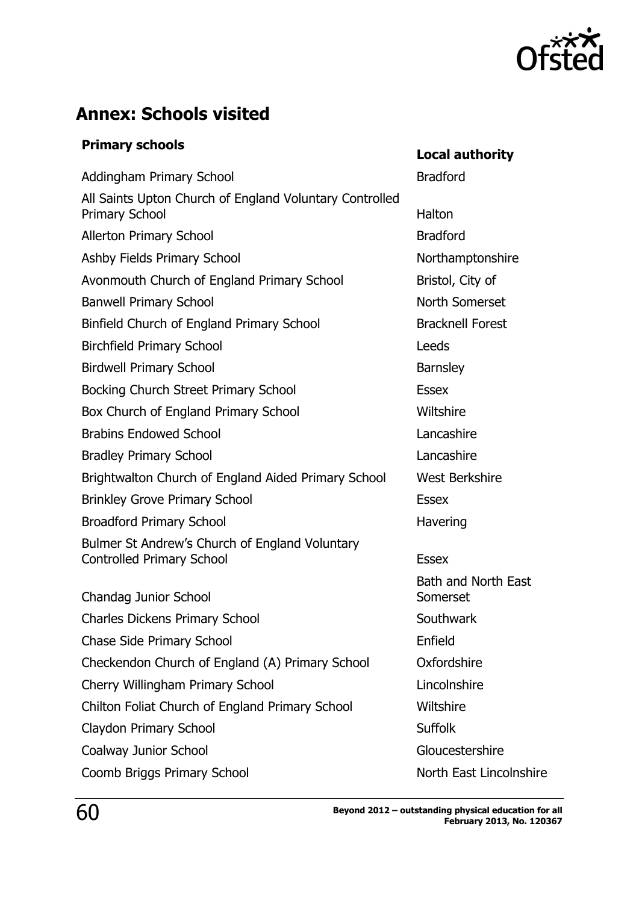

## <span id="page-59-0"></span>**Annex: Schools visited**

# **Primary schools Local authority**

| Addingham Primary School                                                           | <b>Bradford</b>                 |
|------------------------------------------------------------------------------------|---------------------------------|
| All Saints Upton Church of England Voluntary Controlled<br><b>Primary School</b>   | Halton                          |
| <b>Allerton Primary School</b>                                                     | <b>Bradford</b>                 |
| Ashby Fields Primary School                                                        | Northamptonshire                |
| Avonmouth Church of England Primary School                                         | Bristol, City of                |
| <b>Banwell Primary School</b>                                                      | North Somerset                  |
| Binfield Church of England Primary School                                          | <b>Bracknell Forest</b>         |
| <b>Birchfield Primary School</b>                                                   | Leeds                           |
| <b>Birdwell Primary School</b>                                                     | <b>Barnsley</b>                 |
| Bocking Church Street Primary School                                               | <b>Essex</b>                    |
| Box Church of England Primary School                                               | Wiltshire                       |
| <b>Brabins Endowed School</b>                                                      | Lancashire                      |
| <b>Bradley Primary School</b>                                                      | Lancashire                      |
| Brightwalton Church of England Aided Primary School                                | <b>West Berkshire</b>           |
| <b>Brinkley Grove Primary School</b>                                               | <b>Essex</b>                    |
| <b>Broadford Primary School</b>                                                    | Havering                        |
| Bulmer St Andrew's Church of England Voluntary<br><b>Controlled Primary School</b> | <b>Essex</b>                    |
| Chandag Junior School                                                              | Bath and North East<br>Somerset |
| <b>Charles Dickens Primary School</b>                                              | Southwark                       |
| Chase Side Primary School                                                          | Enfield                         |
| Checkendon Church of England (A) Primary School                                    | Oxfordshire                     |
| Cherry Willingham Primary School                                                   | Lincolnshire                    |
| Chilton Foliat Church of England Primary School                                    | Wiltshire                       |
| Claydon Primary School                                                             | <b>Suffolk</b>                  |
| Coalway Junior School                                                              | Gloucestershire                 |
| Coomb Briggs Primary School                                                        | North East Lincolnshire         |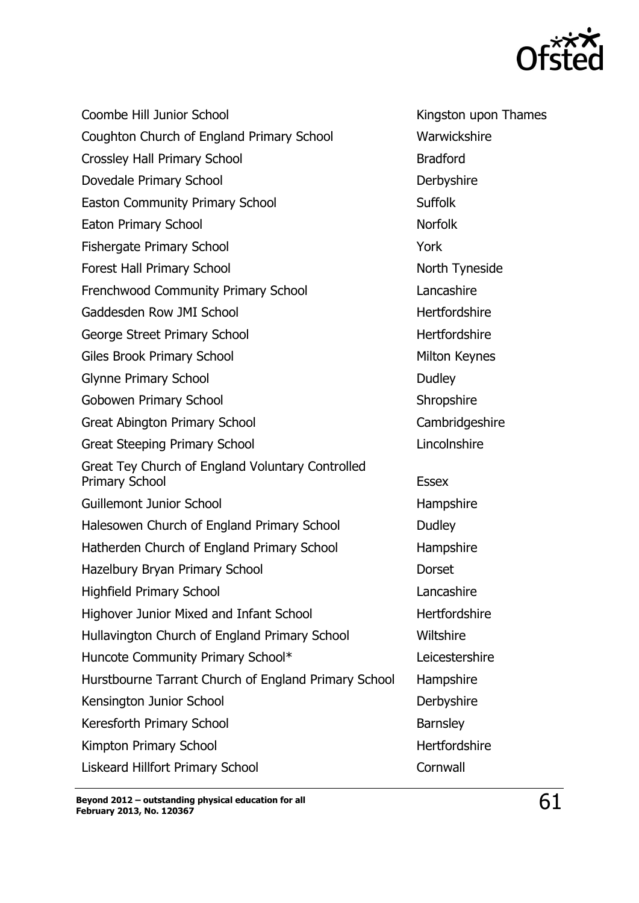

Coombe Hill Junior School **Kingston upon Thames** Coughton Church of England Primary School Warwickshire Crossley Hall Primary School Bradford Dovedale Primary School Derbyshire Easton Community Primary School Suffolk Eaton Primary School Norfolk Fishergate Primary School **The Contract Contract Contract Contract Contract Contract Contract Contract Contract Contract Contract Contract Contract Contract Contract Contract Contract Contract Contract Contract Contract Co** Forest Hall Primary School North Tyneside Frenchwood Community Primary School Lancashire Gaddesden Row JMI School **East Contract Contract Contract Contract** Hertfordshire George Street Primary School Hertfordshire Giles Brook Primary School Milton Keynes Glynne Primary School Dudley Gobowen Primary School Shropshire Great Abington Primary School Cambridgeshire Great Steeping Primary School **Lincolnshire** Great Tey Church of England Voluntary Controlled Primary School **Essex** Guillemont Junior School **Hampshire** Halesowen Church of England Primary School Dudley Hatherden Church of England Primary School Hampshire Hazelbury Bryan Primary School **Dorset** Highfield Primary School Lancashire Highover Junior Mixed and Infant School Hertfordshire Hullavington Church of England Primary School Wiltshire Huncote Community Primary School\* Leicestershire Hurstbourne Tarrant Church of England Primary School Hampshire Kensington Junior School **Derbyshire** Keresforth Primary School **Barnsley** Kimpton Primary School **Hertfordshire** Liskeard Hillfort Primary School Cornwall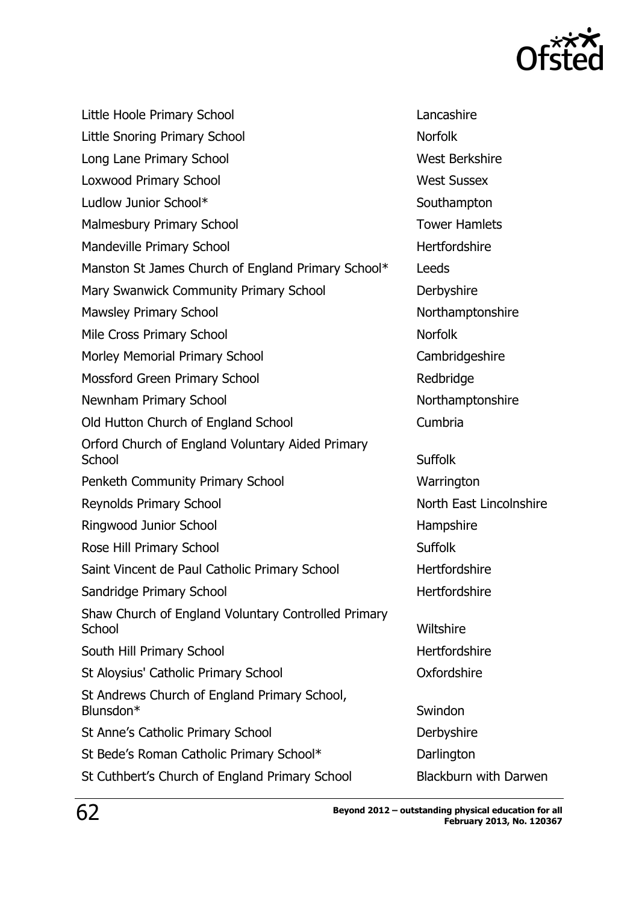

| Little Hoole Primary School                                   | Lancashire                   |
|---------------------------------------------------------------|------------------------------|
| <b>Little Snoring Primary School</b>                          | <b>Norfolk</b>               |
| Long Lane Primary School                                      | <b>West Berkshire</b>        |
| Loxwood Primary School                                        | <b>West Sussex</b>           |
| Ludlow Junior School*                                         | Southampton                  |
| <b>Malmesbury Primary School</b>                              | <b>Tower Hamlets</b>         |
| Mandeville Primary School                                     | Hertfordshire                |
| Manston St James Church of England Primary School*            | Leeds                        |
| Mary Swanwick Community Primary School                        | Derbyshire                   |
| <b>Mawsley Primary School</b>                                 | Northamptonshire             |
| Mile Cross Primary School                                     | <b>Norfolk</b>               |
| Morley Memorial Primary School                                | Cambridgeshire               |
| <b>Mossford Green Primary School</b>                          | Redbridge                    |
| Newnham Primary School                                        | Northamptonshire             |
| Old Hutton Church of England School                           | Cumbria                      |
| Orford Church of England Voluntary Aided Primary<br>School    | <b>Suffolk</b>               |
|                                                               |                              |
| Penketh Community Primary School                              | Warrington                   |
| <b>Reynolds Primary School</b>                                | North East Lincolnshire      |
| Ringwood Junior School                                        | Hampshire                    |
| Rose Hill Primary School                                      | <b>Suffolk</b>               |
| Saint Vincent de Paul Catholic Primary School                 | Hertfordshire                |
| Sandridge Primary School                                      | Hertfordshire                |
| Shaw Church of England Voluntary Controlled Primary<br>School | Wiltshire                    |
| South Hill Primary School                                     | Hertfordshire                |
| St Aloysius' Catholic Primary School                          | Oxfordshire                  |
| St Andrews Church of England Primary School,<br>Blunsdon*     | Swindon                      |
| St Anne's Catholic Primary School                             | Derbyshire                   |
| St Bede's Roman Catholic Primary School*                      | Darlington                   |
| St Cuthbert's Church of England Primary School                | <b>Blackburn with Darwen</b> |
|                                                               |                              |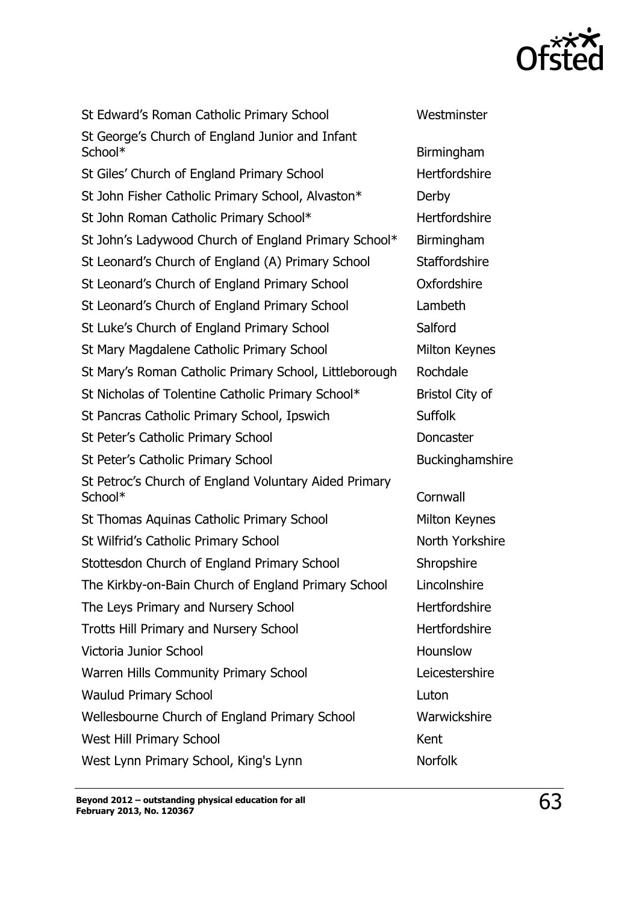

St Edward's Roman Catholic Primary School Westminster St George's Church of England Junior and Infant School\* Birmingham St Giles' Church of England Primary School Hertfordshire St John Fisher Catholic Primary School, Alvaston\* Derby St John Roman Catholic Primary School\* Hertfordshire St John's Ladywood Church of England Primary School\* Birmingham St Leonard's Church of England (A) Primary School Staffordshire St Leonard's Church of England Primary School Oxfordshire St Leonard's Church of England Primary School Lambeth St Luke's Church of England Primary School Salford St Mary Magdalene Catholic Primary School Milton Keynes St Mary's Roman Catholic Primary School, Littleborough Rochdale St Nicholas of Tolentine Catholic Primary School\* Bristol City of St Pancras Catholic Primary School, Ipswich Suffolk St Peter's Catholic Primary School Doncaster St Peter's Catholic Primary School **Buckinghamshire** Buckinghamshire St Petroc's Church of England Voluntary Aided Primary School\* Cornwall St Thomas Aquinas Catholic Primary School Milton Keynes St Wilfrid's Catholic Primary School North Yorkshire Stottesdon Church of England Primary School Shropshire The Kirkby-on-Bain Church of England Primary School Lincolnshire The Leys Primary and Nursery School The Leys Primary and Nursery School Trotts Hill Primary and Nursery School **Hertfordshire** Victoria Junior School **Hounslow** Hounslow Warren Hills Community Primary School Leicestershire Waulud Primary School **Luton** Luton Wellesbourne Church of England Primary School Warwickshire West Hill Primary School Kent West Lynn Primary School, King's Lynn Norfolk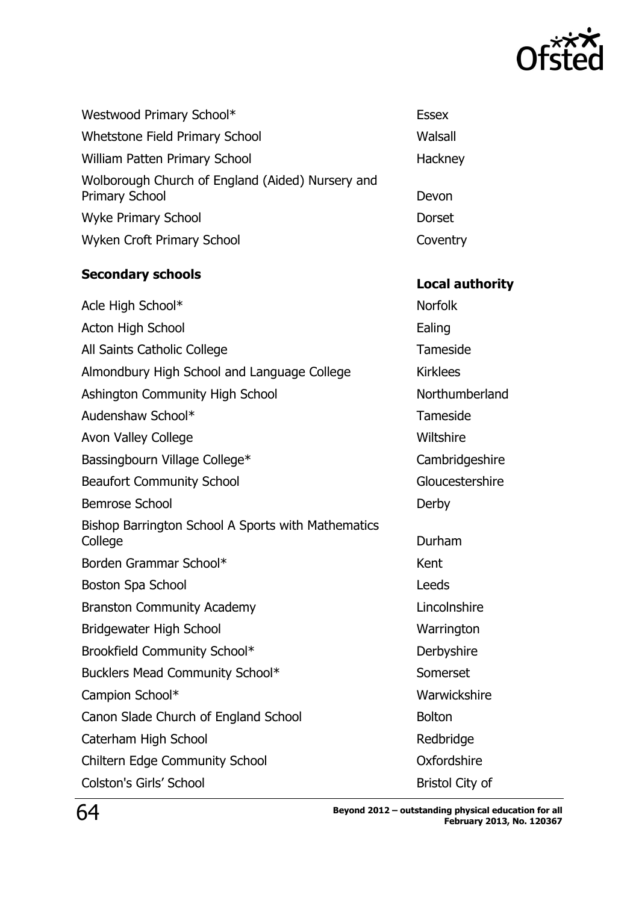

Walsall

Hackney

Coventry

| Westwood Primary School*                                                  | Essex  |
|---------------------------------------------------------------------------|--------|
| Whetstone Field Primary School                                            | Walsal |
| <b>William Patten Primary School</b>                                      | Hackno |
| Wolborough Church of England (Aided) Nursery and<br><b>Primary School</b> | Devon  |
| <b>Wyke Primary School</b>                                                | Dorset |
| Wyken Croft Primary School                                                | Covent |

# **Secondary schools Local authority**

| Acle High School*                                             | <b>Norfolk</b>         |
|---------------------------------------------------------------|------------------------|
| <b>Acton High School</b>                                      | Ealing                 |
| All Saints Catholic College                                   | Tameside               |
| Almondbury High School and Language College                   | <b>Kirklees</b>        |
| Ashington Community High School                               | Northumberland         |
| Audenshaw School*                                             | Tameside               |
| <b>Avon Valley College</b>                                    | Wiltshire              |
| Bassingbourn Village College*                                 | Cambridgeshire         |
| <b>Beaufort Community School</b>                              | Gloucestershire        |
| <b>Bemrose School</b>                                         | Derby                  |
| Bishop Barrington School A Sports with Mathematics<br>College | Durham                 |
| Borden Grammar School*                                        | Kent                   |
| Boston Spa School                                             | Leeds                  |
| <b>Branston Community Academy</b>                             | Lincolnshire           |
| Bridgewater High School                                       | Warrington             |
| Brookfield Community School*                                  | Derbyshire             |
| Bucklers Mead Community School*                               | Somerset               |
| Campion School*                                               | Warwickshire           |
| Canon Slade Church of England School                          | <b>Bolton</b>          |
| Caterham High School                                          | Redbridge              |
| <b>Chiltern Edge Community School</b>                         | Oxfordshire            |
| <b>Colston's Girls' School</b>                                | <b>Bristol City of</b> |
|                                                               |                        |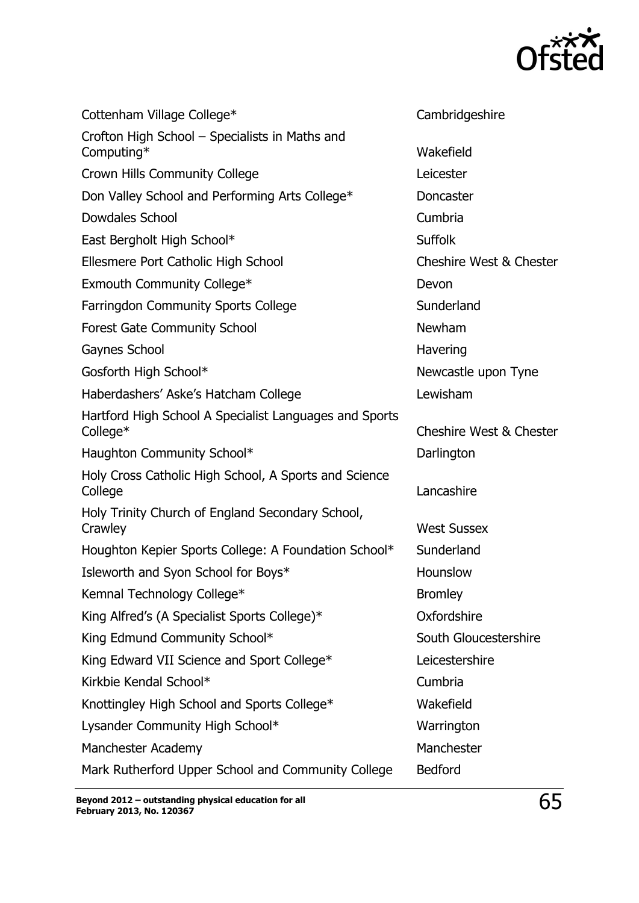

| Cottenham Village College*                                         | Cambridgeshire                     |
|--------------------------------------------------------------------|------------------------------------|
| Crofton High School – Specialists in Maths and<br>Computing*       | Wakefield                          |
| Crown Hills Community College                                      | Leicester                          |
| Don Valley School and Performing Arts College*                     | <b>Doncaster</b>                   |
| Dowdales School                                                    | Cumbria                            |
| East Bergholt High School*                                         | <b>Suffolk</b>                     |
| Ellesmere Port Catholic High School                                | <b>Cheshire West &amp; Chester</b> |
| Exmouth Community College*                                         | Devon                              |
| <b>Farringdon Community Sports College</b>                         | Sunderland                         |
| <b>Forest Gate Community School</b>                                | Newham                             |
| Gaynes School                                                      | Havering                           |
| Gosforth High School*                                              | Newcastle upon Tyne                |
| Haberdashers' Aske's Hatcham College                               | Lewisham                           |
| Hartford High School A Specialist Languages and Sports<br>College* | <b>Cheshire West &amp; Chester</b> |
| Haughton Community School*                                         | Darlington                         |
| Holy Cross Catholic High School, A Sports and Science<br>College   | Lancashire                         |
| Holy Trinity Church of England Secondary School,<br>Crawley        | <b>West Sussex</b>                 |
| Houghton Kepier Sports College: A Foundation School*               | Sunderland                         |
| Isleworth and Syon School for Boys*                                | Hounslow                           |
| Kemnal Technology College*                                         | <b>Bromley</b>                     |
| King Alfred's (A Specialist Sports College)*                       | Oxfordshire                        |
| King Edmund Community School*                                      | South Gloucestershire              |
| King Edward VII Science and Sport College*                         | Leicestershire                     |
| Kirkbie Kendal School*                                             | Cumbria                            |
| Knottingley High School and Sports College*                        | Wakefield                          |
| Lysander Community High School*                                    | Warrington                         |
| Manchester Academy                                                 | Manchester                         |
| Mark Rutherford Upper School and Community College                 | <b>Bedford</b>                     |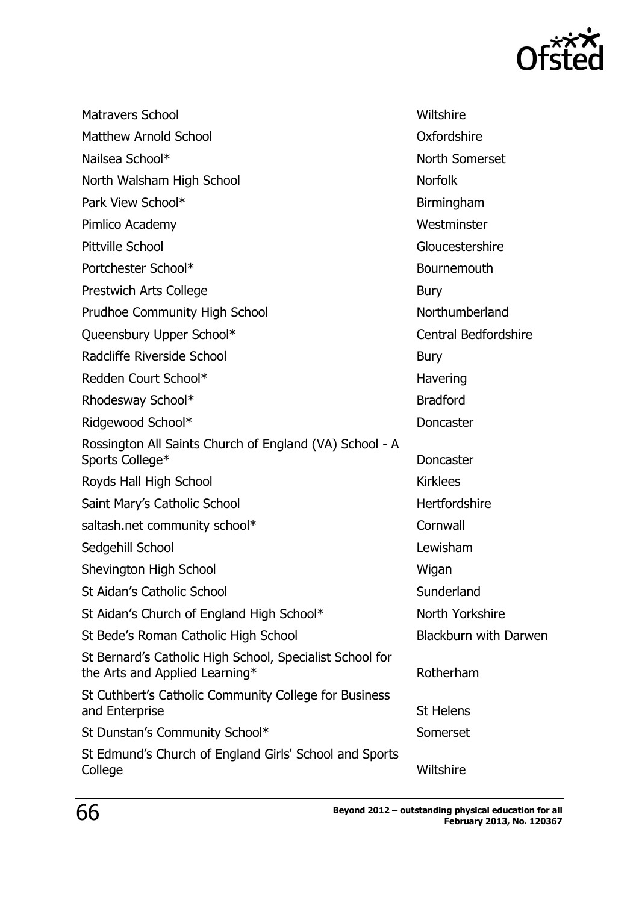

| <b>Matravers School</b>                                                                    | Wiltshire                   |
|--------------------------------------------------------------------------------------------|-----------------------------|
| <b>Matthew Arnold School</b>                                                               | Oxfordshire                 |
| Nailsea School*                                                                            | North Somerset              |
| North Walsham High School                                                                  | <b>Norfolk</b>              |
| Park View School*                                                                          | Birmingham                  |
| Pimlico Academy                                                                            | Westminster                 |
| Pittville School                                                                           | Gloucestershire             |
| Portchester School*                                                                        | <b>Bournemouth</b>          |
| Prestwich Arts College                                                                     | Bury                        |
| <b>Prudhoe Community High School</b>                                                       | Northumberland              |
| Queensbury Upper School*                                                                   | <b>Central Bedfordshire</b> |
| Radcliffe Riverside School                                                                 | <b>Bury</b>                 |
| Redden Court School*                                                                       | Havering                    |
| Rhodesway School*                                                                          | <b>Bradford</b>             |
| Ridgewood School*                                                                          | <b>Doncaster</b>            |
| Rossington All Saints Church of England (VA) School - A<br>Sports College*                 | <b>Doncaster</b>            |
| Royds Hall High School                                                                     | <b>Kirklees</b>             |
| Saint Mary's Catholic School                                                               | Hertfordshire               |
| saltash.net community school*                                                              | Cornwall                    |
| Sedgehill School                                                                           | Lewisham                    |
| Shevington High School                                                                     | Wigan                       |
| <b>St Aidan's Catholic School</b>                                                          | Sunderland                  |
| St Aidan's Church of England High School*                                                  | North Yorkshire             |
| St Bede's Roman Catholic High School                                                       | Blackburn with Darwen       |
| St Bernard's Catholic High School, Specialist School for<br>the Arts and Applied Learning* | Rotherham                   |
| St Cuthbert's Catholic Community College for Business<br>and Enterprise                    | <b>St Helens</b>            |
| St Dunstan's Community School*                                                             | Somerset                    |
| St Edmund's Church of England Girls' School and Sports<br>College                          | Wiltshire                   |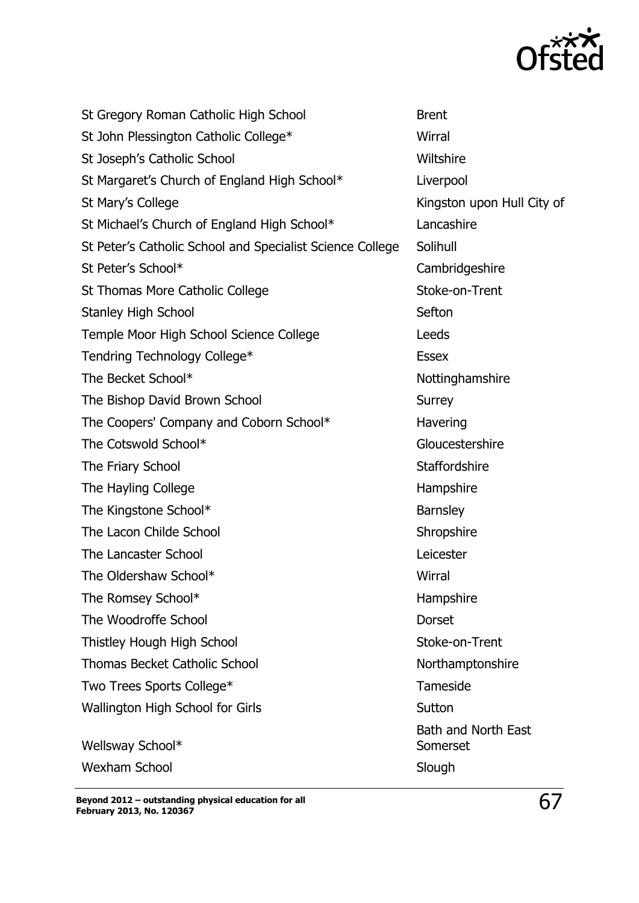

| St Gregory Roman Catholic High School                     | <b>Brent</b>                           |
|-----------------------------------------------------------|----------------------------------------|
| St John Plessington Catholic College*                     | Wirral                                 |
| St Joseph's Catholic School                               | Wiltshire                              |
| St Margaret's Church of England High School*              | Liverpool                              |
| St Mary's College                                         | Kingston upon Hull City of             |
| St Michael's Church of England High School*               | Lancashire                             |
| St Peter's Catholic School and Specialist Science College | Solihull                               |
| St Peter's School*                                        | Cambridgeshire                         |
| St Thomas More Catholic College                           | Stoke-on-Trent                         |
| <b>Stanley High School</b>                                | Sefton                                 |
| Temple Moor High School Science College                   | Leeds                                  |
| Tendring Technology College*                              | <b>Essex</b>                           |
| The Becket School*                                        | Nottinghamshire                        |
| The Bishop David Brown School                             | <b>Surrey</b>                          |
| The Coopers' Company and Coborn School*                   | Havering                               |
| The Cotswold School*                                      | Gloucestershire                        |
| The Friary School                                         | <b>Staffordshire</b>                   |
| The Hayling College                                       | Hampshire                              |
| The Kingstone School*                                     | <b>Barnsley</b>                        |
| The Lacon Childe School                                   | Shropshire                             |
| The Lancaster School                                      | Leicester                              |
| The Oldershaw School*                                     | Wirral                                 |
| The Romsey School*                                        | Hampshire                              |
| The Woodroffe School                                      | <b>Dorset</b>                          |
| Thistley Hough High School                                | Stoke-on-Trent                         |
| <b>Thomas Becket Catholic School</b>                      | Northamptonshire                       |
| Two Trees Sports College*                                 | Tameside                               |
| Wallington High School for Girls                          | Sutton                                 |
| Wellsway School*                                          | <b>Bath and North East</b><br>Somerset |
| <b>Wexham School</b>                                      | Slough                                 |